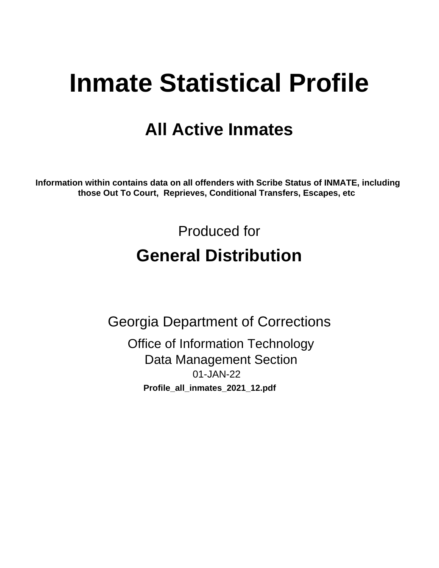# **Inmate Statistical Profile**

## **All Active Inmates**

Information within contains data on all offenders with Scribe Status of INMATE, including those Out To Court, Reprieves, Conditional Transfers, Escapes, etc

> Produced for **General Distribution**

**Georgia Department of Corrections Office of Information Technology Data Management Section** 01-JAN-22 Profile\_all\_inmates\_2021\_12.pdf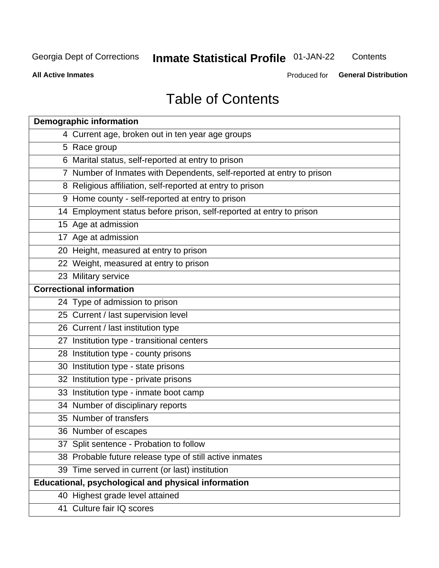## **Inmate Statistical Profile 01-JAN-22**

Contents

**All Active Inmates** 

Produced for General Distribution

## **Table of Contents**

| <b>Demographic information</b>                                        |
|-----------------------------------------------------------------------|
| 4 Current age, broken out in ten year age groups                      |
| 5 Race group                                                          |
| 6 Marital status, self-reported at entry to prison                    |
| 7 Number of Inmates with Dependents, self-reported at entry to prison |
| 8 Religious affiliation, self-reported at entry to prison             |
| 9 Home county - self-reported at entry to prison                      |
| 14 Employment status before prison, self-reported at entry to prison  |
| 15 Age at admission                                                   |
| 17 Age at admission                                                   |
| 20 Height, measured at entry to prison                                |
| 22 Weight, measured at entry to prison                                |
| 23 Military service                                                   |
| <b>Correctional information</b>                                       |
| 24 Type of admission to prison                                        |
| 25 Current / last supervision level                                   |
| 26 Current / last institution type                                    |
| 27 Institution type - transitional centers                            |
| 28 Institution type - county prisons                                  |
| 30 Institution type - state prisons                                   |
| 32 Institution type - private prisons                                 |
| 33 Institution type - inmate boot camp                                |
| 34 Number of disciplinary reports                                     |
| 35 Number of transfers                                                |
| 36 Number of escapes                                                  |
| 37 Split sentence - Probation to follow                               |
| 38 Probable future release type of still active inmates               |
| 39 Time served in current (or last) institution                       |
| Educational, psychological and physical information                   |
| 40 Highest grade level attained                                       |
| 41 Culture fair IQ scores                                             |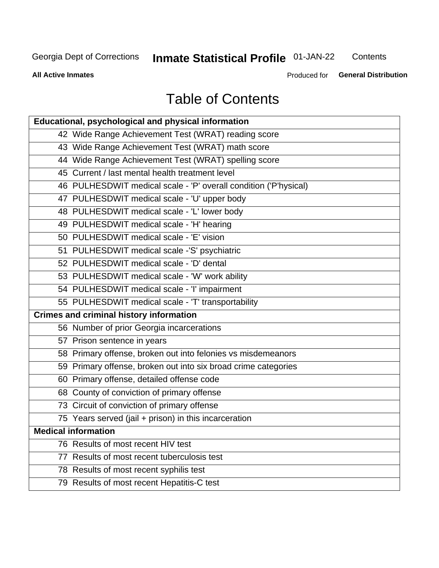## **Inmate Statistical Profile 01-JAN-22**

Contents

**All Active Inmates** 

Produced for General Distribution

## **Table of Contents**

| Educational, psychological and physical information              |
|------------------------------------------------------------------|
| 42 Wide Range Achievement Test (WRAT) reading score              |
| 43 Wide Range Achievement Test (WRAT) math score                 |
| 44 Wide Range Achievement Test (WRAT) spelling score             |
| 45 Current / last mental health treatment level                  |
| 46 PULHESDWIT medical scale - 'P' overall condition ('P'hysical) |
| 47 PULHESDWIT medical scale - 'U' upper body                     |
| 48 PULHESDWIT medical scale - 'L' lower body                     |
| 49 PULHESDWIT medical scale - 'H' hearing                        |
| 50 PULHESDWIT medical scale - 'E' vision                         |
| 51 PULHESDWIT medical scale -'S' psychiatric                     |
| 52 PULHESDWIT medical scale - 'D' dental                         |
| 53 PULHESDWIT medical scale - 'W' work ability                   |
| 54 PULHESDWIT medical scale - 'I' impairment                     |
| 55 PULHESDWIT medical scale - 'T' transportability               |
| <b>Crimes and criminal history information</b>                   |
| 56 Number of prior Georgia incarcerations                        |
| 57 Prison sentence in years                                      |
| 58 Primary offense, broken out into felonies vs misdemeanors     |
| 59 Primary offense, broken out into six broad crime categories   |
| 60 Primary offense, detailed offense code                        |
| 68 County of conviction of primary offense                       |
| 73 Circuit of conviction of primary offense                      |
| 75 Years served (jail + prison) in this incarceration            |
| <b>Medical information</b>                                       |
| 76 Results of most recent HIV test                               |
| 77 Results of most recent tuberculosis test                      |
| 78 Results of most recent syphilis test                          |
| 79 Results of most recent Hepatitis-C test                       |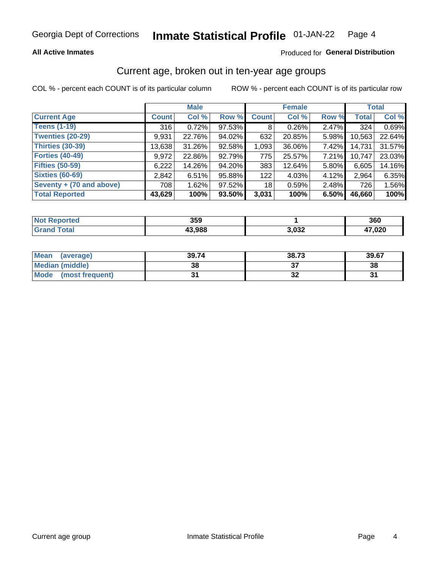### **All Active Inmates**

### Produced for General Distribution

### Current age, broken out in ten-year age groups

COL % - percent each COUNT is of its particular column

|                          | <b>Male</b>  |        |        | <b>Female</b> |        |       | <b>Total</b> |        |
|--------------------------|--------------|--------|--------|---------------|--------|-------|--------------|--------|
| <b>Current Age</b>       | <b>Count</b> | Col %  | Row %  | <b>Count</b>  | Col %  | Row % | <b>Total</b> | Col %  |
| <b>Teens (1-19)</b>      | 316          | 0.72%  | 97.53% | 8             | 0.26%  | 2.47% | 324          | 0.69%  |
| <b>Twenties (20-29)</b>  | 9,931        | 22.76% | 94.02% | 632           | 20.85% | 5.98% | 10,563       | 22.64% |
| <b>Thirties (30-39)</b>  | 13,638       | 31.26% | 92.58% | 1,093         | 36.06% | 7.42% | 14,731       | 31.57% |
| <b>Forties (40-49)</b>   | 9,972        | 22.86% | 92.79% | 775           | 25.57% | 7.21% | 10,747       | 23.03% |
| <b>Fifties (50-59)</b>   | 6,222        | 14.26% | 94.20% | 383           | 12.64% | 5.80% | 6,605        | 14.16% |
| <b>Sixties (60-69)</b>   | 2,842        | 6.51%  | 95.88% | 122           | 4.03%  | 4.12% | 2,964        | 6.35%  |
| Seventy + (70 and above) | 708          | 1.62%  | 97.52% | 18            | 0.59%  | 2.48% | 726          | 1.56%  |
| <b>Total Reported</b>    | 43,629       | 100%   | 93.50% | 3,031         | 100%   | 6.50% | 46,660       | 100%   |

| <b>Not</b><br>المتحاسب<br>теа | 359    |       | 360   |
|-------------------------------|--------|-------|-------|
| $T0+0'$                       | 12.000 | רכה נ | ההה י |
|                               | . 90c  | ےכ∪,י | ,uzu  |

| <b>Mean</b><br>(average) | 39.74 | 38.73 | 39.67 |
|--------------------------|-------|-------|-------|
| Median (middle)          | 38    |       | 38    |
| Mode<br>(most frequent)  |       | ◡▵    |       |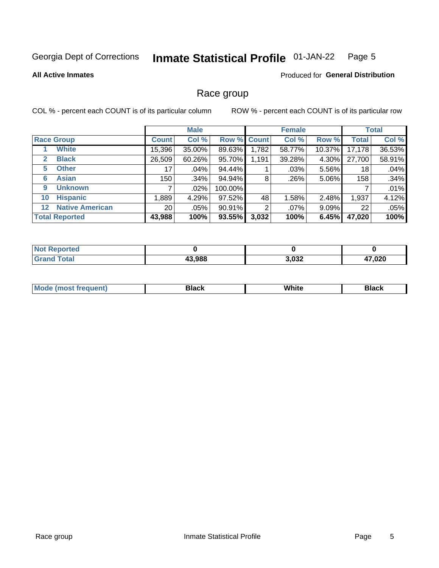#### Inmate Statistical Profile 01-JAN-22 Page 5

### **All Active Inmates**

### Produced for General Distribution

### Race group

COL % - percent each COUNT is of its particular column

|                                   |                 | <b>Male</b> |         |             | <b>Female</b> |          |              | <b>Total</b> |  |
|-----------------------------------|-----------------|-------------|---------|-------------|---------------|----------|--------------|--------------|--|
| <b>Race Group</b>                 | <b>Count</b>    | Col %       |         | Row % Count | Col %         | Row %    | <b>Total</b> | Col %        |  |
| <b>White</b>                      | 15,396          | 35.00%      | 89.63%  | 1,782       | 58.77%        | 10.37%   | 17,178       | 36.53%       |  |
| <b>Black</b><br>2                 | 26,509          | 60.26%      | 95.70%  | 1,191       | 39.28%        | 4.30%    | 27,700       | 58.91%       |  |
| <b>Other</b><br>5.                | 17              | .04%        | 94.44%  |             | .03%          | 5.56%    | 18           | .04%         |  |
| <b>Asian</b><br>6                 | 150             | .34%        | 94.94%  | 8           | .26%          | 5.06%    | 158          | .34%         |  |
| <b>Unknown</b><br>9               |                 | $.02\%$     | 100.00% |             |               |          |              | .01%         |  |
| <b>Hispanic</b><br>10             | .889            | 4.29%       | 97.52%  | 48          | 1.58%         | 2.48%    | 1,937        | 4.12%        |  |
| <b>Native American</b><br>$12 \,$ | 20 <sub>1</sub> | $.05\%$     | 90.91%  | 2           | $.07\%$       | $9.09\%$ | 22           | .05%         |  |
| <b>Total Reported</b>             | 43,988          | 100%        | 93.55%  | 3,032       | 100%          | 6.45%    | 47,020       | 100%         |  |

| orted<br>NO  |        |       |        |
|--------------|--------|-------|--------|
| <b>Total</b> | 43,988 | 3,032 | 17,020 |

| M | . |  |
|---|---|--|
|   |   |  |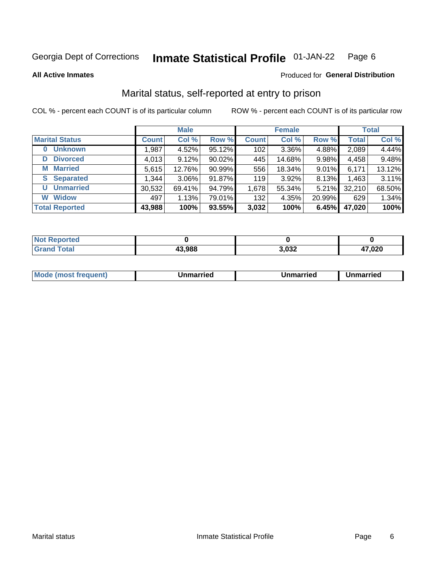#### Inmate Statistical Profile 01-JAN-22 Page 6

**All Active Inmates** 

### Produced for General Distribution

### Marital status, self-reported at entry to prison

COL % - percent each COUNT is of its particular column

|                            | <b>Male</b>  |          |        |              | <b>Female</b> | <b>Total</b> |              |        |
|----------------------------|--------------|----------|--------|--------------|---------------|--------------|--------------|--------|
| <b>Marital Status</b>      | <b>Count</b> | Col %    | Row %  | <b>Count</b> | Col %         | Row %        | <b>Total</b> | Col %  |
| <b>Unknown</b><br>$\bf{0}$ | 1,987        | 4.52%    | 95.12% | 102          | 3.36%         | 4.88%        | 2,089        | 4.44%  |
| <b>Divorced</b><br>D       | 4,013        | 9.12%    | 90.02% | 445          | 14.68%        | 9.98%        | 4,458        | 9.48%  |
| <b>Married</b><br>М        | 5,615        | 12.76%   | 90.99% | 556          | 18.34%        | 9.01%        | 6,171        | 13.12% |
| <b>Separated</b><br>S.     | 1,344        | $3.06\%$ | 91.87% | 119          | 3.92%         | 8.13%        | 1,463        | 3.11%  |
| <b>Unmarried</b><br>U      | 30,532       | 69.41%   | 94.79% | 1,678        | 55.34%        | 5.21%        | 32,210       | 68.50% |
| <b>Widow</b><br>W          | 497          | 1.13%    | 79.01% | 132          | 4.35%         | 20.99%       | 629          | 1.34%  |
| <b>Total Reported</b>      | 43,988       | 100%     | 93.55% | 3,032        | 100%          | 6.45%        | 47,020       | 100%   |

| orted<br>NOT |                     |              |        |
|--------------|---------------------|--------------|--------|
| $\sim$       | $\sim$ 000<br>, 906 | י ממ<br>,ujz | 17,020 |

| <b>Mode (most frequent)</b><br>Unmarried<br>Unmarried<br>Jnmarried |
|--------------------------------------------------------------------|
|--------------------------------------------------------------------|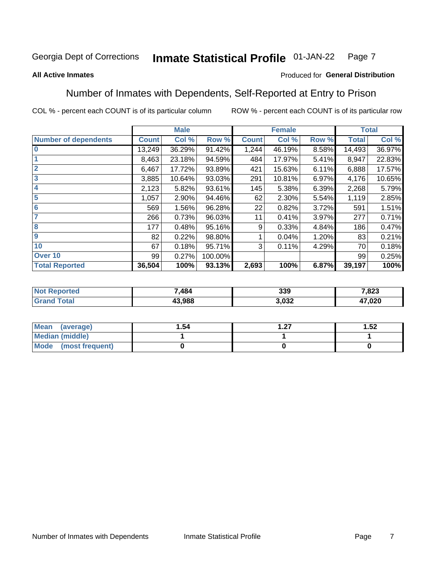#### **Inmate Statistical Profile 01-JAN-22** Page 7

### **All Active Inmates**

### Produced for General Distribution

### Number of Inmates with Dependents, Self-Reported at Entry to Prison

COL % - percent each COUNT is of its particular column

|                             |              | <b>Male</b> |         |              | <b>Female</b> |       |              | <b>Total</b> |
|-----------------------------|--------------|-------------|---------|--------------|---------------|-------|--------------|--------------|
| <b>Number of dependents</b> | <b>Count</b> | Col %       | Row %   | <b>Count</b> | Col %         | Row % | <b>Total</b> | Col %        |
| l 0                         | 13,249       | 36.29%      | 91.42%  | 1,244        | 46.19%        | 8.58% | 14,493       | 36.97%       |
|                             | 8,463        | 23.18%      | 94.59%  | 484          | 17.97%        | 5.41% | 8,947        | 22.83%       |
| $\overline{2}$              | 6,467        | 17.72%      | 93.89%  | 421          | 15.63%        | 6.11% | 6,888        | 17.57%       |
| $\overline{3}$              | 3,885        | 10.64%      | 93.03%  | 291          | 10.81%        | 6.97% | 4,176        | 10.65%       |
| 4                           | 2,123        | 5.82%       | 93.61%  | 145          | 5.38%         | 6.39% | 2,268        | 5.79%        |
| 5                           | 1,057        | 2.90%       | 94.46%  | 62           | 2.30%         | 5.54% | 1,119        | 2.85%        |
| 6                           | 569          | 1.56%       | 96.28%  | 22           | 0.82%         | 3.72% | 591          | 1.51%        |
| 7                           | 266          | 0.73%       | 96.03%  | 11           | 0.41%         | 3.97% | 277          | 0.71%        |
| 8                           | 177          | 0.48%       | 95.16%  | 9            | 0.33%         | 4.84% | 186          | 0.47%        |
| 9                           | 82           | 0.22%       | 98.80%  |              | 0.04%         | 1.20% | 83           | 0.21%        |
| 10                          | 67           | 0.18%       | 95.71%  | 3            | 0.11%         | 4.29% | 70           | 0.18%        |
| Over 10                     | 99           | 0.27%       | 100.00% |              |               |       | 99           | 0.25%        |
| <b>Total Reported</b>       | 36,504       | 100%        | 93.13%  | 2,693        | 100%          | 6.87% | 39,197       | 100%         |

| 7,484 | 339        | 7,823  |
|-------|------------|--------|
| 3.988 | nnn<br>ບວ∠ | 17,020 |

| Mean (average)          | 1.54 | דר | 1.52 |
|-------------------------|------|----|------|
| <b>Median (middle)</b>  |      |    |      |
| Mode<br>(most frequent) |      |    |      |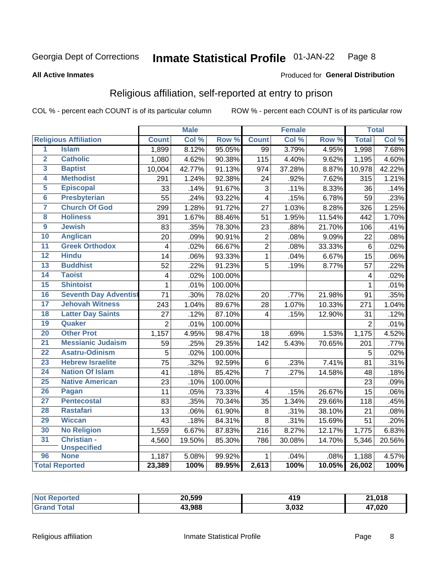#### **Inmate Statistical Profile 01-JAN-22** Page 8

### **All Active Inmates**

### Produced for General Distribution

### Religious affiliation, self-reported at entry to prison

COL % - percent each COUNT is of its particular column

|                 |                              |                         | <b>Male</b> |         |                 | <b>Female</b> |                  |                | <b>Total</b> |
|-----------------|------------------------------|-------------------------|-------------|---------|-----------------|---------------|------------------|----------------|--------------|
|                 | <b>Religious Affiliation</b> | <b>Count</b>            | Col %       | Row %   | <b>Count</b>    | Col %         | Row <sup>%</sup> | <b>Total</b>   | Col %        |
| 1               | <b>Islam</b>                 | 1,899                   | 8.12%       | 95.05%  | $\overline{99}$ | 3.79%         | 4.95%            | 1,998          | 7.68%        |
| $\overline{2}$  | <b>Catholic</b>              | 1,080                   | 4.62%       | 90.38%  | 115             | 4.40%         | 9.62%            | 1,195          | 4.60%        |
| 3               | <b>Baptist</b>               | 10,004                  | 42.77%      | 91.13%  | 974             | 37.28%        | 8.87%            | 10,978         | 42.22%       |
| 4               | <b>Methodist</b>             | 291                     | 1.24%       | 92.38%  | 24              | .92%          | 7.62%            | 315            | 1.21%        |
| 5               | <b>Episcopal</b>             | 33                      | .14%        | 91.67%  | 3               | .11%          | 8.33%            | 36             | .14%         |
| $\overline{6}$  | <b>Presbyterian</b>          | 55                      | .24%        | 93.22%  | $\overline{4}$  | .15%          | 6.78%            | 59             | .23%         |
| 7               | <b>Church Of God</b>         | 299                     | 1.28%       | 91.72%  | $\overline{27}$ | 1.03%         | 8.28%            | 326            | 1.25%        |
| 8               | <b>Holiness</b>              | 391                     | 1.67%       | 88.46%  | 51              | 1.95%         | 11.54%           | 442            | 1.70%        |
| $\overline{9}$  | <b>Jewish</b>                | 83                      | .35%        | 78.30%  | 23              | .88%          | 21.70%           | 106            | .41%         |
| 10              | <b>Anglican</b>              | 20                      | .09%        | 90.91%  | $\mathbf 2$     | .08%          | 9.09%            | 22             | .08%         |
| 11              | <b>Greek Orthodox</b>        | $\overline{\mathbf{4}}$ | .02%        | 66.67%  | $\overline{2}$  | .08%          | 33.33%           | $\overline{6}$ | .02%         |
| 12              | <b>Hindu</b>                 | 14                      | .06%        | 93.33%  | $\mathbf{1}$    | .04%          | 6.67%            | 15             | .06%         |
| 13              | <b>Buddhist</b>              | 52                      | .22%        | 91.23%  | 5               | .19%          | 8.77%            | 57             | .22%         |
| $\overline{14}$ | <b>Taoist</b>                | $\overline{4}$          | .02%        | 100.00% |                 |               |                  | 4              | .02%         |
| 15              | <b>Shintoist</b>             | $\mathbf{1}$            | .01%        | 100.00% |                 |               |                  | 1              | .01%         |
| 16              | <b>Seventh Day Adventist</b> | $\overline{71}$         | .30%        | 78.02%  | 20              | .77%          | 21.98%           | 91             | .35%         |
| 17              | <b>Jehovah Witness</b>       | 243                     | 1.04%       | 89.67%  | 28              | $1.07\%$      | 10.33%           | 271            | 1.04%        |
| 18              | <b>Latter Day Saints</b>     | 27                      | .12%        | 87.10%  | 4               | .15%          | 12.90%           | 31             | .12%         |
| 19              | Quaker                       | $\overline{2}$          | .01%        | 100.00% |                 |               |                  | $\overline{2}$ | .01%         |
| 20              | <b>Other Prot</b>            | 1,157                   | 4.95%       | 98.47%  | 18              | .69%          | 1.53%            | 1,175          | 4.52%        |
| 21              | <b>Messianic Judaism</b>     | 59                      | .25%        | 29.35%  | 142             | 5.43%         | 70.65%           | 201            | .77%         |
| 22              | <b>Asatru-Odinism</b>        | 5                       | .02%        | 100.00% |                 |               |                  | 5              | .02%         |
| 23              | <b>Hebrew Israelite</b>      | $\overline{75}$         | .32%        | 92.59%  | 6               | .23%          | 7.41%            | 81             | .31%         |
| 24              | <b>Nation Of Islam</b>       | 41                      | .18%        | 85.42%  | $\overline{7}$  | .27%          | 14.58%           | 48             | .18%         |
| 25              | <b>Native American</b>       | 23                      | .10%        | 100.00% |                 |               |                  | 23             | .09%         |
| 26              | Pagan                        | 11                      | .05%        | 73.33%  | 4               | .15%          | 26.67%           | 15             | .06%         |
| 27              | <b>Pentecostal</b>           | 83                      | .35%        | 70.34%  | 35              | 1.34%         | 29.66%           | 118            | .45%         |
| 28              | <b>Rastafari</b>             | 13                      | .06%        | 61.90%  | 8               | .31%          | 38.10%           | 21             | .08%         |
| 29              | <b>Wiccan</b>                | 43                      | .18%        | 84.31%  | 8               | .31%          | 15.69%           | 51             | .20%         |
| 30              | <b>No Religion</b>           | 1,559                   | 6.67%       | 87.83%  | 216             | 8.27%         | 12.17%           | 1,775          | 6.83%        |
| 31              | Christian -                  | 4,560                   | 19.50%      | 85.30%  | 786             | 30.08%        | 14.70%           | 5,346          | 20.56%       |
|                 | <b>Unspecified</b>           |                         |             |         |                 |               |                  |                |              |
| 96              | <b>None</b>                  | 1,187                   | 5.08%       | 99.92%  | 1               | .04%          | .08%             | 1,188          | 4.57%        |
|                 | <b>Total Reported</b>        | 23,389                  | 100%        | 89.95%  | 2,613           | 100%          | 10.05%           | 26,002         | 100%         |

| 'rrer. | 20,599 | .<br>__ | 21,018       |
|--------|--------|---------|--------------|
|        | 43.988 | 3,032   | 17,020<br>4. |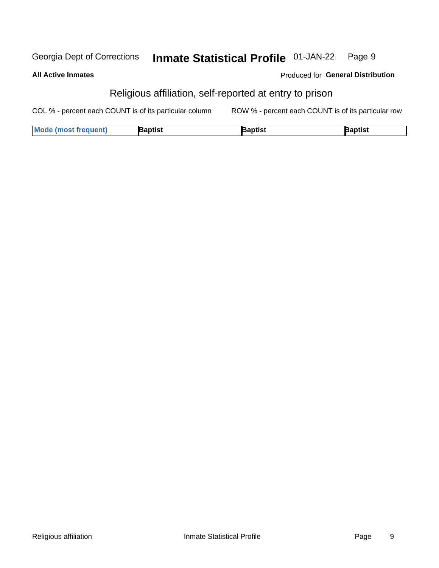#### **Inmate Statistical Profile 01-JAN-22** Georgia Dept of Corrections Page 9

**All Active Inmates** 

Produced for General Distribution

### Religious affiliation, self-reported at entry to prison

COL % - percent each COUNT is of its particular column ROW % - percent each COUNT is of its particular row

| <b>Mode (most frequent)</b> | <b>3aptist</b> | }aptist | <b>Baptist</b> |
|-----------------------------|----------------|---------|----------------|
|-----------------------------|----------------|---------|----------------|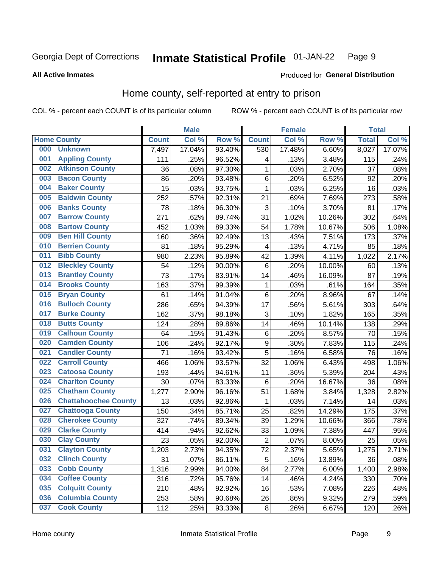#### Inmate Statistical Profile 01-JAN-22 Page 9

### **All Active Inmates**

### **Produced for General Distribution**

### Home county, self-reported at entry to prison

COL % - percent each COUNT is of its particular column

|     |                             |              | <b>Male</b> |                  |                  | <b>Female</b> |        | <b>Total</b> |        |
|-----|-----------------------------|--------------|-------------|------------------|------------------|---------------|--------|--------------|--------|
|     | <b>Home County</b>          | <b>Count</b> | Col %       | Row <sup>%</sup> | <b>Count</b>     | Col %         | Row %  | <b>Total</b> | Col %  |
| 000 | <b>Unknown</b>              | 7,497        | 17.04%      | 93.40%           | 530              | 17.48%        | 6.60%  | 8,027        | 17.07% |
| 001 | <b>Appling County</b>       | 111          | .25%        | 96.52%           | 4                | .13%          | 3.48%  | 115          | .24%   |
| 002 | <b>Atkinson County</b>      | 36           | .08%        | 97.30%           | 1                | .03%          | 2.70%  | 37           | .08%   |
| 003 | <b>Bacon County</b>         | 86           | .20%        | 93.48%           | $\,6$            | .20%          | 6.52%  | 92           | .20%   |
| 004 | <b>Baker County</b>         | 15           | .03%        | 93.75%           | $\mathbf 1$      | .03%          | 6.25%  | 16           | .03%   |
| 005 | <b>Baldwin County</b>       | 252          | .57%        | 92.31%           | 21               | .69%          | 7.69%  | 273          | .58%   |
| 006 | <b>Banks County</b>         | 78           | .18%        | 96.30%           | $\mathbf{3}$     | .10%          | 3.70%  | 81           | .17%   |
| 007 | <b>Barrow County</b>        | 271          | .62%        | 89.74%           | 31               | 1.02%         | 10.26% | 302          | .64%   |
| 008 | <b>Bartow County</b>        | 452          | 1.03%       | 89.33%           | 54               | 1.78%         | 10.67% | 506          | 1.08%  |
| 009 | <b>Ben Hill County</b>      | 160          | .36%        | 92.49%           | 13               | .43%          | 7.51%  | 173          | .37%   |
| 010 | <b>Berrien County</b>       | 81           | .18%        | 95.29%           | 4                | .13%          | 4.71%  | 85           | .18%   |
| 011 | <b>Bibb County</b>          | 980          | 2.23%       | 95.89%           | 42               | 1.39%         | 4.11%  | 1,022        | 2.17%  |
| 012 | <b>Bleckley County</b>      | 54           | .12%        | 90.00%           | $\,6$            | .20%          | 10.00% | 60           | .13%   |
| 013 | <b>Brantley County</b>      | 73           | .17%        | 83.91%           | 14               | .46%          | 16.09% | 87           | .19%   |
| 014 | <b>Brooks County</b>        | 163          | .37%        | 99.39%           | $\mathbf{1}$     | .03%          | .61%   | 164          | .35%   |
| 015 | <b>Bryan County</b>         | 61           | .14%        | 91.04%           | $\,6$            | .20%          | 8.96%  | 67           | .14%   |
| 016 | <b>Bulloch County</b>       | 286          | .65%        | 94.39%           | 17               | .56%          | 5.61%  | 303          | .64%   |
| 017 | <b>Burke County</b>         | 162          | .37%        | 98.18%           | $\mathbf{3}$     | .10%          | 1.82%  | 165          | .35%   |
| 018 | <b>Butts County</b>         | 124          | .28%        | 89.86%           | 14               | .46%          | 10.14% | 138          | .29%   |
| 019 | <b>Calhoun County</b>       | 64           | .15%        | 91.43%           | $\,6$            | .20%          | 8.57%  | 70           | .15%   |
| 020 | <b>Camden County</b>        | 106          | .24%        | 92.17%           | $\boldsymbol{9}$ | .30%          | 7.83%  | 115          | .24%   |
| 021 | <b>Candler County</b>       | 71           | .16%        | 93.42%           | 5                | .16%          | 6.58%  | 76           | .16%   |
| 022 | <b>Carroll County</b>       | 466          | 1.06%       | 93.57%           | 32               | 1.06%         | 6.43%  | 498          | 1.06%  |
| 023 | <b>Catoosa County</b>       | 193          | .44%        | 94.61%           | 11               | .36%          | 5.39%  | 204          | .43%   |
| 024 | <b>Charlton County</b>      | 30           | .07%        | 83.33%           | 6                | .20%          | 16.67% | 36           | .08%   |
| 025 | <b>Chatham County</b>       | 1,277        | 2.90%       | 96.16%           | 51               | 1.68%         | 3.84%  | 1,328        | 2.82%  |
| 026 | <b>Chattahoochee County</b> | 13           | .03%        | 92.86%           | 1                | .03%          | 7.14%  | 14           | .03%   |
| 027 | <b>Chattooga County</b>     | 150          | .34%        | 85.71%           | 25               | .82%          | 14.29% | 175          | .37%   |
| 028 | <b>Cherokee County</b>      | 327          | .74%        | 89.34%           | 39               | 1.29%         | 10.66% | 366          | .78%   |
| 029 | <b>Clarke County</b>        | 414          | .94%        | 92.62%           | 33               | 1.09%         | 7.38%  | 447          | .95%   |
| 030 | <b>Clay County</b>          | 23           | .05%        | 92.00%           | $\overline{2}$   | .07%          | 8.00%  | 25           | .05%   |
| 031 | <b>Clayton County</b>       | 1,203        | 2.73%       | 94.35%           | 72               | 2.37%         | 5.65%  | 1,275        | 2.71%  |
| 032 | <b>Clinch County</b>        | 31           | .07%        | 86.11%           | 5                | .16%          | 13.89% | 36           | .08%   |
| 033 | <b>Cobb County</b>          | 1,316        | 2.99%       | 94.00%           | 84               | 2.77%         | 6.00%  | 1,400        | 2.98%  |
| 034 | <b>Coffee County</b>        | 316          | .72%        | 95.76%           | 14               | .46%          | 4.24%  | 330          | .70%   |
| 035 | <b>Colquitt County</b>      | 210          | .48%        | 92.92%           | 16               | .53%          | 7.08%  | 226          | .48%   |
| 036 | <b>Columbia County</b>      | 253          | .58%        | 90.68%           | 26               | .86%          | 9.32%  | 279          | .59%   |
| 037 | <b>Cook County</b>          | 112          | .25%        | 93.33%           | $\bf 8$          | .26%          | 6.67%  | 120          | .26%   |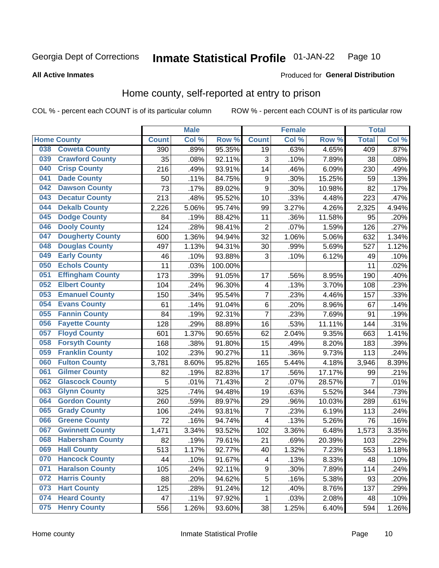#### Inmate Statistical Profile 01-JAN-22 Page 10

**All Active Inmates** 

### Produced for General Distribution

### Home county, self-reported at entry to prison

COL % - percent each COUNT is of its particular column

|     |                         |              | <b>Male</b> |         |                         | <b>Female</b> |        | <b>Total</b>   |       |
|-----|-------------------------|--------------|-------------|---------|-------------------------|---------------|--------|----------------|-------|
|     | <b>Home County</b>      | <b>Count</b> | Col %       | Row %   | <b>Count</b>            | Col %         | Row %  | <b>Total</b>   | Col%  |
| 038 | <b>Coweta County</b>    | 390          | .89%        | 95.35%  | 19                      | .63%          | 4.65%  | 409            | .87%  |
| 039 | <b>Crawford County</b>  | 35           | .08%        | 92.11%  | 3                       | .10%          | 7.89%  | 38             | .08%  |
| 040 | <b>Crisp County</b>     | 216          | .49%        | 93.91%  | 14                      | .46%          | 6.09%  | 230            | .49%  |
| 041 | <b>Dade County</b>      | 50           | .11%        | 84.75%  | 9                       | .30%          | 15.25% | 59             | .13%  |
| 042 | <b>Dawson County</b>    | 73           | .17%        | 89.02%  | 9                       | .30%          | 10.98% | 82             | .17%  |
| 043 | <b>Decatur County</b>   | 213          | .48%        | 95.52%  | 10                      | .33%          | 4.48%  | 223            | .47%  |
| 044 | <b>Dekalb County</b>    | 2,226        | 5.06%       | 95.74%  | 99                      | 3.27%         | 4.26%  | 2,325          | 4.94% |
| 045 | <b>Dodge County</b>     | 84           | .19%        | 88.42%  | 11                      | .36%          | 11.58% | 95             | .20%  |
| 046 | <b>Dooly County</b>     | 124          | .28%        | 98.41%  | $\overline{2}$          | .07%          | 1.59%  | 126            | .27%  |
| 047 | <b>Dougherty County</b> | 600          | 1.36%       | 94.94%  | 32                      | 1.06%         | 5.06%  | 632            | 1.34% |
| 048 | <b>Douglas County</b>   | 497          | 1.13%       | 94.31%  | 30                      | .99%          | 5.69%  | 527            | 1.12% |
| 049 | <b>Early County</b>     | 46           | .10%        | 93.88%  | 3                       | .10%          | 6.12%  | 49             | .10%  |
| 050 | <b>Echols County</b>    | 11           | .03%        | 100.00% |                         |               |        | 11             | .02%  |
| 051 | <b>Effingham County</b> | 173          | .39%        | 91.05%  | 17                      | .56%          | 8.95%  | 190            | .40%  |
| 052 | <b>Elbert County</b>    | 104          | .24%        | 96.30%  | $\overline{\mathbf{4}}$ | .13%          | 3.70%  | 108            | .23%  |
| 053 | <b>Emanuel County</b>   | 150          | .34%        | 95.54%  | $\overline{7}$          | .23%          | 4.46%  | 157            | .33%  |
| 054 | <b>Evans County</b>     | 61           | .14%        | 91.04%  | 6                       | .20%          | 8.96%  | 67             | .14%  |
| 055 | <b>Fannin County</b>    | 84           | .19%        | 92.31%  | 7                       | .23%          | 7.69%  | 91             | .19%  |
| 056 | <b>Fayette County</b>   | 128          | .29%        | 88.89%  | 16                      | .53%          | 11.11% | 144            | .31%  |
| 057 | <b>Floyd County</b>     | 601          | 1.37%       | 90.65%  | 62                      | 2.04%         | 9.35%  | 663            | 1.41% |
| 058 | <b>Forsyth County</b>   | 168          | .38%        | 91.80%  | 15                      | .49%          | 8.20%  | 183            | .39%  |
| 059 | <b>Franklin County</b>  | 102          | .23%        | 90.27%  | 11                      | .36%          | 9.73%  | 113            | .24%  |
| 060 | <b>Fulton County</b>    | 3,781        | 8.60%       | 95.82%  | 165                     | 5.44%         | 4.18%  | 3,946          | 8.39% |
| 061 | <b>Gilmer County</b>    | 82           | .19%        | 82.83%  | 17                      | .56%          | 17.17% | 99             | .21%  |
| 062 | <b>Glascock County</b>  | 5            | .01%        | 71.43%  | $\overline{2}$          | .07%          | 28.57% | $\overline{7}$ | .01%  |
| 063 | <b>Glynn County</b>     | 325          | .74%        | 94.48%  | 19                      | .63%          | 5.52%  | 344            | .73%  |
| 064 | <b>Gordon County</b>    | 260          | .59%        | 89.97%  | 29                      | .96%          | 10.03% | 289            | .61%  |
| 065 | <b>Grady County</b>     | 106          | .24%        | 93.81%  | 7                       | .23%          | 6.19%  | 113            | .24%  |
| 066 | <b>Greene County</b>    | 72           | .16%        | 94.74%  | $\overline{\mathbf{4}}$ | .13%          | 5.26%  | 76             | .16%  |
| 067 | <b>Gwinnett County</b>  | 1,471        | 3.34%       | 93.52%  | 102                     | 3.36%         | 6.48%  | 1,573          | 3.35% |
| 068 | <b>Habersham County</b> | 82           | .19%        | 79.61%  | 21                      | .69%          | 20.39% | 103            | .22%  |
| 069 | <b>Hall County</b>      | 513          | 1.17%       | 92.77%  | 40                      | 1.32%         | 7.23%  | 553            | 1.18% |
| 070 | <b>Hancock County</b>   | 44           | .10%        | 91.67%  | 4                       | .13%          | 8.33%  | 48             | .10%  |
| 071 | <b>Haralson County</b>  | 105          | .24%        | 92.11%  | $\boldsymbol{9}$        | .30%          | 7.89%  | 114            | .24%  |
| 072 | <b>Harris County</b>    | 88           | .20%        | 94.62%  | 5                       | .16%          | 5.38%  | 93             | .20%  |
| 073 | <b>Hart County</b>      | 125          | .28%        | 91.24%  | 12                      | .40%          | 8.76%  | 137            | .29%  |
| 074 | <b>Heard County</b>     | 47           | .11%        | 97.92%  | 1                       | .03%          | 2.08%  | 48             | .10%  |
| 075 | <b>Henry County</b>     | 556          | 1.26%       | 93.60%  | 38                      | 1.25%         | 6.40%  | 594            | 1.26% |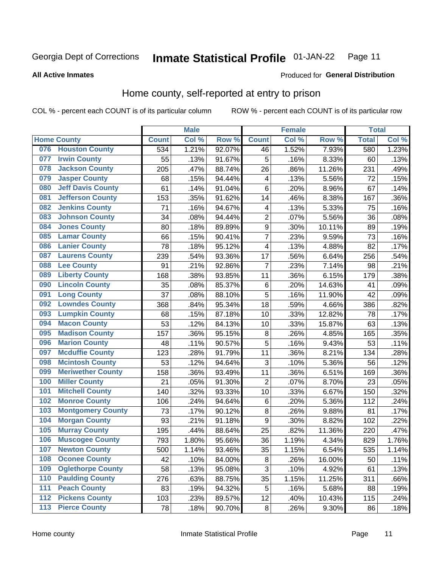#### Inmate Statistical Profile 01-JAN-22 Page 11

### **All Active Inmates**

### Produced for General Distribution

### Home county, self-reported at entry to prison

COL % - percent each COUNT is of its particular column

|                  |                          |              | <b>Male</b> |        |                  | <b>Female</b> |                  | <b>Total</b> |       |
|------------------|--------------------------|--------------|-------------|--------|------------------|---------------|------------------|--------------|-------|
|                  | <b>Home County</b>       | <b>Count</b> | Col %       | Row %  | <b>Count</b>     | Col %         | Row <sup>%</sup> | <b>Total</b> | Col % |
| 076              | <b>Houston County</b>    | 534          | 1.21%       | 92.07% | 46               | 1.52%         | 7.93%            | 580          | 1.23% |
| 077              | <b>Irwin County</b>      | 55           | .13%        | 91.67% | 5                | .16%          | 8.33%            | 60           | .13%  |
| 078              | <b>Jackson County</b>    | 205          | .47%        | 88.74% | 26               | .86%          | 11.26%           | 231          | .49%  |
| 079              | <b>Jasper County</b>     | 68           | .15%        | 94.44% | 4                | .13%          | 5.56%            | 72           | .15%  |
| 080              | <b>Jeff Davis County</b> | 61           | .14%        | 91.04% | 6                | .20%          | 8.96%            | 67           | .14%  |
| 081              | <b>Jefferson County</b>  | 153          | .35%        | 91.62% | 14               | .46%          | 8.38%            | 167          | .36%  |
| 082              | <b>Jenkins County</b>    | 71           | .16%        | 94.67% | 4                | .13%          | 5.33%            | 75           | .16%  |
| 083              | <b>Johnson County</b>    | 34           | .08%        | 94.44% | $\overline{2}$   | .07%          | 5.56%            | 36           | .08%  |
| 084              | <b>Jones County</b>      | 80           | .18%        | 89.89% | $\boldsymbol{9}$ | .30%          | 10.11%           | 89           | .19%  |
| 085              | <b>Lamar County</b>      | 66           | .15%        | 90.41% | $\overline{7}$   | .23%          | 9.59%            | 73           | .16%  |
| 086              | <b>Lanier County</b>     | 78           | .18%        | 95.12% | 4                | .13%          | 4.88%            | 82           | .17%  |
| 087              | <b>Laurens County</b>    | 239          | .54%        | 93.36% | 17               | .56%          | 6.64%            | 256          | .54%  |
| 088              | <b>Lee County</b>        | 91           | .21%        | 92.86% | 7                | .23%          | 7.14%            | 98           | .21%  |
| 089              | <b>Liberty County</b>    | 168          | .38%        | 93.85% | 11               | .36%          | 6.15%            | 179          | .38%  |
| 090              | <b>Lincoln County</b>    | 35           | .08%        | 85.37% | $\,6$            | .20%          | 14.63%           | 41           | .09%  |
| 091              | <b>Long County</b>       | 37           | .08%        | 88.10% | 5                | .16%          | 11.90%           | 42           | .09%  |
| 092              | <b>Lowndes County</b>    | 368          | .84%        | 95.34% | 18               | .59%          | 4.66%            | 386          | .82%  |
| 093              | <b>Lumpkin County</b>    | 68           | .15%        | 87.18% | 10               | .33%          | 12.82%           | 78           | .17%  |
| 094              | <b>Macon County</b>      | 53           | .12%        | 84.13% | 10               | .33%          | 15.87%           | 63           | .13%  |
| 095              | <b>Madison County</b>    | 157          | .36%        | 95.15% | 8                | .26%          | 4.85%            | 165          | .35%  |
| 096              | <b>Marion County</b>     | 48           | .11%        | 90.57% | 5                | .16%          | 9.43%            | 53           | .11%  |
| 097              | <b>Mcduffie County</b>   | 123          | .28%        | 91.79% | 11               | .36%          | 8.21%            | 134          | .28%  |
| 098              | <b>Mcintosh County</b>   | 53           | .12%        | 94.64% | 3                | .10%          | 5.36%            | 56           | .12%  |
| 099              | <b>Meriwether County</b> | 158          | .36%        | 93.49% | 11               | .36%          | 6.51%            | 169          | .36%  |
| 100              | <b>Miller County</b>     | 21           | .05%        | 91.30% | $\overline{2}$   | .07%          | 8.70%            | 23           | .05%  |
| 101              | <b>Mitchell County</b>   | 140          | .32%        | 93.33% | 10               | .33%          | 6.67%            | 150          | .32%  |
| 102              | <b>Monroe County</b>     | 106          | .24%        | 94.64% | $\,6$            | .20%          | 5.36%            | 112          | .24%  |
| 103              | <b>Montgomery County</b> | 73           | .17%        | 90.12% | 8                | .26%          | 9.88%            | 81           | .17%  |
| 104              | <b>Morgan County</b>     | 93           | .21%        | 91.18% | 9                | .30%          | 8.82%            | 102          | .22%  |
| 105              | <b>Murray County</b>     | 195          | .44%        | 88.64% | 25               | .82%          | 11.36%           | 220          | .47%  |
| 106              | <b>Muscogee County</b>   | 793          | 1.80%       | 95.66% | 36               | 1.19%         | 4.34%            | 829          | 1.76% |
| 107              | <b>Newton County</b>     | 500          | 1.14%       | 93.46% | 35               | 1.15%         | 6.54%            | 535          | 1.14% |
| 108              | <b>Oconee County</b>     | 42           | .10%        | 84.00% | 8                | .26%          | 16.00%           | 50           | .11%  |
| 109              | <b>Oglethorpe County</b> | 58           | .13%        | 95.08% | 3                | .10%          | 4.92%            | 61           | .13%  |
| 110              | <b>Paulding County</b>   | 276          | .63%        | 88.75% | 35               | 1.15%         | 11.25%           | 311          | .66%  |
| 111              | <b>Peach County</b>      | 83           | .19%        | 94.32% | 5                | .16%          | 5.68%            | 88           | .19%  |
| $\overline{112}$ | <b>Pickens County</b>    | 103          | .23%        | 89.57% | 12               | .40%          | 10.43%           | 115          | .24%  |
| 113              | <b>Pierce County</b>     | 78           | .18%        | 90.70% | $\bf 8$          | .26%          | 9.30%            | 86           | .18%  |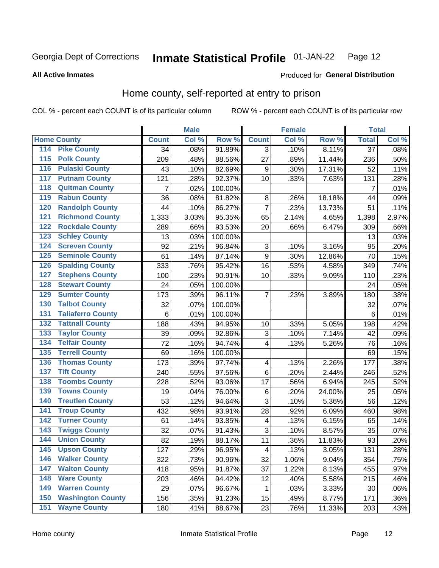#### Inmate Statistical Profile 01-JAN-22 Page 12

**All Active Inmates** 

### Produced for General Distribution

### Home county, self-reported at entry to prison

COL % - percent each COUNT is of its particular column

|                  |                          |                     | <b>Male</b> |         |                         | <b>Female</b> |        | <b>Total</b>    |       |
|------------------|--------------------------|---------------------|-------------|---------|-------------------------|---------------|--------|-----------------|-------|
|                  | <b>Home County</b>       | <b>Count</b>        | Col %       | Row %   | <b>Count</b>            | Col %         | Row %  | <b>Total</b>    | Col % |
| 114              | <b>Pike County</b>       | 34                  | .08%        | 91.89%  | 3                       | .10%          | 8.11%  | $\overline{37}$ | .08%  |
| $\overline{115}$ | <b>Polk County</b>       | 209                 | .48%        | 88.56%  | 27                      | .89%          | 11.44% | 236             | .50%  |
| 116              | <b>Pulaski County</b>    | 43                  | .10%        | 82.69%  | $\boldsymbol{9}$        | .30%          | 17.31% | 52              | .11%  |
| 117              | <b>Putnam County</b>     | 121                 | .28%        | 92.37%  | 10                      | .33%          | 7.63%  | 131             | .28%  |
| 118              | <b>Quitman County</b>    | 7                   | .02%        | 100.00% |                         |               |        | $\overline{7}$  | .01%  |
| 119              | <b>Rabun County</b>      | 36                  | .08%        | 81.82%  | 8                       | .26%          | 18.18% | 44              | .09%  |
| 120              | <b>Randolph County</b>   | 44                  | .10%        | 86.27%  | $\overline{7}$          | .23%          | 13.73% | 51              | .11%  |
| 121              | <b>Richmond County</b>   | $\overline{1}$ ,333 | 3.03%       | 95.35%  | 65                      | 2.14%         | 4.65%  | 1,398           | 2.97% |
| 122              | <b>Rockdale County</b>   | 289                 | .66%        | 93.53%  | 20                      | .66%          | 6.47%  | 309             | .66%  |
| 123              | <b>Schley County</b>     | 13                  | .03%        | 100.00% |                         |               |        | 13              | .03%  |
| 124              | <b>Screven County</b>    | 92                  | .21%        | 96.84%  | $\sqrt{3}$              | .10%          | 3.16%  | 95              | .20%  |
| 125              | <b>Seminole County</b>   | 61                  | .14%        | 87.14%  | $\boldsymbol{9}$        | .30%          | 12.86% | 70              | .15%  |
| 126              | <b>Spalding County</b>   | 333                 | .76%        | 95.42%  | 16                      | .53%          | 4.58%  | 349             | .74%  |
| 127              | <b>Stephens County</b>   | 100                 | .23%        | 90.91%  | 10                      | .33%          | 9.09%  | 110             | .23%  |
| 128              | <b>Stewart County</b>    | 24                  | .05%        | 100.00% |                         |               |        | 24              | .05%  |
| 129              | <b>Sumter County</b>     | 173                 | .39%        | 96.11%  | $\overline{7}$          | .23%          | 3.89%  | 180             | .38%  |
| 130              | <b>Talbot County</b>     | 32                  | .07%        | 100.00% |                         |               |        | 32              | .07%  |
| 131              | <b>Taliaferro County</b> | 6                   | .01%        | 100.00% |                         |               |        | 6               | .01%  |
| 132              | <b>Tattnall County</b>   | 188                 | .43%        | 94.95%  | 10                      | .33%          | 5.05%  | 198             | .42%  |
| 133              | <b>Taylor County</b>     | 39                  | .09%        | 92.86%  | 3                       | .10%          | 7.14%  | 42              | .09%  |
| 134              | <b>Telfair County</b>    | 72                  | .16%        | 94.74%  | $\overline{\mathbf{4}}$ | .13%          | 5.26%  | 76              | .16%  |
| 135              | <b>Terrell County</b>    | 69                  | .16%        | 100.00% |                         |               |        | 69              | .15%  |
| 136              | <b>Thomas County</b>     | 173                 | .39%        | 97.74%  | $\overline{\mathbf{4}}$ | .13%          | 2.26%  | 177             | .38%  |
| 137              | <b>Tift County</b>       | 240                 | .55%        | 97.56%  | $\,6$                   | .20%          | 2.44%  | 246             | .52%  |
| 138              | <b>Toombs County</b>     | 228                 | .52%        | 93.06%  | 17                      | .56%          | 6.94%  | 245             | .52%  |
| 139              | <b>Towns County</b>      | 19                  | .04%        | 76.00%  | $\,6$                   | .20%          | 24.00% | 25              | .05%  |
| 140              | <b>Treutlen County</b>   | 53                  | .12%        | 94.64%  | 3                       | .10%          | 5.36%  | 56              | .12%  |
| 141              | <b>Troup County</b>      | 432                 | .98%        | 93.91%  | 28                      | .92%          | 6.09%  | 460             | .98%  |
| $\overline{142}$ | <b>Turner County</b>     | 61                  | .14%        | 93.85%  | 4                       | .13%          | 6.15%  | 65              | .14%  |
| 143              | <b>Twiggs County</b>     | 32                  | .07%        | 91.43%  | $\overline{3}$          | .10%          | 8.57%  | 35              | .07%  |
| 144              | <b>Union County</b>      | 82                  | .19%        | 88.17%  | 11                      | .36%          | 11.83% | 93              | .20%  |
| 145              | <b>Upson County</b>      | 127                 | .29%        | 96.95%  | $\overline{\mathbf{4}}$ | .13%          | 3.05%  | 131             | .28%  |
| 146              | <b>Walker County</b>     | 322                 | .73%        | 90.96%  | 32                      | 1.06%         | 9.04%  | 354             | .75%  |
| 147              | <b>Walton County</b>     | 418                 | .95%        | 91.87%  | 37                      | 1.22%         | 8.13%  | 455             | .97%  |
| 148              | <b>Ware County</b>       | 203                 | .46%        | 94.42%  | 12                      | .40%          | 5.58%  | 215             | .46%  |
| 149              | <b>Warren County</b>     | 29                  | .07%        | 96.67%  | 1                       | .03%          | 3.33%  | 30              | .06%  |
| 150              | <b>Washington County</b> | 156                 | .35%        | 91.23%  | 15                      | .49%          | 8.77%  | 171             | .36%  |
| 151              | <b>Wayne County</b>      | 180                 | .41%        | 88.67%  | 23                      | .76%          | 11.33% | 203             | .43%  |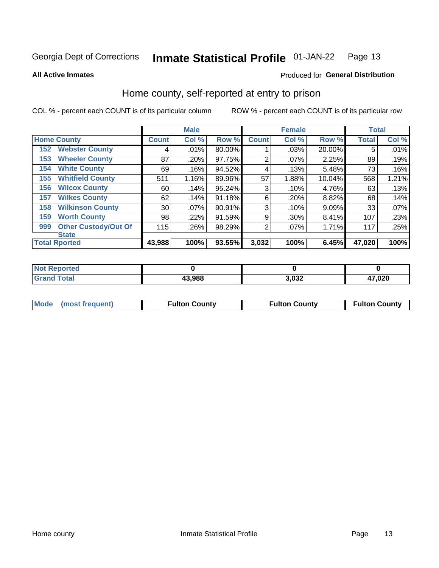#### Inmate Statistical Profile 01-JAN-22 Page 13

### **All Active Inmates**

### Produced for General Distribution

### Home county, self-reported at entry to prison

COL % - percent each COUNT is of its particular column

|     |                             |              | <b>Male</b> |        |              | <b>Female</b> |        | <b>Total</b> |       |
|-----|-----------------------------|--------------|-------------|--------|--------------|---------------|--------|--------------|-------|
|     | <b>Home County</b>          | <b>Count</b> | Col %       | Row %  | <b>Count</b> | Col %         | Row %  | <b>Total</b> | Col % |
| 152 | <b>Webster County</b>       | 4            | .01%        | 80.00% |              | .03%          | 20.00% | 5            | .01%  |
| 153 | <b>Wheeler County</b>       | 87           | .20%        | 97.75% | 2            | $.07\%$       | 2.25%  | 89           | .19%  |
| 154 | <b>White County</b>         | 69           | .16%        | 94.52% | 4            | .13%          | 5.48%  | 73           | .16%  |
| 155 | <b>Whitfield County</b>     | 511          | 1.16%       | 89.96% | 57           | 1.88%         | 10.04% | 568          | 1.21% |
| 156 | <b>Wilcox County</b>        | 60           | .14%        | 95.24% | 3            | .10%          | 4.76%  | 63           | .13%  |
| 157 | <b>Wilkes County</b>        | 62           | .14%        | 91.18% | 6            | .20%          | 8.82%  | 68           | .14%  |
| 158 | <b>Wilkinson County</b>     | 30           | .07%        | 90.91% | 3            | .10%          | 9.09%  | 33           | .07%  |
| 159 | <b>Worth County</b>         | 98           | .22%        | 91.59% | 9            | .30%          | 8.41%  | 107          | .23%  |
| 999 | <b>Other Custody/Out Of</b> | 115          | .26%        | 98.29% | 2            | .07%          | 1.71%  | 117          | .25%  |
|     | <b>State</b>                |              |             |        |              |               |        |              |       |
|     | <b>Total Rported</b>        | 43,988       | 100%        | 93.55% | 3,032        | 100%          | 6.45%  | 47,020       | 100%  |

| <b>Not</b><br>Reported |        |       |        |
|------------------------|--------|-------|--------|
| <b>Total</b>           | 43,988 | 3,032 | 47,020 |

|  | Mode (most frequent) | <b>Fulton County</b> | <b>Fulton County</b> | <b>Fulton County</b> |
|--|----------------------|----------------------|----------------------|----------------------|
|--|----------------------|----------------------|----------------------|----------------------|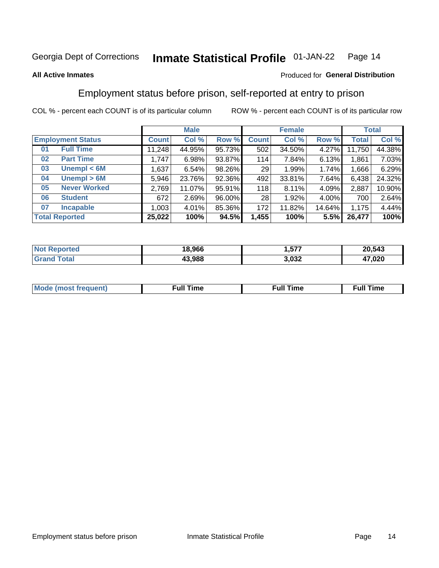#### Inmate Statistical Profile 01-JAN-22 Page 14

### **All Active Inmates**

### Produced for General Distribution

### Employment status before prison, self-reported at entry to prison

COL % - percent each COUNT is of its particular column

|                           | <b>Male</b> |          |        |              | <b>Female</b> |          | <b>Total</b> |        |
|---------------------------|-------------|----------|--------|--------------|---------------|----------|--------------|--------|
| <b>Employment Status</b>  | Count l     | Col %    | Row %  | <b>Count</b> | Col %         | Row %    | Total        | Col %  |
| <b>Full Time</b><br>01    | 11,248      | 44.95%   | 95.73% | 502          | 34.50%        | $4.27\%$ | 11,750       | 44.38% |
| <b>Part Time</b><br>02    | 1,747       | 6.98%    | 93.87% | 114          | 7.84%         | 6.13%    | 1,861        | 7.03%  |
| Unempl $<$ 6M<br>03       | 1,637       | 6.54%    | 98.26% | 29           | 1.99%         | 1.74%    | 1,666        | 6.29%  |
| Unempl > 6M<br>04         | 5,946       | 23.76%   | 92.36% | 492          | 33.81%        | 7.64%    | 6,438        | 24.32% |
| <b>Never Worked</b><br>05 | 2,769       | 11.07%   | 95.91% | 118          | 8.11%         | 4.09%    | 2,887        | 10.90% |
| <b>Student</b><br>06      | 672         | 2.69%    | 96.00% | 28           | 1.92%         | 4.00%    | 700          | 2.64%  |
| <b>Incapable</b><br>07    | 1,003       | $4.01\%$ | 85.36% | 172          | 11.82%        | 14.64%   | 1,175        | 4.44%  |
| <b>Total Reported</b>     | 25,022      | 100%     | 94.5%  | 1,455        | 100%          | 5.5%     | 26,477       | 100%   |

| orteo.<br><b>NOT</b> | 18.966 | ----<br>ו כ. | 20,543 |
|----------------------|--------|--------------|--------|
| 5551<br>Gra          | 43.988 | 3,032        | 47,020 |

| Mc | ----<br>me<br>ш | nc<br>. |
|----|-----------------|---------|
|    |                 |         |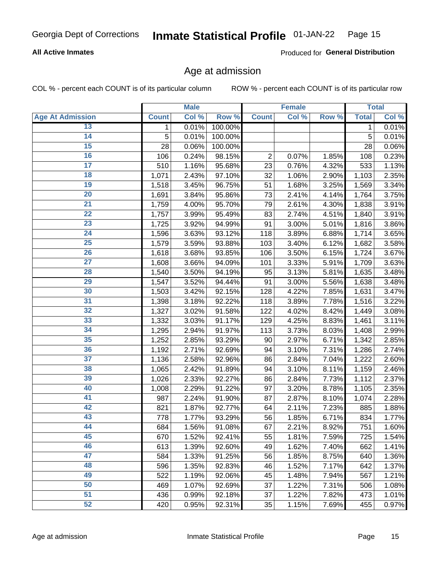### **All Active Inmates**

Produced for General Distribution

### Age at admission

COL % - percent each COUNT is of its particular column

|                         |              | <b>Male</b> |         |                | <b>Female</b> |       |              | <b>Total</b> |
|-------------------------|--------------|-------------|---------|----------------|---------------|-------|--------------|--------------|
| <b>Age At Admission</b> | <b>Count</b> | Col %       | Row %   | <b>Count</b>   | Col %         | Row % | <b>Total</b> | Col %        |
| 13                      | $\mathbf 1$  | 0.01%       | 100.00% |                |               |       | 1            | 0.01%        |
| $\overline{14}$         | 5            | 0.01%       | 100.00% |                |               |       | 5            | 0.01%        |
| 15                      | 28           | 0.06%       | 100.00% |                |               |       | 28           | 0.06%        |
| 16                      | 106          | 0.24%       | 98.15%  | $\overline{2}$ | 0.07%         | 1.85% | 108          | 0.23%        |
| $\overline{17}$         | 510          | 1.16%       | 95.68%  | 23             | 0.76%         | 4.32% | 533          | 1.13%        |
| 18                      | 1,071        | 2.43%       | 97.10%  | 32             | 1.06%         | 2.90% | 1,103        | 2.35%        |
| 19                      | 1,518        | 3.45%       | 96.75%  | 51             | 1.68%         | 3.25% | 1,569        | 3.34%        |
| $\overline{20}$         | 1,691        | 3.84%       | 95.86%  | 73             | 2.41%         | 4.14% | 1,764        | 3.75%        |
| $\overline{21}$         | 1,759        | 4.00%       | 95.70%  | 79             | 2.61%         | 4.30% | 1,838        | 3.91%        |
| $\overline{22}$         | 1,757        | 3.99%       | 95.49%  | 83             | 2.74%         | 4.51% | 1,840        | 3.91%        |
| 23                      | 1,725        | 3.92%       | 94.99%  | 91             | 3.00%         | 5.01% | 1,816        | 3.86%        |
| $\overline{24}$         | 1,596        | 3.63%       | 93.12%  | 118            | 3.89%         | 6.88% | 1,714        | 3.65%        |
| $\overline{25}$         | 1,579        | 3.59%       | 93.88%  | 103            | 3.40%         | 6.12% | 1,682        | 3.58%        |
| $\overline{26}$         | 1,618        | 3.68%       | 93.85%  | 106            | 3.50%         | 6.15% | 1,724        | 3.67%        |
| $\overline{27}$         | 1,608        | 3.66%       | 94.09%  | 101            | 3.33%         | 5.91% | 1,709        | 3.63%        |
| 28                      | 1,540        | 3.50%       | 94.19%  | 95             | 3.13%         | 5.81% | 1,635        | 3.48%        |
| 29                      | 1,547        | 3.52%       | 94.44%  | 91             | 3.00%         | 5.56% | 1,638        | 3.48%        |
| 30                      | 1,503        | 3.42%       | 92.15%  | 128            | 4.22%         | 7.85% | 1,631        | 3.47%        |
| 31                      | 1,398        | 3.18%       | 92.22%  | 118            | 3.89%         | 7.78% | 1,516        | 3.22%        |
| $\overline{32}$         | 1,327        | 3.02%       | 91.58%  | 122            | 4.02%         | 8.42% | 1,449        | 3.08%        |
| 33                      | 1,332        | 3.03%       | 91.17%  | 129            | 4.25%         | 8.83% | 1,461        | 3.11%        |
| 34                      | 1,295        | 2.94%       | 91.97%  | 113            | 3.73%         | 8.03% | 1,408        | 2.99%        |
| 35                      | 1,252        | 2.85%       | 93.29%  | 90             | 2.97%         | 6.71% | 1,342        | 2.85%        |
| 36                      | 1,192        | 2.71%       | 92.69%  | 94             | 3.10%         | 7.31% | 1,286        | 2.74%        |
| $\overline{37}$         | 1,136        | 2.58%       | 92.96%  | 86             | 2.84%         | 7.04% | 1,222        | 2.60%        |
| 38                      | 1,065        | 2.42%       | 91.89%  | 94             | 3.10%         | 8.11% | 1,159        | 2.46%        |
| 39                      | 1,026        | 2.33%       | 92.27%  | 86             | 2.84%         | 7.73% | 1,112        | 2.37%        |
| 40                      | 1,008        | 2.29%       | 91.22%  | 97             | 3.20%         | 8.78% | 1,105        | 2.35%        |
| 41                      | 987          | 2.24%       | 91.90%  | 87             | 2.87%         | 8.10% | 1,074        | 2.28%        |
| 42                      | 821          | 1.87%       | 92.77%  | 64             | 2.11%         | 7.23% | 885          | 1.88%        |
| 43                      | 778          | 1.77%       | 93.29%  | 56             | 1.85%         | 6.71% | 834          | 1.77%        |
| 44                      | 684          | 1.56%       | 91.08%  | 67             | 2.21%         | 8.92% | 751          | 1.60%        |
| 45                      | 670          | 1.52%       | 92.41%  | 55             | 1.81%         | 7.59% | 725          | 1.54%        |
| 46                      | 613          | 1.39%       | 92.60%  | 49             | 1.62%         | 7.40% | 662          | 1.41%        |
| 47                      | 584          | 1.33%       | 91.25%  | 56             | 1.85%         | 8.75% | 640          | 1.36%        |
| 48                      | 596          | 1.35%       | 92.83%  | 46             | 1.52%         | 7.17% | 642          | 1.37%        |
| 49                      | 522          | 1.19%       | 92.06%  | 45             | 1.48%         | 7.94% | 567          | 1.21%        |
| 50                      | 469          | 1.07%       | 92.69%  | 37             | 1.22%         | 7.31% | 506          | 1.08%        |
| 51                      | 436          | 0.99%       | 92.18%  | 37             | 1.22%         | 7.82% | 473          | 1.01%        |
| 52                      | 420          | 0.95%       | 92.31%  | 35             | 1.15%         | 7.69% | 455          | 0.97%        |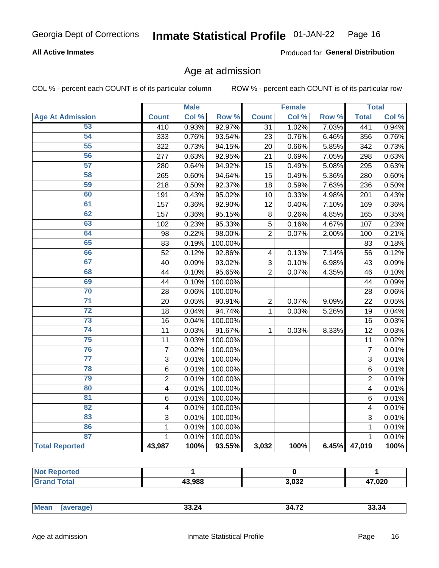### **All Active Inmates**

Produced for General Distribution

### Age at admission

COL % - percent each COUNT is of its particular column

|                         |                         | <b>Male</b> |                  |                         | <b>Female</b> |                  |                 | <b>Total</b> |
|-------------------------|-------------------------|-------------|------------------|-------------------------|---------------|------------------|-----------------|--------------|
| <b>Age At Admission</b> | <b>Count</b>            | Col %       | Row <sup>%</sup> | <b>Count</b>            | Col %         | Row <sup>%</sup> | <b>Total</b>    | Col %        |
| 53                      | 410                     | 0.93%       | 92.97%           | 31                      | 1.02%         | 7.03%            | 441             | 0.94%        |
| 54                      | 333                     | 0.76%       | 93.54%           | 23                      | 0.76%         | 6.46%            | 356             | 0.76%        |
| 55                      | 322                     | 0.73%       | 94.15%           | 20                      | 0.66%         | 5.85%            | 342             | 0.73%        |
| 56                      | 277                     | 0.63%       | 92.95%           | 21                      | 0.69%         | 7.05%            | 298             | 0.63%        |
| $\overline{57}$         | 280                     | 0.64%       | 94.92%           | 15                      | 0.49%         | 5.08%            | 295             | 0.63%        |
| 58                      | 265                     | 0.60%       | 94.64%           | 15                      | 0.49%         | 5.36%            | 280             | 0.60%        |
| 59                      | 218                     | 0.50%       | 92.37%           | 18                      | 0.59%         | 7.63%            | 236             | 0.50%        |
| 60                      | 191                     | 0.43%       | 95.02%           | 10                      | 0.33%         | 4.98%            | 201             | 0.43%        |
| 61                      | 157                     | 0.36%       | 92.90%           | 12                      | 0.40%         | 7.10%            | 169             | 0.36%        |
| 62                      | 157                     | 0.36%       | 95.15%           | $\bf 8$                 | 0.26%         | 4.85%            | 165             | 0.35%        |
| 63                      | 102                     | 0.23%       | 95.33%           | 5                       | 0.16%         | 4.67%            | 107             | 0.23%        |
| 64                      | 98                      | 0.22%       | 98.00%           | $\overline{2}$          | 0.07%         | 2.00%            | 100             | 0.21%        |
| 65                      | 83                      | 0.19%       | 100.00%          |                         |               |                  | 83              | 0.18%        |
| 66                      | 52                      | 0.12%       | 92.86%           | $\overline{\mathbf{4}}$ | 0.13%         | 7.14%            | 56              | 0.12%        |
| 67                      | 40                      | 0.09%       | 93.02%           | 3                       | 0.10%         | 6.98%            | 43              | 0.09%        |
| 68                      | 44                      | 0.10%       | 95.65%           | $\overline{2}$          | 0.07%         | 4.35%            | 46              | 0.10%        |
| 69                      | 44                      | 0.10%       | 100.00%          |                         |               |                  | 44              | 0.09%        |
| 70                      | 28                      | 0.06%       | 100.00%          |                         |               |                  | 28              | 0.06%        |
| $\overline{71}$         | 20                      | 0.05%       | 90.91%           | $\overline{2}$          | 0.07%         | 9.09%            | 22              | 0.05%        |
| $\overline{72}$         | 18                      | 0.04%       | 94.74%           | 1                       | 0.03%         | 5.26%            | 19              | 0.04%        |
| 73                      | 16                      | 0.04%       | 100.00%          |                         |               |                  | 16              | 0.03%        |
| 74                      | 11                      | 0.03%       | 91.67%           | 1                       | 0.03%         | 8.33%            | $\overline{12}$ | 0.03%        |
| 75                      | 11                      | 0.03%       | 100.00%          |                         |               |                  | 11              | 0.02%        |
| 76                      | $\overline{7}$          | 0.02%       | 100.00%          |                         |               |                  | $\overline{7}$  | 0.01%        |
| $\overline{77}$         | $\overline{3}$          | 0.01%       | 100.00%          |                         |               |                  | $\overline{3}$  | 0.01%        |
| 78                      | $\,6$                   | 0.01%       | 100.00%          |                         |               |                  | $\overline{6}$  | 0.01%        |
| 79                      | $\overline{2}$          | 0.01%       | 100.00%          |                         |               |                  | $\overline{2}$  | 0.01%        |
| 80                      | $\overline{\mathbf{4}}$ | 0.01%       | 100.00%          |                         |               |                  | 4               | 0.01%        |
| 81                      | 6                       | 0.01%       | 100.00%          |                         |               |                  | 6               | 0.01%        |
| 82                      | 4                       | 0.01%       | 100.00%          |                         |               |                  | 4               | 0.01%        |
| 83                      | 3                       | 0.01%       | 100.00%          |                         |               |                  | 3               | 0.01%        |
| 86                      | $\mathbf 1$             | 0.01%       | 100.00%          |                         |               |                  | 1               | 0.01%        |
| 87                      | $\mathbf{1}$            | 0.01%       | 100.00%          |                         |               |                  | $\mathbf{1}$    | 0.01%        |
| <b>Total Reported</b>   | 43,987                  | 100%        | 93.55%           | 3,032                   | 100%          | 6.45%            | 47,019          | 100%         |

| τeα<br> |        |                |             |
|---------|--------|----------------|-------------|
|         | 43,988 | רכה כ<br>∍,∪J∠ | 47,020<br>4 |

|  | <b>Me</b> | <br>33.ZO<br>____ | $\rightarrow$<br>34<br>. | 55.54 |
|--|-----------|-------------------|--------------------------|-------|
|--|-----------|-------------------|--------------------------|-------|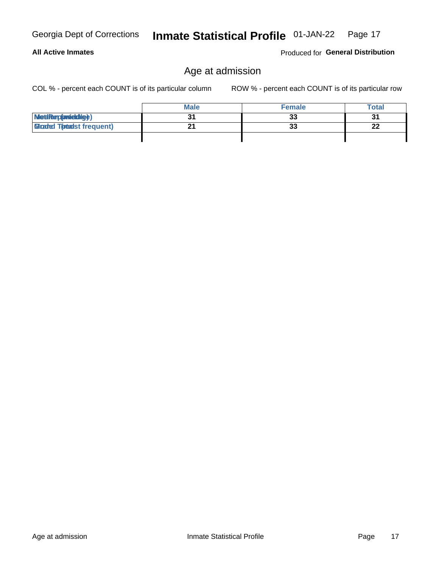**All Active Inmates** 

## Georgia Dept of Corrections

### Age at admission

COL % - percent each COUNT is of its particular column

ROW % - percent each COUNT is of its particular row

|                                  | <b>Male</b> | <b>Female</b> | <b>Total</b>         |
|----------------------------------|-------------|---------------|----------------------|
| MetiRep(aniektig)                |             | 33            | 2 <sub>1</sub><br>ູບ |
| <b>Gloaded Tomadst frequent)</b> |             | 33            | 22                   |
|                                  |             |               |                      |

Produced for General Distribution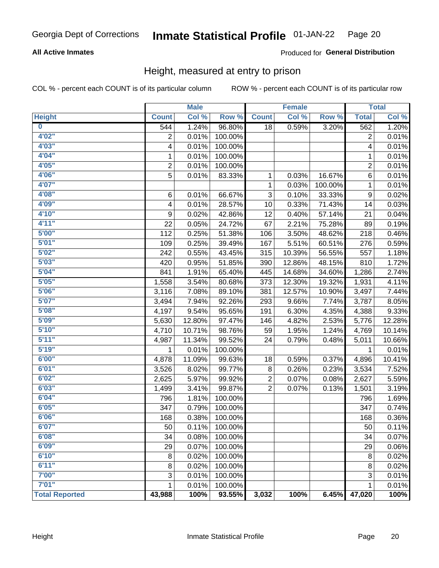### **All Active Inmates**

### Produced for General Distribution

### Height, measured at entry to prison

COL % - percent each COUNT is of its particular column

|                         |                | <b>Male</b> |         |                 | <b>Female</b> |         |                | <b>Total</b> |
|-------------------------|----------------|-------------|---------|-----------------|---------------|---------|----------------|--------------|
| <b>Height</b>           | <b>Count</b>   | Col %       | Row %   | <b>Count</b>    | Col %         | Row %   | <b>Total</b>   | Col %        |
| $\overline{\mathbf{0}}$ | 544            | 1.24%       | 96.80%  | $\overline{18}$ | 0.59%         | 3.20%   | 562            | 1.20%        |
| 4'02''                  | $\overline{2}$ | 0.01%       | 100.00% |                 |               |         | $\overline{2}$ | 0.01%        |
| 4'03''                  | 4              | 0.01%       | 100.00% |                 |               |         | 4              | 0.01%        |
| 4'04"                   | 1              | 0.01%       | 100.00% |                 |               |         | 1              | 0.01%        |
| 4'05"                   | $\overline{2}$ | 0.01%       | 100.00% |                 |               |         | 2              | 0.01%        |
| 4'06"                   | 5              | 0.01%       | 83.33%  | 1               | 0.03%         | 16.67%  | 6              | 0.01%        |
| 4'07"                   |                |             |         | 1               | 0.03%         | 100.00% | 1              | 0.01%        |
| 4'08"                   | 6              | 0.01%       | 66.67%  | 3               | 0.10%         | 33.33%  | 9              | 0.02%        |
| 4'09"                   | 4              | 0.01%       | 28.57%  | 10              | 0.33%         | 71.43%  | 14             | 0.03%        |
| 4'10''                  | 9              | 0.02%       | 42.86%  | 12              | 0.40%         | 57.14%  | 21             | 0.04%        |
| 4'11''                  | 22             | 0.05%       | 24.72%  | 67              | 2.21%         | 75.28%  | 89             | 0.19%        |
| 5'00''                  | 112            | 0.25%       | 51.38%  | 106             | 3.50%         | 48.62%  | 218            | 0.46%        |
| 5'01"                   | 109            | 0.25%       | 39.49%  | 167             | 5.51%         | 60.51%  | 276            | 0.59%        |
| 5'02"                   | 242            | 0.55%       | 43.45%  | 315             | 10.39%        | 56.55%  | 557            | 1.18%        |
| 5'03''                  | 420            | 0.95%       | 51.85%  | 390             | 12.86%        | 48.15%  | 810            | 1.72%        |
| 5'04"                   | 841            | 1.91%       | 65.40%  | 445             | 14.68%        | 34.60%  | 1,286          | 2.74%        |
| 5'05"                   | 1,558          | 3.54%       | 80.68%  | 373             | 12.30%        | 19.32%  | 1,931          | 4.11%        |
| 5'06''                  | 3,116          | 7.08%       | 89.10%  | 381             | 12.57%        | 10.90%  | 3,497          | 7.44%        |
| 5'07"                   | 3,494          | 7.94%       | 92.26%  | 293             | 9.66%         | 7.74%   | 3,787          | 8.05%        |
| 5'08''                  | 4,197          | 9.54%       | 95.65%  | 191             | 6.30%         | 4.35%   | 4,388          | 9.33%        |
| 5'09''                  | 5,630          | 12.80%      | 97.47%  | 146             | 4.82%         | 2.53%   | 5,776          | 12.28%       |
| 5'10''                  | 4,710          | 10.71%      | 98.76%  | 59              | 1.95%         | 1.24%   | 4,769          | 10.14%       |
| 5'11''                  | 4,987          | 11.34%      | 99.52%  | 24              | 0.79%         | 0.48%   | 5,011          | 10.66%       |
| 5'19''                  | 1              | 0.01%       | 100.00% |                 |               |         | 1              | 0.01%        |
| 6'00''                  | 4,878          | 11.09%      | 99.63%  | 18              | 0.59%         | 0.37%   | 4,896          | 10.41%       |
| 6'01''                  | 3,526          | 8.02%       | 99.77%  | 8               | 0.26%         | 0.23%   | 3,534          | 7.52%        |
| 6'02"                   | 2,625          | 5.97%       | 99.92%  | $\overline{c}$  | 0.07%         | 0.08%   | 2,627          | 5.59%        |
| 6'03''                  | 1,499          | 3.41%       | 99.87%  | $\overline{2}$  | 0.07%         | 0.13%   | 1,501          | 3.19%        |
| 6'04"                   | 796            | 1.81%       | 100.00% |                 |               |         | 796            | 1.69%        |
| 6'05"                   | 347            | 0.79%       | 100.00% |                 |               |         | 347            | 0.74%        |
| 6'06''                  | 168            | 0.38%       | 100.00% |                 |               |         | 168            | 0.36%        |
| 6'07"                   | 50             | 0.11%       | 100.00% |                 |               |         | 50             | 0.11%        |
| 6'08"                   | 34             | 0.08%       | 100.00% |                 |               |         | 34             | 0.07%        |
| 6'09''                  | 29             | 0.07%       | 100.00% |                 |               |         | 29             | 0.06%        |
| 6'10''                  | 8              | 0.02%       | 100.00% |                 |               |         | 8              | 0.02%        |
| 6'11''                  | 8              | 0.02%       | 100.00% |                 |               |         | $\bf 8$        | 0.02%        |
| 7'00"                   | 3              | 0.01%       | 100.00% |                 |               |         | 3              | 0.01%        |
| 7'01''                  | $\mathbf{1}$   | 0.01%       | 100.00% |                 |               |         | 1              | 0.01%        |
| <b>Total Reported</b>   | 43,988         | 100%        | 93.55%  | 3,032           | 100%          | 6.45%   | 47,020         | 100%         |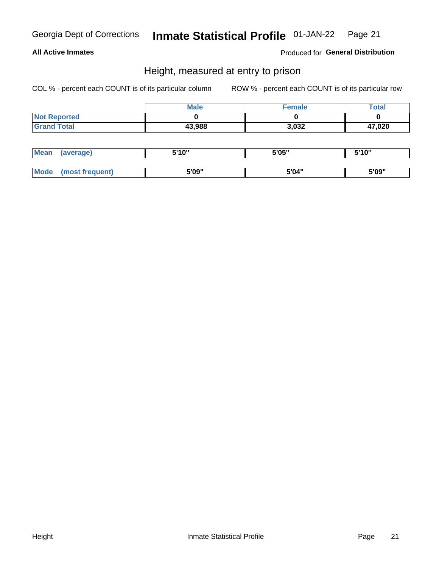### **All Active Inmates**

Produced for General Distribution

### Height, measured at entry to prison

COL % - percent each COUNT is of its particular column

|                     | <b>Male</b> | Female | <b>Total</b> |
|---------------------|-------------|--------|--------------|
| <b>Not Reported</b> |             |        |              |
| <b>Grand Total</b>  | 43,988      | 3,032  | 47,020       |

| <b>Mean</b> | erage) | 5'10" | 5'05" | <b>CIA AIL</b><br>. . |
|-------------|--------|-------|-------|-----------------------|
|             |        |       |       |                       |
| <b>Mode</b> |        | 5'09" | 5'04" | 5'09"                 |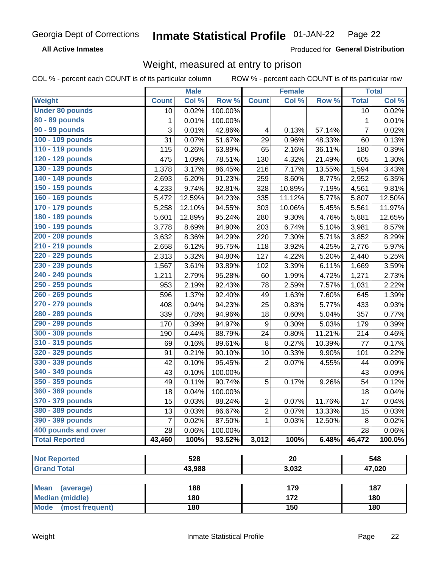**All Active Inmates** 

Produced for General Distribution

## Weight, measured at entry to prison

COL % - percent each COUNT is of its particular column

|                          |                | <b>Male</b> |         |                | <b>Female</b>    |        |                | <b>Total</b>        |
|--------------------------|----------------|-------------|---------|----------------|------------------|--------|----------------|---------------------|
| Weight                   | <b>Count</b>   | Col %       | Row %   | <b>Count</b>   | Col %            | Row %  | <b>Total</b>   | Col %               |
| <b>Under 80 pounds</b>   | 10             | 0.02%       | 100.00% |                |                  |        | 10             | 0.02%               |
| 80 - 89 pounds           | 1              | 0.01%       | 100.00% |                |                  |        | $\mathbf 1$    | 0.01%               |
| 90 - 99 pounds           | 3              | 0.01%       | 42.86%  | 4              | 0.13%            | 57.14% | $\overline{7}$ | 0.02%               |
| 100 - 109 pounds         | 31             | 0.07%       | 51.67%  | 29             | 0.96%            | 48.33% | 60             | 0.13%               |
| 110 - 119 pounds         | 115            | 0.26%       | 63.89%  | 65             | 2.16%            | 36.11% | 180            | 0.39%               |
| 120 - 129 pounds         | 475            | 1.09%       | 78.51%  | 130            | 4.32%            | 21.49% | 605            | 1.30%               |
| 130 - 139 pounds         | 1,378          | 3.17%       | 86.45%  | 216            | 7.17%            | 13.55% | 1,594          | 3.43%               |
| 140 - 149 pounds         | 2,693          | 6.20%       | 91.23%  | 259            | 8.60%            | 8.77%  | 2,952          | 6.35%               |
| 150 - 159 pounds         | 4,233          | 9.74%       | 92.81%  | 328            | 10.89%           | 7.19%  | 4,561          | 9.81%               |
| 160 - 169 pounds         | 5,472          | 12.59%      | 94.23%  | 335            | 11.12%           | 5.77%  | 5,807          | 12.50%              |
| 170 - 179 pounds         | 5,258          | 12.10%      | 94.55%  | 303            | 10.06%           | 5.45%  | 5,561          | 11.97%              |
| 180 - 189 pounds         | 5,601          | 12.89%      | 95.24%  | 280            | 9.30%            | 4.76%  | 5,881          | 12.65%              |
| 190 - 199 pounds         | 3,778          | 8.69%       | 94.90%  | 203            | 6.74%            | 5.10%  | 3,981          | 8.57%               |
| 200 - 209 pounds         | 3,632          | 8.36%       | 94.29%  | 220            | 7.30%            | 5.71%  | 3,852          | 8.29%               |
| 210 - 219 pounds         | 2,658          | 6.12%       | 95.75%  | 118            | 3.92%            | 4.25%  | 2,776          | 5.97%               |
| 220 - 229 pounds         | 2,313          | 5.32%       | 94.80%  | 127            | 4.22%            | 5.20%  | 2,440          | 5.25%               |
| 230 - 239 pounds         | 1,567          | 3.61%       | 93.89%  | 102            | 3.39%            | 6.11%  | 1,669          | 3.59%               |
| 240 - 249 pounds         | 1,211          | 2.79%       | 95.28%  | 60             | 1.99%            | 4.72%  | 1,271          | 2.73%               |
| 250 - 259 pounds         | 953            | 2.19%       | 92.43%  | 78             | 2.59%            | 7.57%  | 1,031          | 2.22%               |
| 260 - 269 pounds         | 596            | 1.37%       | 92.40%  | 49             | 1.63%            | 7.60%  | 645            | 1.39%               |
| 270 - 279 pounds         | 408            | 0.94%       | 94.23%  | 25             | 0.83%            | 5.77%  | 433            | 0.93%               |
| 280 - 289 pounds         | 339            | 0.78%       | 94.96%  | 18             | 0.60%            | 5.04%  | 357            | 0.77%               |
| 290 - 299 pounds         | 170            | 0.39%       | 94.97%  | 9              | 0.30%            | 5.03%  | 179            | 0.39%               |
| 300 - 309 pounds         | 190            | 0.44%       | 88.79%  | 24             | 0.80%            | 11.21% | 214            | 0.46%               |
| 310 - 319 pounds         | 69             | 0.16%       | 89.61%  | $\bf 8$        | 0.27%            | 10.39% | 77             | 0.17%               |
| 320 - 329 pounds         | 91             | 0.21%       | 90.10%  | 10             | 0.33%            | 9.90%  | 101            | 0.22%               |
| 330 - 339 pounds         | 42             | 0.10%       | 95.45%  | $\overline{2}$ | 0.07%            | 4.55%  | 44             | 0.09%               |
| 340 - 349 pounds         | 43             | 0.10%       | 100.00% |                |                  |        | 43             | 0.09%               |
| 350 - 359 pounds         | 49             | 0.11%       | 90.74%  | 5              | $0.17\%$         | 9.26%  | 54             | 0.12%               |
| 360 - 369 pounds         | 18             | 0.04%       | 100.00% |                |                  |        | 18             | 0.04%               |
| 370 - 379 pounds         | 15             | 0.03%       | 88.24%  | $\sqrt{2}$     | 0.07%            | 11.76% | 17             | 0.04%               |
| 380 - 389 pounds         | 13             | 0.03%       | 86.67%  | $\overline{2}$ | 0.07%            | 13.33% | 15             | 0.03%               |
| 390 - 399 pounds         | $\overline{7}$ | 0.02%       | 87.50%  | 1              | 0.03%            | 12.50% | 8              | 0.02%               |
| 400 pounds and over      | 28             | 0.06%       | 100.00% |                |                  |        | 28             | $\overline{0.06\%}$ |
| <b>Total Reported</b>    | 43,460         | 100%        | 93.52%  | 3,012          | 100%             | 6.48%  | 46,472         | 100.0%              |
|                          |                |             |         |                |                  |        |                |                     |
| <b>Not Reported</b>      |                | 528         |         |                | $\overline{20}$  |        |                | 548                 |
| <b>Grand Total</b>       |                | 43,988      |         |                | 3,032            |        |                | 47,020              |
|                          |                |             |         |                |                  |        |                |                     |
| <b>Mean</b><br>(average) |                | 188         |         |                | 179              |        |                | 187                 |
| <b>Median (middle)</b>   |                | 180         |         |                | $\overline{172}$ |        |                | 180                 |
| Mode (most frequent)     |                | 180         |         |                | 150              |        |                | 180                 |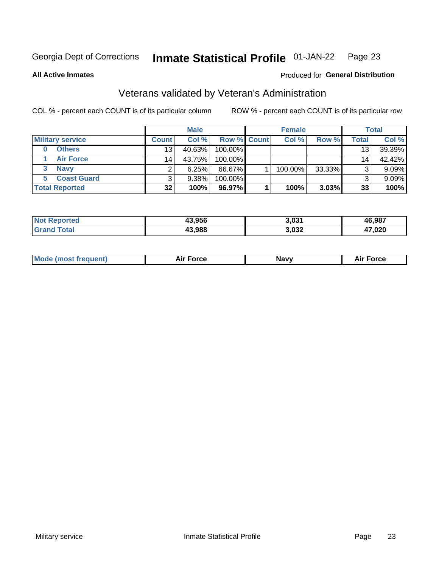#### Inmate Statistical Profile 01-JAN-22 Page 23

**All Active Inmates** 

### Produced for General Distribution

### Veterans validated by Veteran's Administration

COL % - percent each COUNT is of its particular column

|                         |                 | <b>Male</b> |                    | <b>Female</b> |        |       | <b>Total</b> |
|-------------------------|-----------------|-------------|--------------------|---------------|--------|-------|--------------|
| <b>Military service</b> | <b>Count</b>    | Col %       | <b>Row % Count</b> | Col %         | Row %  | Total | Col %        |
| <b>Others</b>           | 13 <sub>1</sub> | 40.63%      | 100.00%            |               |        | 13    | 39.39%       |
| <b>Air Force</b>        | 14              | 43.75%      | 100.00%            |               |        | 14    | 42.42%       |
| <b>Navy</b>             |                 | 6.25%       | 66.67%             | 100.00%       | 33.33% | ົ     | $9.09\%$     |
| <b>Coast Guard</b>      |                 | $9.38\%$    | 100.00%            |               |        |       | 9.09%        |
| <b>Total Reported</b>   | 32              | 100%        | 96.97%             | 100%          | 3.03%  | 33    | 100%         |

|                                 | 13.956 | 3.031 | 46.987 |
|---------------------------------|--------|-------|--------|
| $\mathcal{L}$ and $\mathcal{L}$ | 13,988 | 3,032 | 17,020 |

|  | <b>Mode (most frequent)</b> | <b>Force</b><br>¬… | <b>Navy</b> | orce <sup>.</sup><br>יור |
|--|-----------------------------|--------------------|-------------|--------------------------|
|--|-----------------------------|--------------------|-------------|--------------------------|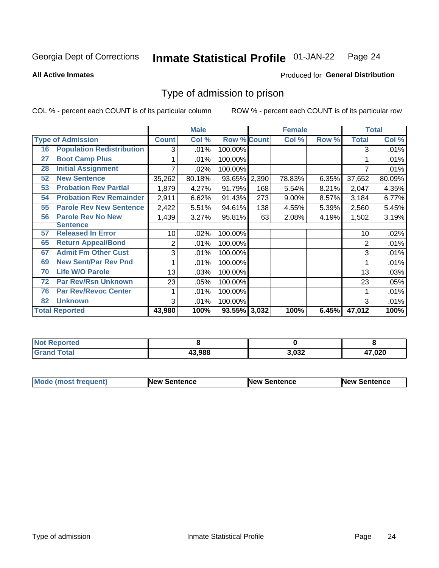#### **Inmate Statistical Profile 01-JAN-22** Page 24

**All Active Inmates** 

### Produced for General Distribution

### Type of admission to prison

COL % - percent each COUNT is of its particular column

|    |                                  |              | <b>Male</b> |                    |       | <b>Female</b> |       |              | <b>Total</b> |
|----|----------------------------------|--------------|-------------|--------------------|-------|---------------|-------|--------------|--------------|
|    | <b>Type of Admission</b>         | <b>Count</b> | Col %       | <b>Row % Count</b> |       | Col %         | Row % | <b>Total</b> | Col %        |
| 16 | <b>Population Redistribution</b> | 3            | .01%        | 100.00%            |       |               |       | 3            | .01%         |
| 27 | <b>Boot Camp Plus</b>            |              | .01%        | 100.00%            |       |               |       |              | .01%         |
| 28 | <b>Initial Assignment</b>        |              | .02%        | 100.00%            |       |               |       |              | .01%         |
| 52 | <b>New Sentence</b>              | 35,262       | 80.18%      | 93.65%             | 2,390 | 78.83%        | 6.35% | 37,652       | 80.09%       |
| 53 | <b>Probation Rev Partial</b>     | 1,879        | 4.27%       | 91.79%             | 168   | 5.54%         | 8.21% | 2,047        | 4.35%        |
| 54 | <b>Probation Rev Remainder</b>   | 2,911        | 6.62%       | 91.43%             | 273   | 9.00%         | 8.57% | 3,184        | 6.77%        |
| 55 | <b>Parole Rev New Sentence</b>   | 2,422        | 5.51%       | 94.61%             | 138   | 4.55%         | 5.39% | 2,560        | 5.45%        |
| 56 | <b>Parole Rev No New</b>         | 1,439        | 3.27%       | 95.81%             | 63    | 2.08%         | 4.19% | 1,502        | 3.19%        |
|    | <b>Sentence</b>                  |              |             |                    |       |               |       |              |              |
| 57 | <b>Released In Error</b>         | 10           | .02%        | 100.00%            |       |               |       | 10           | .02%         |
| 65 | <b>Return Appeal/Bond</b>        | 2            | .01%        | 100.00%            |       |               |       | 2            | .01%         |
| 67 | <b>Admit Fm Other Cust</b>       | 3            | .01%        | 100.00%            |       |               |       | 3            | .01%         |
| 69 | <b>New Sent/Par Rev Pnd</b>      |              | .01%        | 100.00%            |       |               |       |              | .01%         |
| 70 | <b>Life W/O Parole</b>           | 13           | .03%        | 100.00%            |       |               |       | 13           | .03%         |
| 72 | <b>Par Rev/Rsn Unknown</b>       | 23           | .05%        | 100.00%            |       |               |       | 23           | .05%         |
| 76 | <b>Par Rev/Revoc Center</b>      |              | .01%        | 100.00%            |       |               |       |              | .01%         |
| 82 | <b>Unknown</b>                   | 3            | .01%        | 100.00%            |       |               |       | 3            | .01%         |
|    | <b>Total Reported</b>            | 43,980       | 100%        | 93.55% 3,032       |       | 100%          | 6.45% | 47,012       | 100%         |

| Reported<br>' N∩ı                 |        |       |        |
|-----------------------------------|--------|-------|--------|
| $\tau$ otar<br>"Gran <sub>"</sub> | 43.988 | 3,032 | 47,020 |

| <b>Mode (most frequent)</b> | <b>New Sentence</b> | <b>New Sentence</b> | <b>New Sentence</b> |
|-----------------------------|---------------------|---------------------|---------------------|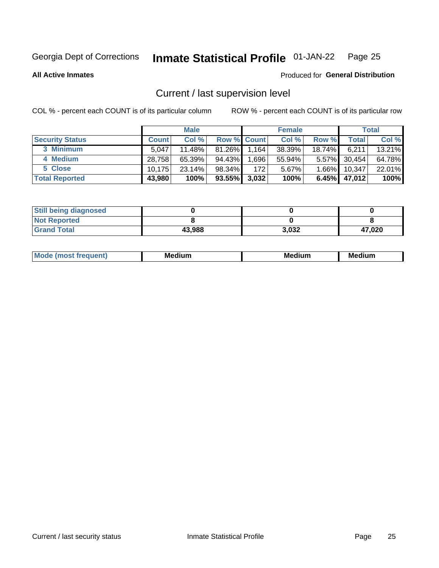#### Inmate Statistical Profile 01-JAN-22 Page 25

**All Active Inmates** 

### Produced for General Distribution

### Current / last supervision level

COL % - percent each COUNT is of its particular column

|                        |              | <b>Male</b> |                    |       | <b>Female</b> |          |        | <b>Total</b> |
|------------------------|--------------|-------------|--------------------|-------|---------------|----------|--------|--------------|
| <b>Security Status</b> | <b>Count</b> | Col %       | <b>Row % Count</b> |       | Col %         | Row %    | Total  | Col %        |
| 3 Minimum              | 5.047        | 11.48%      | $81.26\%$          | 1,164 | 38.39%        | 18.74%   | 6,211  | 13.21%       |
| 4 Medium               | 28,758       | $65.39\%$   | 94.43%             | .696  | 55.94%        | $5.57\%$ | 30,454 | 64.78%       |
| 5 Close                | 10.175       | 23.14%      | 98.34%             | 172   | 5.67%         | $1.66\%$ | 10.347 | 22.01%       |
| <b>Total Reported</b>  | 43,980       | 100%        | $93.55\%$          | 3,032 | 100%          | $6.45\%$ | 47,012 | 100%         |

| <b>Still being diagnosed</b> |        |       |        |
|------------------------------|--------|-------|--------|
| <b>Not Reported</b>          |        |       |        |
| <b>Grand Total</b>           | 43,988 | 3.032 | 47.020 |

| M | M | . . |
|---|---|-----|
|   |   |     |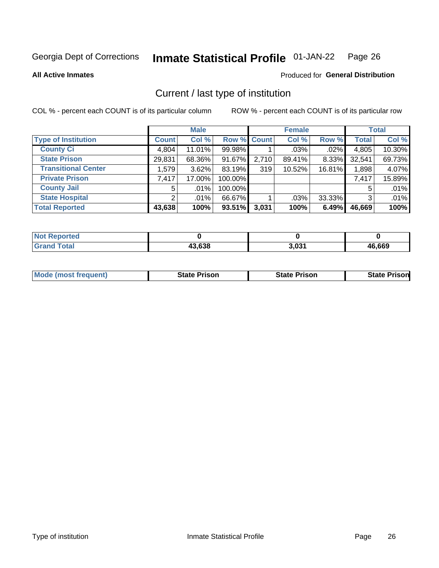#### Inmate Statistical Profile 01-JAN-22 Page 26

**All Active Inmates** 

### Produced for General Distribution

### Current / last type of institution

COL % - percent each COUNT is of its particular column

|                            |                | <b>Male</b> |             |       | <b>Female</b> |        |              | <b>Total</b> |
|----------------------------|----------------|-------------|-------------|-------|---------------|--------|--------------|--------------|
| <b>Type of Institution</b> | <b>Count</b>   | Col %       | Row % Count |       | Col %         | Row %  | <b>Total</b> | Col %        |
| <b>County Ci</b>           | 4,804          | 11.01%      | 99.98%      |       | $.03\%$       | .02%   | 4,805        | 10.30%       |
| <b>State Prison</b>        | 29,831         | 68.36%      | 91.67%      | 2,710 | 89.41%        | 8.33%  | 32,541       | 69.73%       |
| <b>Transitional Center</b> | 1,579          | 3.62%       | 83.19%      | 319   | 10.52%        | 16.81% | 1,898        | 4.07%        |
| <b>Private Prison</b>      | 7,417          | 17.00%      | 100.00%     |       |               |        | 7,417        | 15.89%       |
| <b>County Jail</b>         | 5              | $.01\%$     | 100.00%     |       |               |        |              | .01%         |
| <b>State Hospital</b>      | $\overline{2}$ | $.01\%$     | 66.67%      |       | .03%          | 33.33% | 3            | .01%         |
| <b>Total Reported</b>      | 43,638         | 100%        | $93.51\%$   | 3,031 | 100%          | 6.49%  | 46,669       | 100%         |

| <b>rted</b> |        |       |               |
|-------------|--------|-------|---------------|
|             | 43.638 | 3.031 | 6,669<br>/I I |

|  | <b>Mode (most frequent)</b> | State Prison | <b>State Prison</b> | <b>State Prison</b> |
|--|-----------------------------|--------------|---------------------|---------------------|
|--|-----------------------------|--------------|---------------------|---------------------|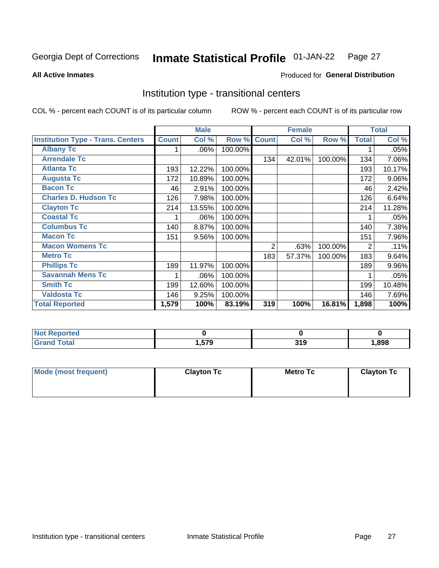#### Inmate Statistical Profile 01-JAN-22 Page 27

**All Active Inmates** 

### Produced for General Distribution

### Institution type - transitional centers

COL % - percent each COUNT is of its particular column

|                                          |              | <b>Male</b> |         |              | <b>Female</b> |         |                | <b>Total</b> |
|------------------------------------------|--------------|-------------|---------|--------------|---------------|---------|----------------|--------------|
| <b>Institution Type - Trans. Centers</b> | <b>Count</b> | Col %       | Row %   | <b>Count</b> | Col %         | Row %   | <b>Total</b>   | Col %        |
| <b>Albany Tc</b>                         |              | $.06\%$     | 100.00% |              |               |         |                | .05%         |
| <b>Arrendale Tc</b>                      |              |             |         | 134          | 42.01%        | 100.00% | 134            | 7.06%        |
| <b>Atlanta Tc</b>                        | 193          | 12.22%      | 100.00% |              |               |         | 193            | 10.17%       |
| <b>Augusta Tc</b>                        | 172          | 10.89%      | 100.00% |              |               |         | 172            | 9.06%        |
| <b>Bacon Tc</b>                          | 46           | 2.91%       | 100.00% |              |               |         | 46             | 2.42%        |
| <b>Charles D. Hudson Tc</b>              | 126          | 7.98%       | 100.00% |              |               |         | 126            | 6.64%        |
| <b>Clayton Tc</b>                        | 214          | 13.55%      | 100.00% |              |               |         | 214            | 11.28%       |
| <b>Coastal Tc</b>                        |              | .06%        | 100.00% |              |               |         |                | .05%         |
| <b>Columbus Tc</b>                       | 140          | 8.87%       | 100.00% |              |               |         | 140            | 7.38%        |
| <b>Macon Tc</b>                          | 151          | 9.56%       | 100.00% |              |               |         | 151            | 7.96%        |
| <b>Macon Womens Tc</b>                   |              |             |         | 2            | .63%          | 100.00% | $\overline{2}$ | .11%         |
| <b>Metro Tc</b>                          |              |             |         | 183          | 57.37%        | 100.00% | 183            | 9.64%        |
| <b>Phillips Tc</b>                       | 189          | 11.97%      | 100.00% |              |               |         | 189            | 9.96%        |
| <b>Savannah Mens Tc</b>                  | 1            | .06%        | 100.00% |              |               |         |                | .05%         |
| <b>Smith Tc</b>                          | 199          | 12.60%      | 100.00% |              |               |         | 199            | 10.48%       |
| <b>Valdosta Tc</b>                       | 146          | 9.25%       | 100.00% |              |               |         | 146            | 7.69%        |
| <b>Total Reported</b>                    | 1,579        | 100%        | 83.19%  | 319          | 100%          | 16.81%  | 1,898          | 100%         |

| <b>Not Reported</b>          |      |      |
|------------------------------|------|------|
| <b>Total</b><br><b>Grand</b> | .579 | .898 |

| Mode (most frequent) | <b>Clayton Tc</b> | Metro Tc | <b>Clayton Tc</b> |
|----------------------|-------------------|----------|-------------------|
|                      |                   |          |                   |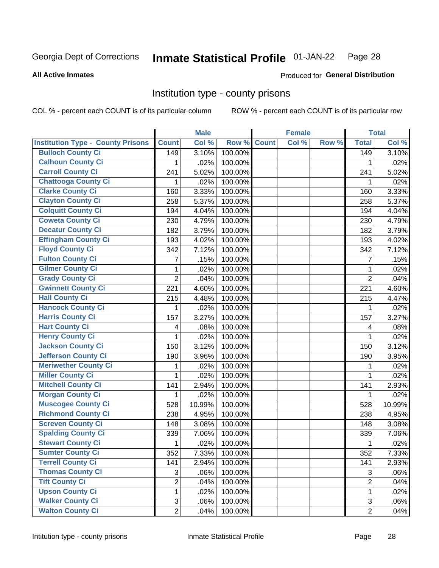#### **Inmate Statistical Profile 01-JAN-22** Page 28

Produced for General Distribution

### **All Active Inmates**

### Institution type - county prisons

COL % - percent each COUNT is of its particular column

|                                          |                | <b>Male</b> |         |              | <b>Female</b> |       |                | <b>Total</b> |
|------------------------------------------|----------------|-------------|---------|--------------|---------------|-------|----------------|--------------|
| <b>Institution Type - County Prisons</b> | <b>Count</b>   | Col %       | Row %   | <b>Count</b> | Col %         | Row % | <b>Total</b>   | Col %        |
| <b>Bulloch County Ci</b>                 | 149            | 3.10%       | 100.00% |              |               |       | 149            | 3.10%        |
| <b>Calhoun County Ci</b>                 | 1              | .02%        | 100.00% |              |               |       | 1              | .02%         |
| <b>Carroll County Ci</b>                 | 241            | 5.02%       | 100.00% |              |               |       | 241            | 5.02%        |
| <b>Chattooga County Ci</b>               | 1              | .02%        | 100.00% |              |               |       | 1              | .02%         |
| <b>Clarke County Ci</b>                  | 160            | 3.33%       | 100.00% |              |               |       | 160            | 3.33%        |
| <b>Clayton County Ci</b>                 | 258            | 5.37%       | 100.00% |              |               |       | 258            | 5.37%        |
| <b>Colquitt County Ci</b>                | 194            | 4.04%       | 100.00% |              |               |       | 194            | 4.04%        |
| <b>Coweta County Ci</b>                  | 230            | 4.79%       | 100.00% |              |               |       | 230            | 4.79%        |
| <b>Decatur County Ci</b>                 | 182            | 3.79%       | 100.00% |              |               |       | 182            | 3.79%        |
| <b>Effingham County Ci</b>               | 193            | 4.02%       | 100.00% |              |               |       | 193            | 4.02%        |
| <b>Floyd County Ci</b>                   | 342            | 7.12%       | 100.00% |              |               |       | 342            | 7.12%        |
| <b>Fulton County Ci</b>                  | 7              | .15%        | 100.00% |              |               |       | $\overline{7}$ | .15%         |
| <b>Gilmer County Ci</b>                  | 1              | .02%        | 100.00% |              |               |       | $\mathbf{1}$   | .02%         |
| <b>Grady County Ci</b>                   | $\overline{2}$ | .04%        | 100.00% |              |               |       | $\overline{2}$ | .04%         |
| <b>Gwinnett County Ci</b>                | 221            | 4.60%       | 100.00% |              |               |       | 221            | 4.60%        |
| <b>Hall County Ci</b>                    | 215            | 4.48%       | 100.00% |              |               |       | 215            | 4.47%        |
| <b>Hancock County Ci</b>                 | 1              | .02%        | 100.00% |              |               |       | 1              | .02%         |
| <b>Harris County Ci</b>                  | 157            | 3.27%       | 100.00% |              |               |       | 157            | 3.27%        |
| <b>Hart County Ci</b>                    | 4              | .08%        | 100.00% |              |               |       | 4              | .08%         |
| <b>Henry County Ci</b>                   | 1              | .02%        | 100.00% |              |               |       | 1              | .02%         |
| <b>Jackson County Ci</b>                 | 150            | 3.12%       | 100.00% |              |               |       | 150            | 3.12%        |
| Jefferson County Ci                      | 190            | 3.96%       | 100.00% |              |               |       | 190            | 3.95%        |
| <b>Meriwether County Ci</b>              | 1              | .02%        | 100.00% |              |               |       | 1              | .02%         |
| <b>Miller County Ci</b>                  | 1              | .02%        | 100.00% |              |               |       | 1              | .02%         |
| <b>Mitchell County Ci</b>                | 141            | 2.94%       | 100.00% |              |               |       | 141            | 2.93%        |
| <b>Morgan County Ci</b>                  | 1              | .02%        | 100.00% |              |               |       | 1              | .02%         |
| <b>Muscogee County Ci</b>                | 528            | 10.99%      | 100.00% |              |               |       | 528            | 10.99%       |
| <b>Richmond County Ci</b>                | 238            | 4.95%       | 100.00% |              |               |       | 238            | 4.95%        |
| <b>Screven County Ci</b>                 | 148            | 3.08%       | 100.00% |              |               |       | 148            | 3.08%        |
| <b>Spalding County Ci</b>                | 339            | 7.06%       | 100.00% |              |               |       | 339            | 7.06%        |
| <b>Stewart County Ci</b>                 | 1              | .02%        | 100.00% |              |               |       | 1              | .02%         |
| <b>Sumter County Ci</b>                  | 352            | 7.33%       | 100.00% |              |               |       | 352            | 7.33%        |
| <b>Terrell County Ci</b>                 | 141            | 2.94%       | 100.00% |              |               |       | 141            | 2.93%        |
| <b>Thomas County Ci</b>                  | 3              | .06%        | 100.00% |              |               |       | 3              | .06%         |
| <b>Tift County Ci</b>                    | $\overline{2}$ | .04%        | 100.00% |              |               |       | $\overline{2}$ | .04%         |
| <b>Upson County Ci</b>                   | 1              | .02%        | 100.00% |              |               |       | 1              | .02%         |
| <b>Walker County Ci</b>                  | 3              | .06%        | 100.00% |              |               |       | 3              | .06%         |
| <b>Walton County Ci</b>                  | $\overline{2}$ | .04%        | 100.00% |              |               |       | $\overline{2}$ | .04%         |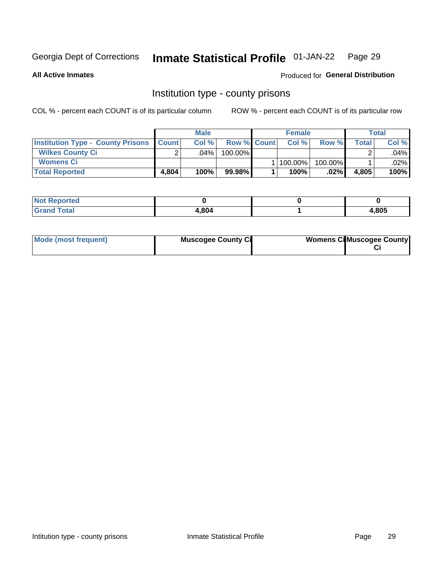#### **Inmate Statistical Profile 01-JAN-22** Page 29

**All Active Inmates** 

Produced for General Distribution

### Institution type - county prisons

COL % - percent each COUNT is of its particular column

|                                                    |       | <b>Male</b> |                    | <b>Female</b> |         |       | Total  |
|----------------------------------------------------|-------|-------------|--------------------|---------------|---------|-------|--------|
| <b>Institution Type - County Prisons   Count  </b> |       | Col%        | <b>Row % Count</b> | Col %         | Row %   | Total | Col %  |
| <b>Wilkes County Ci</b>                            |       | .04%        | 100.00%            |               |         |       | .04%   |
| <b>Womens Ci</b>                                   |       |             |                    | 1   100.00%   | 100.00% |       | .02% l |
| <b>Total Reported</b>                              | 4,804 | 100%        | 99.98%             | 100%          | .02%    | 4,805 | 100%   |

| <b>Not Reported</b> |       |       |
|---------------------|-------|-------|
| <b>Total</b>        | 1.804 | 4,805 |

| Mode (most frequent) | <b>Muscogee County Ci</b> | <b>Womens Ci</b> Muscogee County |
|----------------------|---------------------------|----------------------------------|
|----------------------|---------------------------|----------------------------------|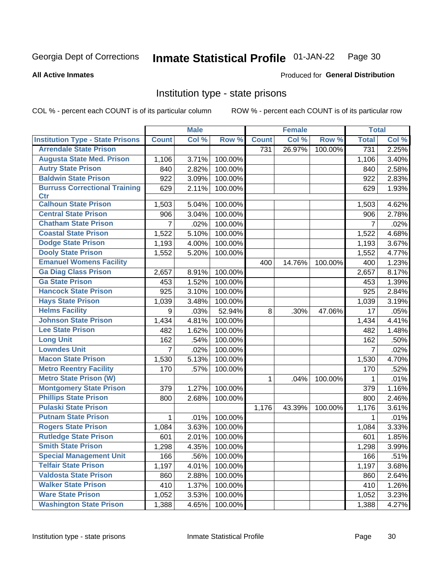#### Inmate Statistical Profile 01-JAN-22 Page 30

### **All Active Inmates**

## Produced for General Distribution

### Institution type - state prisons

COL % - percent each COUNT is of its particular column

|                                         |                | <b>Male</b> |         |              | <b>Female</b> |         | <b>Total</b> |       |
|-----------------------------------------|----------------|-------------|---------|--------------|---------------|---------|--------------|-------|
| <b>Institution Type - State Prisons</b> | <b>Count</b>   | Col %       | Row %   | <b>Count</b> | Col %         | Row %   | <b>Total</b> | Col % |
| <b>Arrendale State Prison</b>           |                |             |         | 731          | 26.97%        | 100.00% | 731          | 2.25% |
| <b>Augusta State Med. Prison</b>        | 1,106          | 3.71%       | 100.00% |              |               |         | 1,106        | 3.40% |
| <b>Autry State Prison</b>               | 840            | 2.82%       | 100.00% |              |               |         | 840          | 2.58% |
| <b>Baldwin State Prison</b>             | 922            | 3.09%       | 100.00% |              |               |         | 922          | 2.83% |
| <b>Burruss Correctional Training</b>    | 629            | 2.11%       | 100.00% |              |               |         | 629          | 1.93% |
| <b>Ctr</b>                              |                |             |         |              |               |         |              |       |
| <b>Calhoun State Prison</b>             | 1,503          | 5.04%       | 100.00% |              |               |         | 1,503        | 4.62% |
| <b>Central State Prison</b>             | 906            | 3.04%       | 100.00% |              |               |         | 906          | 2.78% |
| <b>Chatham State Prison</b>             | 7              | .02%        | 100.00% |              |               |         | 7            | .02%  |
| <b>Coastal State Prison</b>             | 1,522          | 5.10%       | 100.00% |              |               |         | 1,522        | 4.68% |
| <b>Dodge State Prison</b>               | 1,193          | 4.00%       | 100.00% |              |               |         | 1,193        | 3.67% |
| <b>Dooly State Prison</b>               | 1,552          | 5.20%       | 100.00% |              |               |         | 1,552        | 4.77% |
| <b>Emanuel Womens Facility</b>          |                |             |         | 400          | 14.76%        | 100.00% | 400          | 1.23% |
| <b>Ga Diag Class Prison</b>             | 2,657          | 8.91%       | 100.00% |              |               |         | 2,657        | 8.17% |
| <b>Ga State Prison</b>                  | 453            | 1.52%       | 100.00% |              |               |         | 453          | 1.39% |
| <b>Hancock State Prison</b>             | 925            | 3.10%       | 100.00% |              |               |         | 925          | 2.84% |
| <b>Hays State Prison</b>                | 1,039          | 3.48%       | 100.00% |              |               |         | 1,039        | 3.19% |
| <b>Helms Facility</b>                   | 9              | .03%        | 52.94%  | 8            | .30%          | 47.06%  | 17           | .05%  |
| <b>Johnson State Prison</b>             | 1,434          | 4.81%       | 100.00% |              |               |         | 1,434        | 4.41% |
| <b>Lee State Prison</b>                 | 482            | 1.62%       | 100.00% |              |               |         | 482          | 1.48% |
| <b>Long Unit</b>                        | 162            | .54%        | 100.00% |              |               |         | 162          | .50%  |
| <b>Lowndes Unit</b>                     | $\overline{7}$ | .02%        | 100.00% |              |               |         | 7            | .02%  |
| <b>Macon State Prison</b>               | 1,530          | 5.13%       | 100.00% |              |               |         | 1,530        | 4.70% |
| <b>Metro Reentry Facility</b>           | 170            | .57%        | 100.00% |              |               |         | 170          | .52%  |
| <b>Metro State Prison (W)</b>           |                |             |         | 1            | .04%          | 100.00% | 1            | .01%  |
| <b>Montgomery State Prison</b>          | 379            | 1.27%       | 100.00% |              |               |         | 379          | 1.16% |
| <b>Phillips State Prison</b>            | 800            | 2.68%       | 100.00% |              |               |         | 800          | 2.46% |
| <b>Pulaski State Prison</b>             |                |             |         | 1,176        | 43.39%        | 100.00% | 1,176        | 3.61% |
| <b>Putnam State Prison</b>              | 1              | .01%        | 100.00% |              |               |         | 1            | .01%  |
| <b>Rogers State Prison</b>              | 1,084          | 3.63%       | 100.00% |              |               |         | 1,084        | 3.33% |
| <b>Rutledge State Prison</b>            | 601            | 2.01%       | 100.00% |              |               |         | 601          | 1.85% |
| <b>Smith State Prison</b>               | 1,298          | 4.35%       | 100.00% |              |               |         | 1,298        | 3.99% |
| <b>Special Management Unit</b>          | 166            | .56%        | 100.00% |              |               |         | 166          | .51%  |
| <b>Telfair State Prison</b>             | 1,197          | 4.01%       | 100.00% |              |               |         | 1,197        | 3.68% |
| <b>Valdosta State Prison</b>            | 860            | 2.88%       | 100.00% |              |               |         | 860          | 2.64% |
| <b>Walker State Prison</b>              | 410            | 1.37%       | 100.00% |              |               |         | 410          | 1.26% |
| <b>Ware State Prison</b>                | 1,052          | 3.53%       | 100.00% |              |               |         | 1,052        | 3.23% |
| <b>Washington State Prison</b>          | 1,388          | 4.65%       | 100.00% |              |               |         | 1,388        | 4.27% |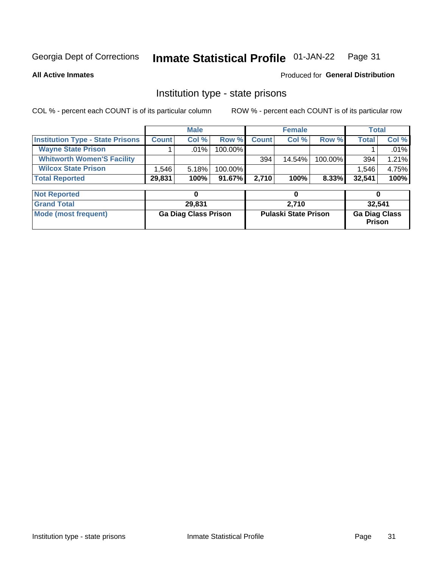#### Inmate Statistical Profile 01-JAN-22 Page 31

**All Active Inmates** 

### Produced for General Distribution

### Institution type - state prisons

COL % - percent each COUNT is of its particular column

|                                         |                    | <b>Male</b> |            |              | <b>Female</b> |          |              | Total    |
|-----------------------------------------|--------------------|-------------|------------|--------------|---------------|----------|--------------|----------|
| <b>Institution Type - State Prisons</b> | <b>Count</b>       | Col %       | Row %I     | <b>Count</b> | Col %         | Row %    | <b>Total</b> | Col %    |
| <b>Wayne State Prison</b>               |                    | $.01\%$     | $100.00\%$ |              |               |          |              | $.01\%$  |
| <b>Whitworth Women'S Facility</b>       |                    |             |            | 394          | 14.54%        | 100.00%  | 394          | $1.21\%$ |
| <b>Wilcox State Prison</b>              | $.546$ $^{\prime}$ | 5.18%       | 100.00%    |              |               |          | 1,546        | 4.75%    |
| <b>Total Reported</b>                   | 29,831             | 100%        | 91.67%     | 2.710        | 100%          | $8.33\%$ | 32,541       | 100%     |

| <b>Not Reported</b>  |                             |                             |                                       |
|----------------------|-----------------------------|-----------------------------|---------------------------------------|
| <b>Grand Total</b>   | 29,831                      | 2.710                       | 32,541                                |
| Mode (most frequent) | <b>Ga Diag Class Prison</b> | <b>Pulaski State Prison</b> | <b>Ga Diag Class</b><br><b>Prison</b> |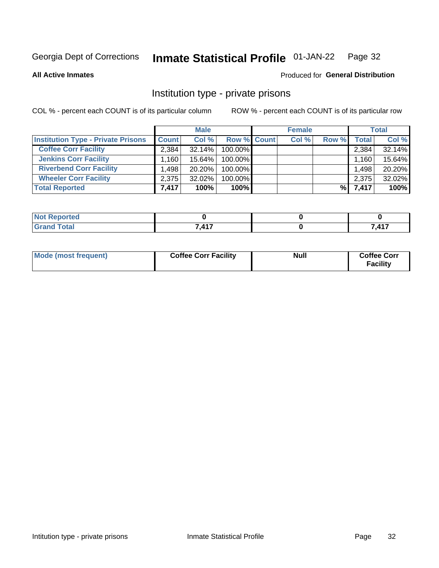#### **Inmate Statistical Profile 01-JAN-22** Page 32

**All Active Inmates** 

### Produced for General Distribution

### Institution type - private prisons

COL % - percent each COUNT is of its particular column

|                                           |                   | <b>Male</b> |                    | <b>Female</b> |       |       | <b>Total</b> |
|-------------------------------------------|-------------------|-------------|--------------------|---------------|-------|-------|--------------|
| <b>Institution Type - Private Prisons</b> | <b>Count</b>      | Col %       | <b>Row % Count</b> | Col %         | Row % | Total | Col %        |
| <b>Coffee Corr Facility</b>               | 2.384             | 32.14%      | 100.00%            |               |       | 2,384 | 32.14%       |
| <b>Jenkins Corr Facility</b>              | .160 <sup>1</sup> | 15.64%      | 100.00%            |               |       | 1,160 | 15.64%       |
| <b>Riverbend Corr Facility</b>            | .498              | $20.20\%$   | 100.00%            |               |       | 1,498 | 20.20%       |
| <b>Wheeler Corr Facility</b>              | 2,375             | $32.02\%$   | 100.00%            |               |       | 2,375 | 32.02%       |
| <b>Total Reported</b>                     | 7,417             | 100%        | $100\%$            |               | %     | 7,417 | 100%         |

| <b>Reported</b> |                  |     |
|-----------------|------------------|-----|
| <b>Total</b>    | <b>7417</b><br>, | 117 |

| <b>Mode (most frequent)</b> | <b>Coffee Corr Facility</b> | Null | <b>Coffee Corr</b><br><b>Facility</b> |
|-----------------------------|-----------------------------|------|---------------------------------------|
|-----------------------------|-----------------------------|------|---------------------------------------|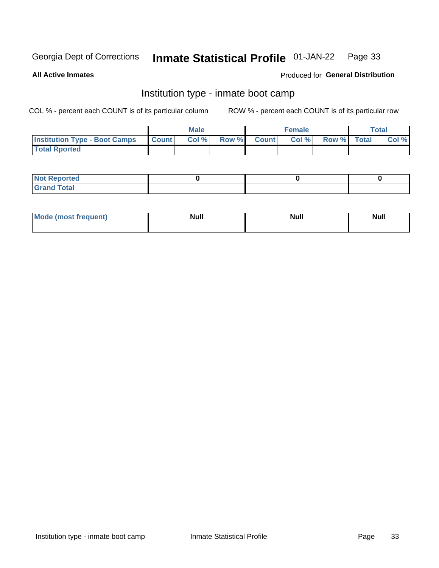#### Inmate Statistical Profile 01-JAN-22 Page 33

**All Active Inmates** 

### Produced for General Distribution

### Institution type - inmate boot camp

COL % - percent each COUNT is of its particular column

|                                      |                  | <b>Male</b> |              |              | <b>Female</b> |             | <b>Total</b> |
|--------------------------------------|------------------|-------------|--------------|--------------|---------------|-------------|--------------|
| <b>Institution Type - Boot Camps</b> | <b>I</b> Count I | Col %       | <b>Row %</b> | <b>Count</b> | Col %         | Row % Total | Col %        |
| <b>Total Rported</b>                 |                  |             |              |              |               |             |              |

| <b>Not Reported</b>            |  |  |
|--------------------------------|--|--|
| <b>Total</b><br>C <sub>r</sub> |  |  |

| Mod<br>uamo | Nul.<br>$- - - - - -$ | <b>Null</b> | <br>uu.<br>------ |
|-------------|-----------------------|-------------|-------------------|
|             |                       |             |                   |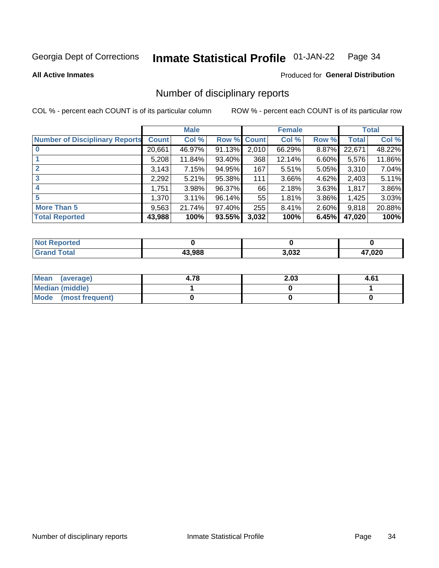#### Inmate Statistical Profile 01-JAN-22 Page 34

### **All Active Inmates**

### **Produced for General Distribution**

### Number of disciplinary reports

COL % - percent each COUNT is of its particular column

|                                       |              | <b>Male</b> |             |       | <b>Female</b> |          |        | <b>Total</b> |
|---------------------------------------|--------------|-------------|-------------|-------|---------------|----------|--------|--------------|
| <b>Number of Disciplinary Reports</b> | <b>Count</b> | Col %       | Row % Count |       | Col %         | Row %    | Total  | Col %        |
| $\bf{0}$                              | 20,661       | 46.97%      | 91.13%      | 2,010 | 66.29%        | 8.87%    | 22,671 | 48.22%       |
|                                       | 5,208        | 11.84%      | 93.40%      | 368   | 12.14%        | $6.60\%$ | 5,576  | 11.86%       |
| $\mathbf{2}$                          | 3,143        | 7.15%       | 94.95%      | 167   | 5.51%         | 5.05%    | 3,310  | 7.04%        |
| 3                                     | 2,292        | 5.21%       | 95.38%      | 111   | 3.66%         | 4.62%    | 2,403  | 5.11%        |
|                                       | 1,751        | 3.98%       | 96.37%      | 66    | 2.18%         | 3.63%    | 1,817  | 3.86%        |
| 5                                     | 1,370        | 3.11%       | 96.14%      | 55    | 1.81%         | 3.86%    | 1,425  | 3.03%        |
| <b>More Than 5</b>                    | 9,563        | 21.74%      | 97.40%      | 255   | 8.41%         | 2.60%    | 9,818  | 20.88%       |
| <b>Total Reported</b>                 | 43,988       | 100%        | 93.55%      | 3,032 | 100%          | 6.45%    | 47,020 | 100%         |

| Reported<br>Not <b>I</b> |        |       |        |
|--------------------------|--------|-------|--------|
| Total                    | 13.988 | 3,032 | 20,7,0 |

| Mean (average)       | 4.78 | 2.03 | 4.61 |
|----------------------|------|------|------|
| Median (middle)      |      |      |      |
| Mode (most frequent) |      |      |      |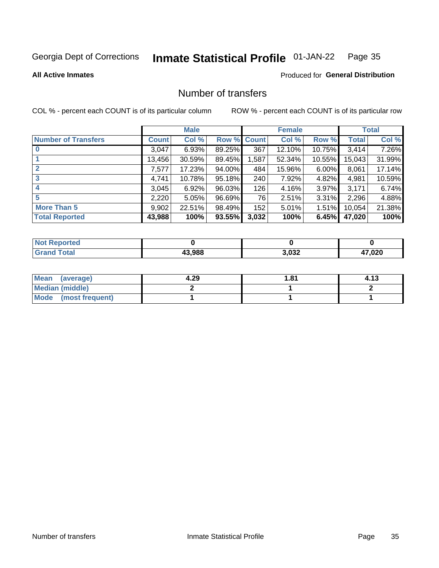#### **Inmate Statistical Profile 01-JAN-22** Page 35

### **All Active Inmates**

### Produced for General Distribution

### Number of transfers

COL % - percent each COUNT is of its particular column

|                            |              | <b>Male</b> |        |              | <b>Female</b> |          |              | <b>Total</b> |
|----------------------------|--------------|-------------|--------|--------------|---------------|----------|--------------|--------------|
| <b>Number of Transfers</b> | <b>Count</b> | Col %       | Row %  | <b>Count</b> | Col %         | Row %    | <b>Total</b> | Col %        |
|                            | 3,047        | 6.93%       | 89.25% | 367          | 12.10%        | 10.75%   | 3,414        | 7.26%        |
|                            | 13,456       | 30.59%      | 89.45% | 1,587        | 52.34%        | 10.55%   | 15,043       | 31.99%       |
| $\mathbf{2}$               | 7,577        | 17.23%      | 94.00% | 484          | 15.96%        | $6.00\%$ | 8,061        | 17.14%       |
| 3                          | 4,741        | 10.78%      | 95.18% | 240          | 7.92%         | 4.82%    | 4,981        | 10.59%       |
| 4                          | 3,045        | 6.92%       | 96.03% | 126          | 4.16%         | $3.97\%$ | 3,171        | 6.74%        |
| 5                          | 2,220        | 5.05%       | 96.69% | 76           | 2.51%         | 3.31%    | 2,296        | 4.88%        |
| <b>More Than 5</b>         | 9,902        | 22.51%      | 98.49% | 152          | 5.01%         | $1.51\%$ | 10,054       | 21.38%       |
| <b>Total Reported</b>      | 43,988       | 100%        | 93.55% | 3,032        | 100%          | 6.45%    | 47,020       | 100%         |

| orted<br><b>NOT</b> |        |       |       |
|---------------------|--------|-------|-------|
| Total               | 43.988 | 3,032 | 7,020 |

| Mean (average)       | 4.29 | 81.، | 4.13 |
|----------------------|------|------|------|
| Median (middle)      |      |      |      |
| Mode (most frequent) |      |      |      |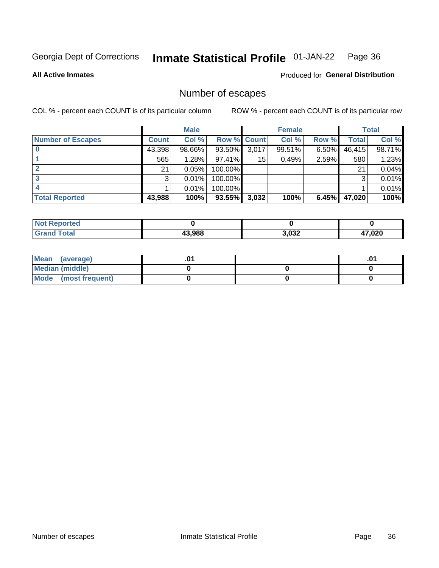#### **Inmate Statistical Profile 01-JAN-22** Page 36

**All Active Inmates** 

### Produced for General Distribution

### Number of escapes

COL % - percent each COUNT is of its particular column

|                          |              | <b>Male</b> |             |       | <b>Female</b> |          |        | <b>Total</b> |
|--------------------------|--------------|-------------|-------------|-------|---------------|----------|--------|--------------|
| <b>Number of Escapes</b> | <b>Count</b> | Col %       | Row % Count |       | Col %         | Row %    | Total  | Col %        |
|                          | 43,398       | 98.66%      | 93.50%      | 3,017 | 99.51%        | $6.50\%$ | 46,415 | 98.71%       |
|                          | 565          | 1.28%       | $97.41\%$   | 15    | 0.49%         | 2.59%    | 580    | 1.23%        |
|                          | 21           | 0.05%       | 100.00%     |       |               |          | 21     | 0.04%        |
|                          | 3            | 0.01%       | 100.00%     |       |               |          | 3      | 0.01%        |
|                          |              | 0.01%       | 100.00%     |       |               |          |        | 0.01%        |
| <b>Total Reported</b>    | 43,988       | 100%        | $93.55\%$   | 3,032 | 100%          | 6.45%    | 47,020 | 100%         |

| <b>Not Reported</b> |        |       |        |
|---------------------|--------|-------|--------|
| <b>Total</b>        | 43.988 | 3,032 | 17,020 |

| Mean (average)         |  | .0 <sup>4</sup> |
|------------------------|--|-----------------|
| <b>Median (middle)</b> |  |                 |
| Mode (most frequent)   |  |                 |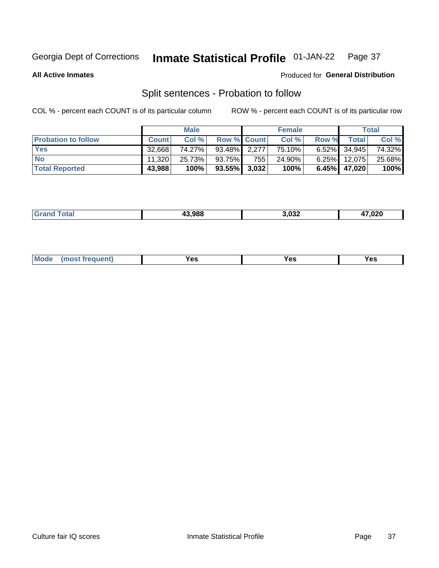#### **Inmate Statistical Profile 01-JAN-22** Page 37

**All Active Inmates** 

### Produced for General Distribution

### Split sentences - Probation to follow

COL % - percent each COUNT is of its particular column

|                            |              | <b>Male</b> |                    |                  | <b>Female</b> |          |                 | <b>Total</b> |
|----------------------------|--------------|-------------|--------------------|------------------|---------------|----------|-----------------|--------------|
| <b>Probation to follow</b> | <b>Count</b> | Col%        | <b>Row % Count</b> |                  | Col %         | Row %    | Total           | Col %        |
| <b>Yes</b>                 | 32.668       | 74.27%      | 93.48% 2.277       |                  | 75.10%        |          | $6.52\%$ 34,945 | 74.32%       |
| <b>No</b>                  | 11.320       | 25.73%      | 93.75%             | 755 <sub>1</sub> | 24.90%        | $6.25\%$ | 12.075          | 25.68%       |
| <b>Total Reported</b>      | 43,988       | 100%        | $93.55\%$ 3,032    |                  | 100%          |          | 6.45% 47,020    | 100%         |

| _______ | 000 כו | רכה כ<br>.ujz<br>_ _ | 000<br>◡▴◡ |
|---------|--------|----------------------|------------|
|         |        |                      |            |

| $Moo$<br>requent<br>′es<br>Yes<br><b>YAC</b><br>. |
|---------------------------------------------------|
|---------------------------------------------------|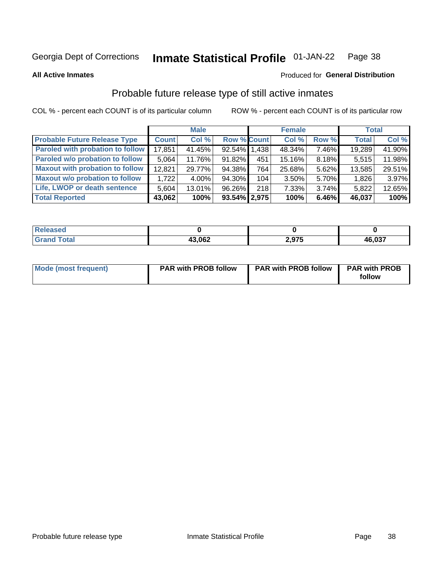#### Inmate Statistical Profile 01-JAN-22 Page 38

### **All Active Inmates**

## Produced for General Distribution

# Probable future release type of still active inmates

COL % - percent each COUNT is of its particular column

|                                         |              | <b>Male</b> |                    |     | <b>Female</b> |          | <b>Total</b> |        |
|-----------------------------------------|--------------|-------------|--------------------|-----|---------------|----------|--------------|--------|
| <b>Probable Future Release Type</b>     | <b>Count</b> | Col%        | <b>Row % Count</b> |     | Col %         | Row %    | <b>Total</b> | Col %  |
| <b>Paroled with probation to follow</b> | 17,851       | 41.45%      | 92.54% 1.438       |     | 48.34%        | 7.46%    | 19,289       | 41.90% |
| Paroled w/o probation to follow         | 5,064        | 11.76%      | 91.82%             | 451 | 15.16%        | 8.18%    | 5,515        | 11.98% |
| <b>Maxout with probation to follow</b>  | 12.821       | 29.77%      | 94.38%             | 764 | 25.68%        | 5.62%    | 13,585       | 29.51% |
| <b>Maxout w/o probation to follow</b>   | 1.722        | 4.00%       | 94.30%             | 104 | 3.50%         | 5.70%    | 1,826        | 3.97%  |
| Life, LWOP or death sentence            | 5,604        | 13.01%      | 96.26%             | 218 | 7.33%         | $3.74\%$ | 5,822        | 12.65% |
| <b>Total Reported</b>                   | 43,062       | 100%        | $93.54\%$   2,975  |     | 100%          | 6.46%    | 46,037       | 100%   |

| 7560        |        |       |        |
|-------------|--------|-------|--------|
| $f = 4 \pi$ | 43,062 | 2,975 | 46,037 |

| Mode (most frequent) | <b>PAR with PROB follow</b> | <b>PAR with PROB follow</b> | <b>PAR with PROB</b><br>follow |
|----------------------|-----------------------------|-----------------------------|--------------------------------|
|                      |                             |                             |                                |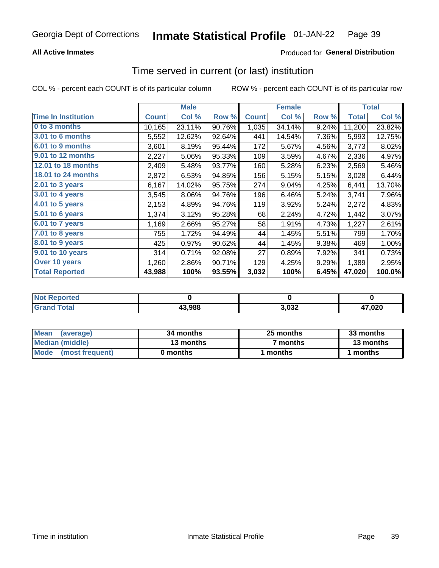## **All Active Inmates**

## **Produced for General Distribution**

# Time served in current (or last) institution

COL % - percent each COUNT is of its particular column

|                            | <b>Male</b>  |        |        | <b>Female</b> |        |       | <b>Total</b> |        |
|----------------------------|--------------|--------|--------|---------------|--------|-------|--------------|--------|
| <b>Time In Institution</b> | <b>Count</b> | Col %  | Row %  | <b>Count</b>  | Col %  | Row % | <b>Total</b> | Col %  |
| 0 to 3 months              | 10,165       | 23.11% | 90.76% | 1,035         | 34.14% | 9.24% | 11,200       | 23.82% |
| 3.01 to 6 months           | 5,552        | 12.62% | 92.64% | 441           | 14.54% | 7.36% | 5,993        | 12.75% |
| 6.01 to 9 months           | 3,601        | 8.19%  | 95.44% | 172           | 5.67%  | 4.56% | 3,773        | 8.02%  |
| 9.01 to 12 months          | 2,227        | 5.06%  | 95.33% | 109           | 3.59%  | 4.67% | 2,336        | 4.97%  |
| 12.01 to 18 months         | 2,409        | 5.48%  | 93.77% | 160           | 5.28%  | 6.23% | 2,569        | 5.46%  |
| <b>18.01 to 24 months</b>  | 2,872        | 6.53%  | 94.85% | 156           | 5.15%  | 5.15% | 3,028        | 6.44%  |
| $2.01$ to 3 years          | 6,167        | 14.02% | 95.75% | 274           | 9.04%  | 4.25% | 6,441        | 13.70% |
| $3.01$ to 4 years          | 3,545        | 8.06%  | 94.76% | 196           | 6.46%  | 5.24% | 3,741        | 7.96%  |
| 4.01 to 5 years            | 2,153        | 4.89%  | 94.76% | 119           | 3.92%  | 5.24% | 2,272        | 4.83%  |
| 5.01 to 6 years            | 1,374        | 3.12%  | 95.28% | 68            | 2.24%  | 4.72% | 1,442        | 3.07%  |
| 6.01 to 7 years            | 1,169        | 2.66%  | 95.27% | 58            | 1.91%  | 4.73% | 1,227        | 2.61%  |
| 7.01 to 8 years            | 755          | 1.72%  | 94.49% | 44            | 1.45%  | 5.51% | 799          | 1.70%  |
| $8.01$ to 9 years          | 425          | 0.97%  | 90.62% | 44            | 1.45%  | 9.38% | 469          | 1.00%  |
| 9.01 to 10 years           | 314          | 0.71%  | 92.08% | 27            | 0.89%  | 7.92% | 341          | 0.73%  |
| Over 10 years              | 1,260        | 2.86%  | 90.71% | 129           | 4.25%  | 9.29% | 1,389        | 2.95%  |
| <b>Total Reported</b>      | 43,988       | 100%   | 93.55% | 3,032         | 100%   | 6.45% | 47,020       | 100.0% |

| <b>Not</b><br>Renorted |        |      |       |
|------------------------|--------|------|-------|
| Total                  | 43.988 | ,032 | 7,020 |

| <b>Mean</b><br>(average) | 34 months | 25 months | 33 months |
|--------------------------|-----------|-----------|-----------|
| Median (middle)          | 13 months | 7 months  | 13 months |
| Mode (most frequent)     | 0 months  | months    | 1 months  |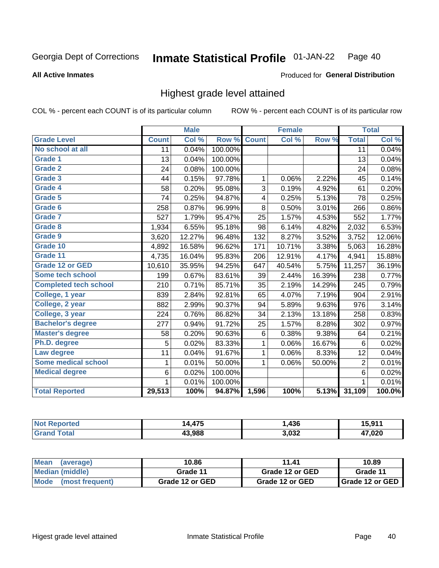### **All Active Inmates**

### Produced for General Distribution

# Highest grade level attained

COL % - percent each COUNT is of its particular column

|                              |                 | <b>Male</b> |         |              | <b>Female</b> |        |                 | <b>Total</b> |
|------------------------------|-----------------|-------------|---------|--------------|---------------|--------|-----------------|--------------|
| <b>Grade Level</b>           | <b>Count</b>    | Col %       | Row %   | <b>Count</b> | Col %         | Row %  | <b>Total</b>    | Col %        |
| No school at all             | $\overline{11}$ | 0.04%       | 100.00% |              |               |        | $\overline{11}$ | 0.04%        |
| <b>Grade 1</b>               | 13              | 0.04%       | 100.00% |              |               |        | 13              | 0.04%        |
| <b>Grade 2</b>               | 24              | 0.08%       | 100.00% |              |               |        | 24              | 0.08%        |
| Grade 3                      | 44              | 0.15%       | 97.78%  | $\mathbf{1}$ | 0.06%         | 2.22%  | 45              | 0.14%        |
| Grade 4                      | 58              | 0.20%       | 95.08%  | 3            | 0.19%         | 4.92%  | 61              | 0.20%        |
| Grade 5                      | 74              | 0.25%       | 94.87%  | 4            | 0.25%         | 5.13%  | 78              | 0.25%        |
| Grade 6                      | 258             | 0.87%       | 96.99%  | 8            | 0.50%         | 3.01%  | 266             | 0.86%        |
| <b>Grade 7</b>               | 527             | 1.79%       | 95.47%  | 25           | 1.57%         | 4.53%  | 552             | 1.77%        |
| Grade 8                      | 1,934           | 6.55%       | 95.18%  | 98           | 6.14%         | 4.82%  | 2,032           | 6.53%        |
| Grade 9                      | 3,620           | 12.27%      | 96.48%  | 132          | 8.27%         | 3.52%  | 3,752           | 12.06%       |
| Grade 10                     | 4,892           | 16.58%      | 96.62%  | 171          | 10.71%        | 3.38%  | 5,063           | 16.28%       |
| Grade 11                     | 4,735           | 16.04%      | 95.83%  | 206          | 12.91%        | 4.17%  | 4,941           | 15.88%       |
| <b>Grade 12 or GED</b>       | 10,610          | 35.95%      | 94.25%  | 647          | 40.54%        | 5.75%  | 11,257          | 36.19%       |
| <b>Some tech school</b>      | 199             | 0.67%       | 83.61%  | 39           | 2.44%         | 16.39% | 238             | 0.77%        |
| <b>Completed tech school</b> | 210             | 0.71%       | 85.71%  | 35           | 2.19%         | 14.29% | 245             | 0.79%        |
| College, 1 year              | 839             | 2.84%       | 92.81%  | 65           | 4.07%         | 7.19%  | 904             | 2.91%        |
| College, 2 year              | 882             | 2.99%       | 90.37%  | 94           | 5.89%         | 9.63%  | 976             | 3.14%        |
| College, 3 year              | 224             | 0.76%       | 86.82%  | 34           | 2.13%         | 13.18% | 258             | 0.83%        |
| <b>Bachelor's degree</b>     | 277             | 0.94%       | 91.72%  | 25           | 1.57%         | 8.28%  | 302             | 0.97%        |
| <b>Master's degree</b>       | 58              | 0.20%       | 90.63%  | $\,6$        | 0.38%         | 9.38%  | 64              | 0.21%        |
| Ph.D. degree                 | 5               | 0.02%       | 83.33%  | 1            | 0.06%         | 16.67% | 6               | 0.02%        |
| Law degree                   | 11              | 0.04%       | 91.67%  | 1            | 0.06%         | 8.33%  | 12              | 0.04%        |
| <b>Some medical school</b>   | 1               | 0.01%       | 50.00%  | 1            | 0.06%         | 50.00% | 2               | 0.01%        |
| <b>Medical degree</b>        | 6               | 0.02%       | 100.00% |              |               |        | $\,6$           | 0.02%        |
|                              | 1               | 0.01%       | 100.00% |              |               |        | 1               | 0.01%        |
| <b>Total Reported</b>        | 29,513          | 100%        | 94.87%  | 1,596        | 100%          | 5.13%  | 31,109          | 100.0%       |

| $\rightarrow$<br>I Л | ,436           | E NAZ<br>.           |
|----------------------|----------------|----------------------|
| 13.988               | 3.032<br>∡כט,י | ,020<br>$\mathbf{r}$ |

| <b>Mean</b><br>(average)       | 10.86           | 11.41           | 10.89           |
|--------------------------------|-----------------|-----------------|-----------------|
| Median (middle)                | Grade 11        | Grade 12 or GED | Grade 11        |
| <b>Mode</b><br>(most frequent) | Grade 12 or GED | Grade 12 or GED | Grade 12 or GED |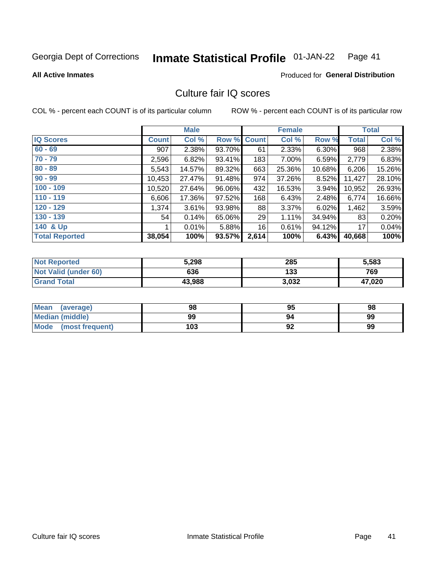#### **Inmate Statistical Profile 01-JAN-22** Page 41

**All Active Inmates** 

**Produced for General Distribution** 

# Culture fair IQ scores

COL % - percent each COUNT is of its particular column

|                       |              | <b>Male</b> |             |       | <b>Female</b> |          |              | <b>Total</b> |
|-----------------------|--------------|-------------|-------------|-------|---------------|----------|--------------|--------------|
| <b>IQ Scores</b>      | <b>Count</b> | Col %       | Row % Count |       | Col %         | Row %    | <b>Total</b> | Col %        |
| $60 - 69$             | 907          | 2.38%       | 93.70%      | 61    | 2.33%         | $6.30\%$ | 968          | 2.38%        |
| $70 - 79$             | 2,596        | 6.82%       | 93.41%      | 183   | 7.00%         | 6.59%    | 2,779        | 6.83%        |
| $80 - 89$             | 5,543        | 14.57%      | 89.32%      | 663   | 25.36%        | 10.68%   | 6,206        | 15.26%       |
| $90 - 99$             | 10,453       | 27.47%      | 91.48%      | 974   | 37.26%        | 8.52%    | 11,427       | 28.10%       |
| $100 - 109$           | 10,520       | 27.64%      | 96.06%      | 432   | 16.53%        | 3.94%    | 10,952       | 26.93%       |
| $110 - 119$           | 6,606        | 17.36%      | 97.52%      | 168   | 6.43%         | 2.48%    | 6,774        | 16.66%       |
| $120 - 129$           | 1,374        | 3.61%       | 93.98%      | 88    | 3.37%         | 6.02%    | 1,462        | 3.59%        |
| $130 - 139$           | 54           | 0.14%       | 65.06%      | 29    | 1.11%         | 34.94%   | 83           | 0.20%        |
| 140 & Up              |              | 0.01%       | 5.88%       | 16    | 0.61%         | 94.12%   | 17           | 0.04%        |
| <b>Total Reported</b> | 38,054       | 100%        | 93.57%      | 2,614 | 100%          | 6.43%    | 40,668       | 100%         |

| <b>Not Reported</b>         | 5,298  | 285   | 5,583  |
|-----------------------------|--------|-------|--------|
| <b>Not Valid (under 60)</b> | 636    | 133   | 769    |
| <b>Grand Total</b>          | 43,988 | 3,032 | 47,020 |

| <b>Mean</b><br>(average) | 98  | 95 | 98 |
|--------------------------|-----|----|----|
| Median (middle)          | 99  | 94 | 99 |
| Mode<br>(most frequent)  | 103 | 92 | 99 |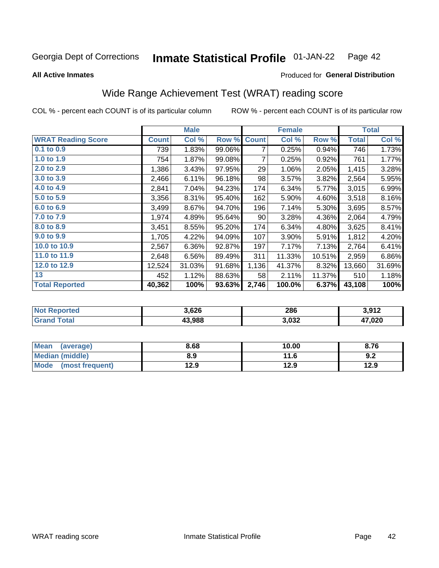#### Inmate Statistical Profile 01-JAN-22 Page 42

**All Active Inmates** 

## Produced for General Distribution

# Wide Range Achievement Test (WRAT) reading score

COL % - percent each COUNT is of its particular column

|                           |              | <b>Male</b> |        |              | <b>Female</b> |        |              | <b>Total</b> |
|---------------------------|--------------|-------------|--------|--------------|---------------|--------|--------------|--------------|
| <b>WRAT Reading Score</b> | <b>Count</b> | Col %       | Row %  | <b>Count</b> | Col %         | Row %  | <b>Total</b> | Col %        |
| $0.1$ to $0.9$            | 739          | 1.83%       | 99.06% | 7            | 0.25%         | 0.94%  | 746          | 1.73%        |
| 1.0 to 1.9                | 754          | 1.87%       | 99.08% | 7            | 0.25%         | 0.92%  | 761          | 1.77%        |
| 2.0 to 2.9                | 1,386        | 3.43%       | 97.95% | 29           | 1.06%         | 2.05%  | 1,415        | 3.28%        |
| 3.0 to 3.9                | 2,466        | 6.11%       | 96.18% | 98           | 3.57%         | 3.82%  | 2,564        | 5.95%        |
| 4.0 to 4.9                | 2,841        | 7.04%       | 94.23% | 174          | 6.34%         | 5.77%  | 3,015        | 6.99%        |
| 5.0 to 5.9                | 3,356        | 8.31%       | 95.40% | 162          | 5.90%         | 4.60%  | 3,518        | 8.16%        |
| 6.0 to 6.9                | 3,499        | 8.67%       | 94.70% | 196          | 7.14%         | 5.30%  | 3,695        | 8.57%        |
| 7.0 to 7.9                | 1,974        | 4.89%       | 95.64% | 90           | 3.28%         | 4.36%  | 2,064        | 4.79%        |
| 8.0 to 8.9                | 3,451        | 8.55%       | 95.20% | 174          | 6.34%         | 4.80%  | 3,625        | 8.41%        |
| 9.0 to 9.9                | 1,705        | 4.22%       | 94.09% | 107          | 3.90%         | 5.91%  | 1,812        | 4.20%        |
| 10.0 to 10.9              | 2,567        | 6.36%       | 92.87% | 197          | 7.17%         | 7.13%  | 2,764        | 6.41%        |
| 11.0 to 11.9              | 2,648        | 6.56%       | 89.49% | 311          | 11.33%        | 10.51% | 2,959        | 6.86%        |
| 12.0 to 12.9              | 12,524       | 31.03%      | 91.68% | 1,136        | 41.37%        | 8.32%  | 13,660       | 31.69%       |
| 13                        | 452          | 1.12%       | 88.63% | 58           | 2.11%         | 11.37% | 510          | 1.18%        |
| <b>Total Reported</b>     | 40,362       | 100%        | 93.63% | 2,746        | 100.0%        | 6.37%  | 43,108       | 100%         |

| orted | 3,626  | 286   | 3.912                  |
|-------|--------|-------|------------------------|
| otal  | 43.988 | 3,032 | 17,020<br>$\mathbf{a}$ |

| <b>Mean</b><br>(average) | 8.68 | 10.00 | 8.76 |
|--------------------------|------|-------|------|
| Median (middle)          | 8.9  | 11.6  | 9.2  |
| Mode (most frequent)     | 12.9 | 12.9  | 12.9 |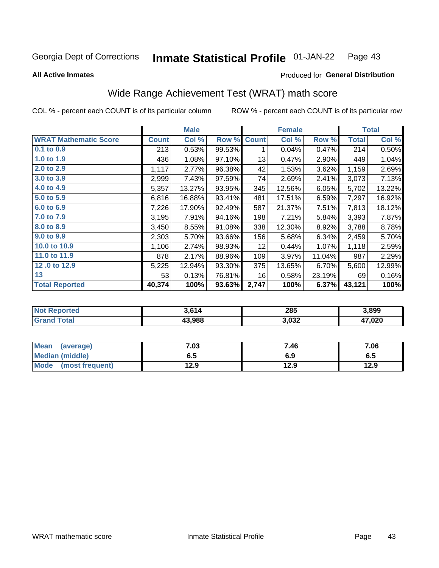#### **Inmate Statistical Profile 01-JAN-22** Page 43

**All Active Inmates** 

### Produced for General Distribution

# Wide Range Achievement Test (WRAT) math score

COL % - percent each COUNT is of its particular column

|                              |              | <b>Male</b> |        |                 | <b>Female</b> |        |              | <b>Total</b> |
|------------------------------|--------------|-------------|--------|-----------------|---------------|--------|--------------|--------------|
| <b>WRAT Mathematic Score</b> | <b>Count</b> | Col %       | Row %  | <b>Count</b>    | Col %         | Row %  | <b>Total</b> | Col %        |
| $0.1$ to $0.9$               | 213          | 0.53%       | 99.53% | 1               | 0.04%         | 0.47%  | 214          | 0.50%        |
| 1.0 to 1.9                   | 436          | 1.08%       | 97.10% | 13              | 0.47%         | 2.90%  | 449          | 1.04%        |
| 2.0 to 2.9                   | 1,117        | 2.77%       | 96.38% | 42              | 1.53%         | 3.62%  | 1,159        | 2.69%        |
| 3.0 to 3.9                   | 2,999        | 7.43%       | 97.59% | 74              | 2.69%         | 2.41%  | 3,073        | 7.13%        |
| 4.0 to 4.9                   | 5,357        | 13.27%      | 93.95% | 345             | 12.56%        | 6.05%  | 5,702        | 13.22%       |
| 5.0 to 5.9                   | 6,816        | 16.88%      | 93.41% | 481             | 17.51%        | 6.59%  | 7,297        | 16.92%       |
| 6.0 to 6.9                   | 7,226        | 17.90%      | 92.49% | 587             | 21.37%        | 7.51%  | 7,813        | 18.12%       |
| 7.0 to 7.9                   | 3,195        | 7.91%       | 94.16% | 198             | 7.21%         | 5.84%  | 3,393        | 7.87%        |
| 8.0 to 8.9                   | 3,450        | 8.55%       | 91.08% | 338             | 12.30%        | 8.92%  | 3,788        | 8.78%        |
| 9.0 to 9.9                   | 2,303        | 5.70%       | 93.66% | 156             | 5.68%         | 6.34%  | 2,459        | 5.70%        |
| 10.0 to 10.9                 | 1,106        | 2.74%       | 98.93% | 12 <sub>2</sub> | 0.44%         | 1.07%  | 1,118        | 2.59%        |
| 11.0 to 11.9                 | 878          | 2.17%       | 88.96% | 109             | 3.97%         | 11.04% | 987          | 2.29%        |
| 12.0 to 12.9                 | 5,225        | 12.94%      | 93.30% | 375             | 13.65%        | 6.70%  | 5,600        | 12.99%       |
| 13                           | 53           | 0.13%       | 76.81% | 16              | 0.58%         | 23.19% | 69           | 0.16%        |
| <b>Total Reported</b>        | 40,374       | 100%        | 93.63% | 2,747           | 100%          | 6.37%  | 43,121       | 100%         |

| Reported<br><b>NOT</b> | 3.614  | 285   | 3,899        |
|------------------------|--------|-------|--------------|
| <b>otal</b>            | 43.988 | 3,032 | 17,020<br>47 |

| <b>Mean</b><br>(average) | 7.03 | 7.46 | 7.06 |
|--------------------------|------|------|------|
| Median (middle)          | כ.ס  | 6.9  | ხ.მ  |
| Mode<br>(most frequent)  | 12.9 | 12.9 | 12.9 |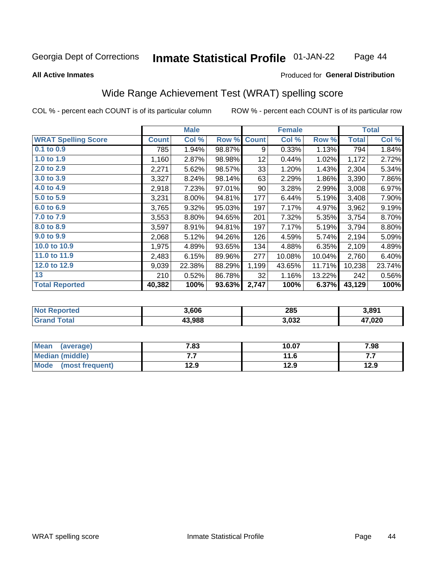#### **Inmate Statistical Profile 01-JAN-22** Page 44

### **All Active Inmates**

## Produced for General Distribution

# Wide Range Achievement Test (WRAT) spelling score

COL % - percent each COUNT is of its particular column

|                            |              | <b>Male</b> |        |              | <b>Female</b> |        |              | <b>Total</b> |
|----------------------------|--------------|-------------|--------|--------------|---------------|--------|--------------|--------------|
| <b>WRAT Spelling Score</b> | <b>Count</b> | Col %       | Row %  | <b>Count</b> | Col %         | Row %  | <b>Total</b> | Col %        |
| 0.1 to 0.9                 | 785          | 1.94%       | 98.87% | 9            | 0.33%         | 1.13%  | 794          | 1.84%        |
| 1.0 to 1.9                 | 1,160        | 2.87%       | 98.98% | 12           | 0.44%         | 1.02%  | 1,172        | 2.72%        |
| 2.0 to 2.9                 | 2,271        | 5.62%       | 98.57% | 33           | 1.20%         | 1.43%  | 2,304        | 5.34%        |
| 3.0 to 3.9                 | 3,327        | 8.24%       | 98.14% | 63           | 2.29%         | 1.86%  | 3,390        | 7.86%        |
| 4.0 to 4.9                 | 2,918        | 7.23%       | 97.01% | 90           | 3.28%         | 2.99%  | 3,008        | 6.97%        |
| 5.0 to 5.9                 | 3,231        | 8.00%       | 94.81% | 177          | 6.44%         | 5.19%  | 3,408        | 7.90%        |
| 6.0 to 6.9                 | 3,765        | 9.32%       | 95.03% | 197          | 7.17%         | 4.97%  | 3,962        | 9.19%        |
| 7.0 to 7.9                 | 3,553        | 8.80%       | 94.65% | 201          | 7.32%         | 5.35%  | 3,754        | 8.70%        |
| 8.0 to 8.9                 | 3,597        | 8.91%       | 94.81% | 197          | 7.17%         | 5.19%  | 3,794        | 8.80%        |
| 9.0 to 9.9                 | 2,068        | 5.12%       | 94.26% | 126          | 4.59%         | 5.74%  | 2,194        | 5.09%        |
| 10.0 to 10.9               | 1,975        | 4.89%       | 93.65% | 134          | 4.88%         | 6.35%  | 2,109        | 4.89%        |
| 11.0 to 11.9               | 2,483        | 6.15%       | 89.96% | 277          | 10.08%        | 10.04% | 2,760        | 6.40%        |
| 12.0 to 12.9               | 9,039        | 22.38%      | 88.29% | 1,199        | 43.65%        | 11.71% | 10,238       | 23.74%       |
| 13                         | 210          | 0.52%       | 86.78% | 32           | 1.16%         | 13.22% | 242          | 0.56%        |
| <b>Total Reported</b>      | 40,382       | 100%        | 93.63% | 2,747        | 100%          | 6.37%  | 43,129       | 100%         |

| prtea<br>NO       | 3,606  | 285   | 3,891        |
|-------------------|--------|-------|--------------|
| $T \sim$ follows: | 43.988 | 3,032 | 17,020<br>Д, |

| <b>Mean</b><br>(average) | 7.83 | 10.07 | 7.98 |
|--------------------------|------|-------|------|
| Median (middle)          | .    | 11.6  | .    |
| Mode<br>(most frequent)  | 12.9 | 12.9  | 12.9 |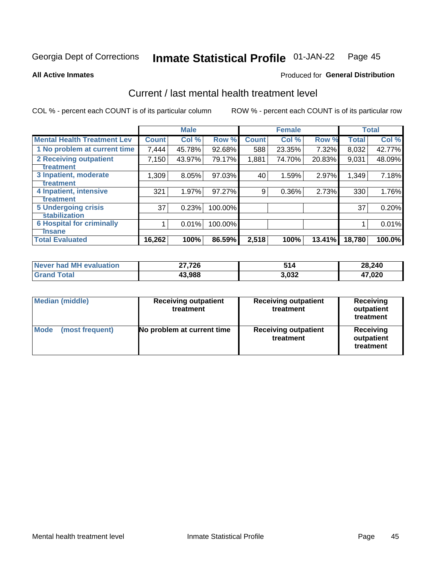#### **Inmate Statistical Profile 01-JAN-22** Page 45

**All Active Inmates** 

## Produced for General Distribution

# Current / last mental health treatment level

COL % - percent each COUNT is of its particular column

|                                    |              | <b>Male</b> |         |              | <b>Female</b> |        |        | <b>Total</b> |
|------------------------------------|--------------|-------------|---------|--------------|---------------|--------|--------|--------------|
| <b>Mental Health Treatment Lev</b> | <b>Count</b> | Col %       | Row %   | <b>Count</b> | Col %         | Row %  | Total  | Col %        |
| 1 No problem at current time       | 7,444        | 45.78%      | 92.68%  | 588          | 23.35%        | 7.32%  | 8,032  | 42.77%       |
| 2 Receiving outpatient             | 7,150        | 43.97%      | 79.17%  | 1,881        | 74.70%        | 20.83% | 9,031  | 48.09%       |
| <b>Treatment</b>                   |              |             |         |              |               |        |        |              |
| 3 Inpatient, moderate              | 1,309        | 8.05%       | 97.03%  | 40           | 1.59%         | 2.97%  | 1,349  | 7.18%        |
| <b>Treatment</b>                   |              |             |         |              |               |        |        |              |
| 4 Inpatient, intensive             | 321          | 1.97%       | 97.27%  | 9            | 0.36%         | 2.73%  | 330    | 1.76%        |
| <b>Treatment</b>                   |              |             |         |              |               |        |        |              |
| 5 Undergoing crisis                | 37           | 0.23%       | 100.00% |              |               |        | 37     | 0.20%        |
| <b>stabilization</b>               |              |             |         |              |               |        |        |              |
| <b>6 Hospital for criminally</b>   |              | 0.01%       | 100.00% |              |               |        |        | 0.01%        |
| Tnsane                             |              |             |         |              |               |        |        |              |
| <b>Total Evaluated</b>             | 16,262       | 100%        | 86.59%  | 2,518        | 100%          | 13.41% | 18,780 | 100.0%       |

| Never had MH evaluation | 27,726 | 514   | 28,240 |
|-------------------------|--------|-------|--------|
| $\tau$ otal             | 43,988 | 3.032 | 17,020 |

| Median (middle)                | <b>Receiving outpatient</b><br>treatment | <b>Receiving outpatient</b><br>treatment | <b>Receiving</b><br>outpatient<br>treatment |  |
|--------------------------------|------------------------------------------|------------------------------------------|---------------------------------------------|--|
| <b>Mode</b><br>(most frequent) | No problem at current time               | <b>Receiving outpatient</b><br>treatment | Receiving<br>outpatient<br>treatment        |  |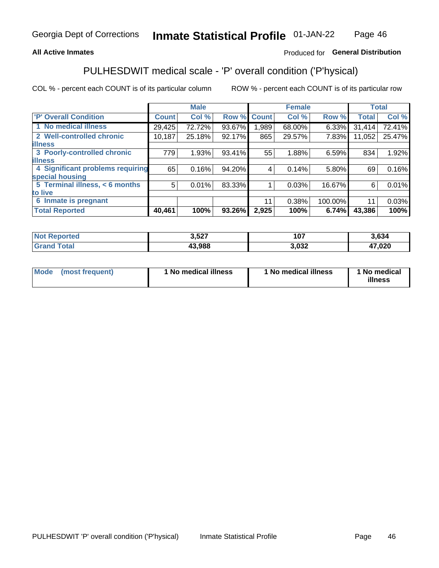## **All Active Inmates**

## Produced for General Distribution

# PULHESDWIT medical scale - 'P' overall condition ('P'hysical)

COL % - percent each COUNT is of its particular column

|                                  |              | <b>Male</b> |        |              | <b>Female</b> |         |              | <b>Total</b> |
|----------------------------------|--------------|-------------|--------|--------------|---------------|---------|--------------|--------------|
| <b>P' Overall Condition</b>      | <b>Count</b> | Col %       | Row %  | <b>Count</b> | Col %         | Row %   | <b>Total</b> | Col %        |
| 1 No medical illness             | 29,425       | 72.72%      | 93.67% | .989         | 68.00%        | 6.33%   | 31,414       | 72.41%       |
| 2 Well-controlled chronic        | 10,187       | 25.18%      | 92.17% | 865          | 29.57%        | 7.83%   | 11,052       | 25.47%       |
| <b>lillness</b>                  |              |             |        |              |               |         |              |              |
| 3 Poorly-controlled chronic      | 779          | 1.93%       | 93.41% | 55           | 1.88%         | 6.59%   | 834          | 1.92%        |
| <b>illness</b>                   |              |             |        |              |               |         |              |              |
| 4 Significant problems requiring | 65           | 0.16%       | 94.20% | 4            | 0.14%         | 5.80%   | 69           | 0.16%        |
| special housing                  |              |             |        |              |               |         |              |              |
| 5 Terminal illness, < 6 months   | 5            | 0.01%       | 83.33% |              | 0.03%         | 16.67%  | 6            | 0.01%        |
| to live                          |              |             |        |              |               |         |              |              |
| 6 Inmate is pregnant             |              |             |        | 11           | 0.38%         | 100.00% | 11           | 0.03%        |
| <b>Total Reported</b>            | 40,461       | 100%        | 93.26% | 2,925        | 100%          | 6.74%   | 43,386       | 100%         |

| тео | ? ドクフ<br>J,JZ. | 107  | 8.634         |
|-----|----------------|------|---------------|
|     | 000 כו<br>чос  | ,032 | 1700c<br>,vzu |

| Mode<br>(most frequent) |  | <sup>1</sup> No medical illness | 1 No medical illness | 1 No medical<br>illness |
|-------------------------|--|---------------------------------|----------------------|-------------------------|
|-------------------------|--|---------------------------------|----------------------|-------------------------|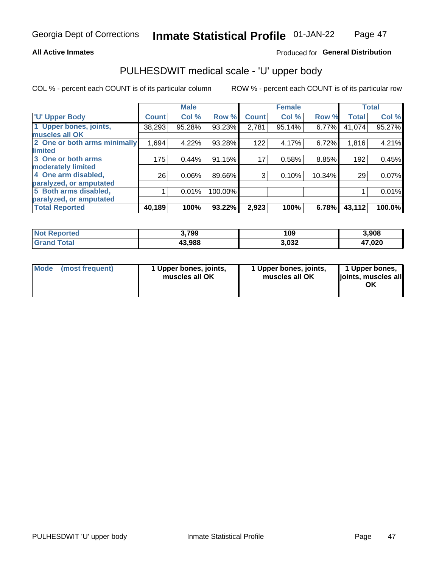## **All Active Inmates**

## Produced for General Distribution

# PULHESDWIT medical scale - 'U' upper body

COL % - percent each COUNT is of its particular column

|                              |              | <b>Male</b> |         |              | <b>Female</b> |        |              | <b>Total</b> |
|------------------------------|--------------|-------------|---------|--------------|---------------|--------|--------------|--------------|
| <b>U' Upper Body</b>         | <b>Count</b> | Col %       | Row %   | <b>Count</b> | Col %         | Row %  | <b>Total</b> | Col %        |
| 1 Upper bones, joints,       | 38,293       | 95.28%      | 93.23%  | 2,781        | 95.14%        | 6.77%  | 41,074       | 95.27%       |
| muscles all OK               |              |             |         |              |               |        |              |              |
| 2 One or both arms minimally | 1,694        | 4.22%       | 93.28%  | 122          | 4.17%         | 6.72%  | 1,816        | 4.21%        |
| limited                      |              |             |         |              |               |        |              |              |
| 3 One or both arms           | 175          | 0.44%       | 91.15%  | 17           | 0.58%         | 8.85%  | 192          | 0.45%        |
| <b>moderately limited</b>    |              |             |         |              |               |        |              |              |
| 4 One arm disabled,          | 26           | 0.06%       | 89.66%  | 3            | 0.10%         | 10.34% | 29           | 0.07%        |
| paralyzed, or amputated      |              |             |         |              |               |        |              |              |
| 5 Both arms disabled,        |              | 0.01%       | 100.00% |              |               |        |              | 0.01%        |
| paralyzed, or amputated      |              |             |         |              |               |        |              |              |
| <b>Total Reported</b>        | 40,189       | 100%        | 93.22%  | 2,923        | 100%          | 6.78%  | 43,112       | 100.0%       |

| <b>Not Reported</b>          | 3,799  | 109   | 3,908  |
|------------------------------|--------|-------|--------|
| <b>Total</b><br><b>Grand</b> | 43,988 | 3,032 | 47,020 |

|  | Mode (most frequent) | 1 Upper bones, joints,<br>muscles all OK | 1 Upper bones, joints,<br>muscles all OK | 1 Upper bones,<br>ljoints, muscles all<br>ΟK |
|--|----------------------|------------------------------------------|------------------------------------------|----------------------------------------------|
|--|----------------------|------------------------------------------|------------------------------------------|----------------------------------------------|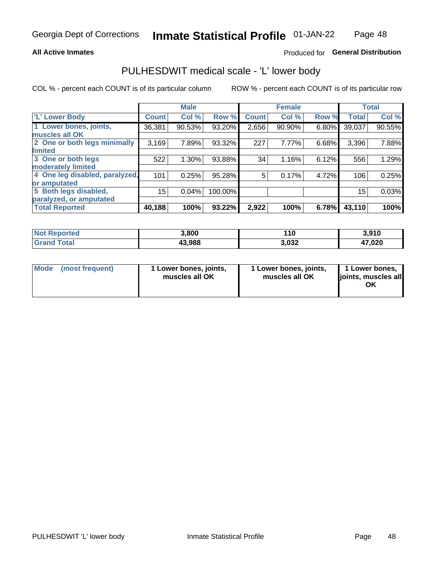## **All Active Inmates**

## Produced for General Distribution

# PULHESDWIT medical scale - 'L' lower body

COL % - percent each COUNT is of its particular column

|                                |              | <b>Male</b> |         |              | <b>Female</b> |       |              | <b>Total</b> |
|--------------------------------|--------------|-------------|---------|--------------|---------------|-------|--------------|--------------|
| 'L' Lower Body                 | <b>Count</b> | Col %       | Row %   | <b>Count</b> | Col %         | Row % | <b>Total</b> | Col %        |
| 1 Lower bones, joints,         | 36,381       | 90.53%      | 93.20%  | 2,656        | 90.90%        | 6.80% | 39,037       | 90.55%       |
| muscles all OK                 |              |             |         |              |               |       |              |              |
| 2 One or both legs minimally   | 3,169        | 7.89%       | 93.32%  | 227          | 7.77%         | 6.68% | 3,396        | 7.88%        |
| limited                        |              |             |         |              |               |       |              |              |
| 3 One or both legs             | 522          | 1.30%       | 93.88%  | 34           | 1.16%         | 6.12% | 556          | 1.29%        |
| moderately limited             |              |             |         |              |               |       |              |              |
| 4 One leg disabled, paralyzed, | 101          | 0.25%       | 95.28%  | 5            | 0.17%         | 4.72% | 106          | 0.25%        |
| or amputated                   |              |             |         |              |               |       |              |              |
| 5 Both legs disabled,          | 15           | 0.04%       | 100.00% |              |               |       | 15           | 0.03%        |
| paralyzed, or amputated        |              |             |         |              |               |       |              |              |
| <b>Total Reported</b>          | 40,188       | 100%        | 93.22%  | 2,922        | 100%          | 6.78% | 43,110       | 100%         |

| <b>Not Reported</b> | 3,800  | 10    | 3,910  |
|---------------------|--------|-------|--------|
| <b>Grand Total</b>  | 43,988 | 3,032 | 47,020 |

| Mode (most frequent) | I Lower bones, joints,<br>muscles all OK | 1 Lower bones, joints,<br>muscles all OK | 1 Lower bones,<br>joints, muscles all<br>ΟK |
|----------------------|------------------------------------------|------------------------------------------|---------------------------------------------|
|----------------------|------------------------------------------|------------------------------------------|---------------------------------------------|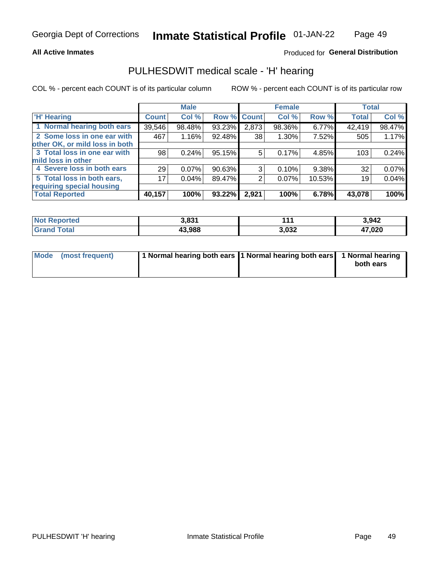## **All Active Inmates**

## Produced for General Distribution

# PULHESDWIT medical scale - 'H' hearing

COL % - percent each COUNT is of its particular column

|                                |              | <b>Male</b> |        |             | <b>Female</b> |        | <b>Total</b> |        |
|--------------------------------|--------------|-------------|--------|-------------|---------------|--------|--------------|--------|
| <b>'H' Hearing</b>             | <b>Count</b> | Col %       |        | Row % Count | Col %         | Row %  | <b>Total</b> | Col %  |
| 1 Normal hearing both ears     | 39,546       | 98.48%      | 93.23% | 2,873       | 98.36%        | 6.77%  | 42,419       | 98.47% |
| 2 Some loss in one ear with    | 467          | 1.16%       | 92.48% | 38          | 1.30%         | 7.52%  | 505          | 1.17%  |
| other OK, or mild loss in both |              |             |        |             |               |        |              |        |
| 3 Total loss in one ear with   | 98           | 0.24%       | 95.15% | 5           | 0.17%         | 4.85%  | 103          | 0.24%  |
| mild loss in other             |              |             |        |             |               |        |              |        |
| 4 Severe loss in both ears     | 29           | 0.07%       | 90.63% | 3           | 0.10%         | 9.38%  | 32           | 0.07%  |
| 5 Total loss in both ears,     | 17           | 0.04%       | 89.47% | 2           | 0.07%         | 10.53% | 19           | 0.04%  |
| requiring special housing      |              |             |        |             |               |        |              |        |
| <b>Total Reported</b>          | 40,157       | 100%        | 93.22% | 2,921       | 100%          | 6.78%  | 43,078       | 100%   |

| reo | 2004   | - 44. | 3942   |
|-----|--------|-------|--------|
|     | 43.988 | 3,032 | 47,020 |

| Mode (most frequent) | 1 Normal hearing both ears 11 Normal hearing both ears 1 Normal hearing | both ears |
|----------------------|-------------------------------------------------------------------------|-----------|
|                      |                                                                         |           |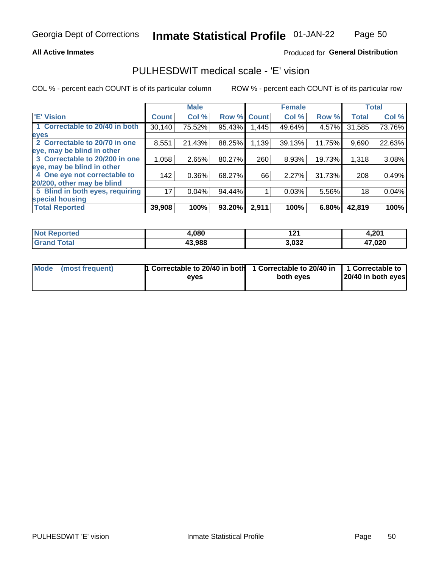## **All Active Inmates**

## Produced for General Distribution

# PULHESDWIT medical scale - 'E' vision

COL % - percent each COUNT is of its particular column

|                                 |              | <b>Male</b> |        |              | <b>Female</b> |        |              | <b>Total</b> |
|---------------------------------|--------------|-------------|--------|--------------|---------------|--------|--------------|--------------|
| 'E' Vision                      | <b>Count</b> | Col %       | Row %  | <b>Count</b> | Col %         | Row %  | <b>Total</b> | Col %        |
| 1 Correctable to 20/40 in both  | 30,140       | 75.52%      | 95.43% | .445         | 49.64%        | 4.57%  | 31,585       | 73.76%       |
| eyes                            |              |             |        |              |               |        |              |              |
| 2 Correctable to 20/70 in one   | 8,551        | 21.43%      | 88.25% | 1,139        | 39.13%        | 11.75% | 9,690        | 22.63%       |
| eye, may be blind in other      |              |             |        |              |               |        |              |              |
| 3 Correctable to 20/200 in one  | 1,058        | 2.65%       | 80.27% | 260          | 8.93%         | 19.73% | 1,318        | 3.08%        |
| eye, may be blind in other      |              |             |        |              |               |        |              |              |
| 4 One eye not correctable to    | 142          | 0.36%       | 68.27% | 66           | 2.27%         | 31.73% | 208          | 0.49%        |
| 20/200, other may be blind      |              |             |        |              |               |        |              |              |
| 5 Blind in both eyes, requiring | 17           | 0.04%       | 94.44% |              | 0.03%         | 5.56%  | 18           | 0.04%        |
| special housing                 |              |             |        |              |               |        |              |              |
| <b>Total Reported</b>           | 39,908       | 100%        | 93.20% | 2,911        | 100%          | 6.80%  | 42,819       | 100%         |

| <b>Not Reported</b> | ,080   | A n,  | 4,201  |
|---------------------|--------|-------|--------|
| <b>Total</b>        | 43,988 | 3,032 | 17,020 |

| Mode (most frequent) | 1 Correctable to 20/40 in both<br>eves | 1 Correctable to 20/40 in   1 Correctable to  <br>both eves | 20/40 in both eyes |
|----------------------|----------------------------------------|-------------------------------------------------------------|--------------------|
|                      |                                        |                                                             |                    |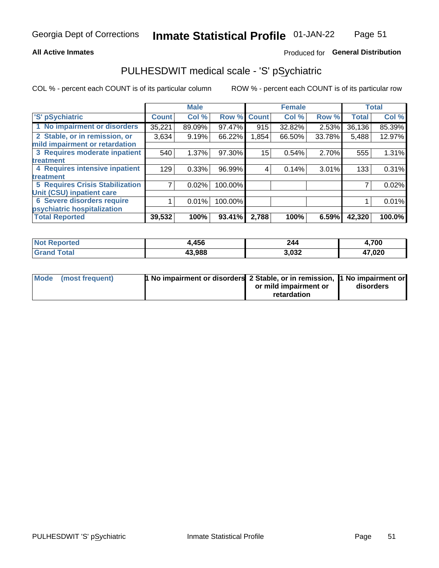## **All Active Inmates**

## Produced for General Distribution

# PULHESDWIT medical scale - 'S' pSychiatric

COL % - percent each COUNT is of its particular column

|                                        |              | <b>Male</b> |         |              | <b>Female</b> |        |              | <b>Total</b> |
|----------------------------------------|--------------|-------------|---------|--------------|---------------|--------|--------------|--------------|
| 'S' pSychiatric                        | <b>Count</b> | Col %       | Row %   | <b>Count</b> | Col %         | Row %  | <b>Total</b> | Col %        |
| 1 No impairment or disorders           | 35,221       | 89.09%      | 97.47%  | 915          | 32.82%        | 2.53%  | 36,136       | 85.39%       |
| 2 Stable, or in remission, or          | 3,634        | 9.19%       | 66.22%  | 1,854        | 66.50%        | 33.78% | 5,488        | 12.97%       |
| mild impairment or retardation         |              |             |         |              |               |        |              |              |
| 3 Requires moderate inpatient          | 540          | 1.37%       | 97.30%  | 15           | 0.54%         | 2.70%  | 555          | 1.31%        |
| treatment                              |              |             |         |              |               |        |              |              |
| 4 Requires intensive inpatient         | 129          | 0.33%       | 96.99%  | 4            | 0.14%         | 3.01%  | 133          | 0.31%        |
| treatment                              |              |             |         |              |               |        |              |              |
| <b>5 Requires Crisis Stabilization</b> |              | 0.02%       | 100.00% |              |               |        |              | 0.02%        |
| Unit (CSU) inpatient care              |              |             |         |              |               |        |              |              |
| <b>6 Severe disorders require</b>      |              | 0.01%       | 100.00% |              |               |        |              | 0.01%        |
| psychiatric hospitalization            |              |             |         |              |               |        |              |              |
| <b>Total Reported</b>                  | 39,532       | 100%        | 93.41%  | 2,788        | 100%          | 6.59%  | 42,320       | 100.0%       |

| <b>Not Reported</b>  | 456    | 244   | 4,700                  |
|----------------------|--------|-------|------------------------|
| <b>Total</b><br>Gran | 43,988 | 3,032 | 47,020<br>$\mathbf{r}$ |

| Mode | (most frequent) | 1 No impairment or disorders 2 Stable, or in remission, 1 No impairment or | or mild impairment or<br>retardation | disorders |
|------|-----------------|----------------------------------------------------------------------------|--------------------------------------|-----------|
|      |                 |                                                                            |                                      |           |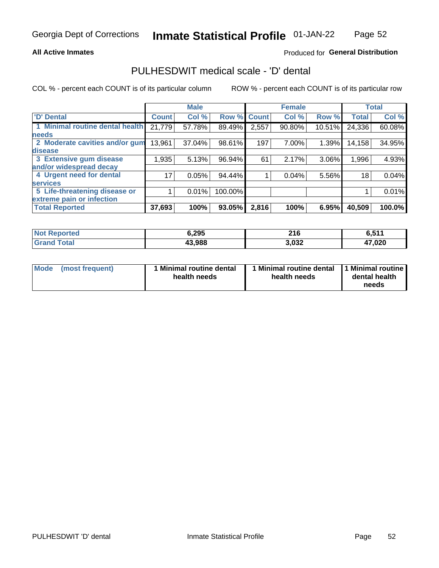## **All Active Inmates**

## Produced for General Distribution

# PULHESDWIT medical scale - 'D' dental

COL % - percent each COUNT is of its particular column

|                                 |              | <b>Male</b> |         |              | <b>Female</b> |        |              | <b>Total</b> |
|---------------------------------|--------------|-------------|---------|--------------|---------------|--------|--------------|--------------|
| 'D' Dental                      | <b>Count</b> | Col %       | Row %   | <b>Count</b> | Col %         | Row %  | <b>Total</b> | Col %        |
| 1 Minimal routine dental health | 21,779       | 57.78%      | 89.49%  | 2,557        | 90.80%        | 10.51% | 24,336       | 60.08%       |
| <b>needs</b>                    |              |             |         |              |               |        |              |              |
| 2 Moderate cavities and/or gum  | 13,961       | 37.04%      | 98.61%  | 197          | 7.00%         | 1.39%  | 14,158       | 34.95%       |
| disease                         |              |             |         |              |               |        |              |              |
| 3 Extensive gum disease         | 1,935        | 5.13%       | 96.94%  | 61           | 2.17%         | 3.06%  | 1,996        | 4.93%        |
| and/or widespread decay         |              |             |         |              |               |        |              |              |
| 4 Urgent need for dental        | 17           | 0.05%       | 94.44%  |              | 0.04%         | 5.56%  | 18           | 0.04%        |
| <b>services</b>                 |              |             |         |              |               |        |              |              |
| 5 Life-threatening disease or   |              | 0.01%       | 100.00% |              |               |        |              | 0.01%        |
| extreme pain or infection       |              |             |         |              |               |        |              |              |
| <b>Total Reported</b>           | 37,693       | 100%        | 93.05%  | 2,816        | 100%          | 6.95%  | 40,509       | 100.0%       |

| <b>Not Reported</b> | 6,295  | 21C<br>2 I V | C EAA<br><b>U.JI.</b> |
|---------------------|--------|--------------|-----------------------|
| <b>Total</b>        | 43,988 | 3,032        | 17,020                |

| 1 Minimal routine dental<br>Mode<br>(most frequent)<br>health needs | 1 Minimal routine dental 1 Minimal routine<br>health needs | dental health<br>needs |
|---------------------------------------------------------------------|------------------------------------------------------------|------------------------|
|---------------------------------------------------------------------|------------------------------------------------------------|------------------------|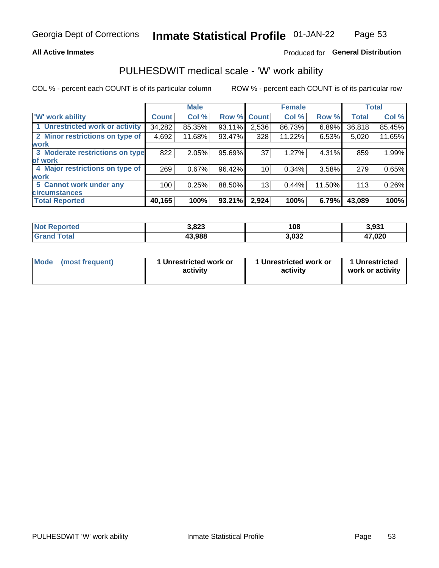## **All Active Inmates**

## Produced for General Distribution

# PULHESDWIT medical scale - 'W' work ability

COL % - percent each COUNT is of its particular column

|                                 |              | <b>Male</b> |        |             | <b>Female</b> |        |              | <b>Total</b> |
|---------------------------------|--------------|-------------|--------|-------------|---------------|--------|--------------|--------------|
| 'W' work ability                | <b>Count</b> | Col %       |        | Row % Count | Col %         | Row %  | <b>Total</b> | Col %        |
| 1 Unrestricted work or activity | 34,282       | 85.35%      | 93.11% | 2,536       | 86.73%        | 6.89%  | 36,818       | 85.45%       |
| 2 Minor restrictions on type of | 4,692        | 11.68%      | 93.47% | 328         | 11.22%        | 6.53%  | 5,020        | 11.65%       |
| <b>work</b>                     |              |             |        |             |               |        |              |              |
| 3 Moderate restrictions on type | 822          | 2.05%       | 95.69% | 37          | 1.27%         | 4.31%  | 859          | 1.99%        |
| lof work                        |              |             |        |             |               |        |              |              |
| 4 Major restrictions on type of | 269          | 0.67%       | 96.42% | 10          | 0.34%         | 3.58%  | 279          | 0.65%        |
| <b>work</b>                     |              |             |        |             |               |        |              |              |
| 5 Cannot work under any         | 100          | 0.25%       | 88.50% | 13          | 0.44%         | 11.50% | 113          | 0.26%        |
| <b>circumstances</b>            |              |             |        |             |               |        |              |              |
| <b>Total Reported</b>           | 40,165       | 100%        | 93.21% | 2,924       | 100%          | 6.79%  | 43,089       | 100%         |

| <b>Not Reported</b>          | 3,823  | 108   | 3,931  |
|------------------------------|--------|-------|--------|
| <b>Total</b><br><b>Grand</b> | 43,988 | 3,032 | 47,020 |

| Mode            | 1 Unrestricted work or | 1 Unrestricted work or | 1 Unrestricted   |
|-----------------|------------------------|------------------------|------------------|
| (most frequent) | activity               | activity               | work or activity |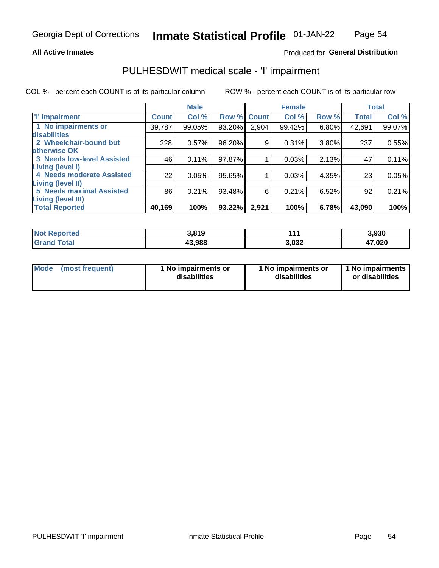## **All Active Inmates**

## Produced for General Distribution

# PULHESDWIT medical scale - 'I' impairment

COL % - percent each COUNT is of its particular column

|                                                       |              | <b>Male</b> |        |             | <b>Female</b> |       |              | <b>Total</b> |
|-------------------------------------------------------|--------------|-------------|--------|-------------|---------------|-------|--------------|--------------|
| <b>T' Impairment</b>                                  | <b>Count</b> | Col %       |        | Row % Count | Col %         | Row % | <b>Total</b> | Col %        |
| 1 No impairments or<br>disabilities                   | 39,787       | 99.05%      | 93.20% | 2,904       | 99.42%        | 6.80% | 42,691       | 99.07%       |
| 2 Wheelchair-bound but<br>otherwise OK                | 228          | 0.57%       | 96.20% | 9           | 0.31%         | 3.80% | 237          | 0.55%        |
| <b>3 Needs low-level Assisted</b><br>Living (level I) | 46           | 0.11%       | 97.87% |             | 0.03%         | 2.13% | 47           | 0.11%        |
| 4 Needs moderate Assisted<br>Living (level II)        | 22           | 0.05%       | 95.65% |             | 0.03%         | 4.35% | 23           | 0.05%        |
| <b>5 Needs maximal Assisted</b><br>Living (level III) | 86           | 0.21%       | 93.48% | 6           | 0.21%         | 6.52% | 92           | 0.21%        |
| <b>Total Reported</b>                                 | 40,169       | 100%        | 93.22% | 2,921       | 100%          | 6.78% | 43,090       | 100%         |

| $^{\dagger}$ Not.<br>Reported | 3,819  | $\overline{A}$ | 3,930        |
|-------------------------------|--------|----------------|--------------|
| <b>Total</b><br><b>Grand</b>  | 43,988 | 3,032          | 17,020<br>47 |

| Mode | (most frequent) | 1 No impairments or<br>disabilities | 1 No impairments or<br>disabilities | 1 No impairments<br>or disabilities |
|------|-----------------|-------------------------------------|-------------------------------------|-------------------------------------|
|------|-----------------|-------------------------------------|-------------------------------------|-------------------------------------|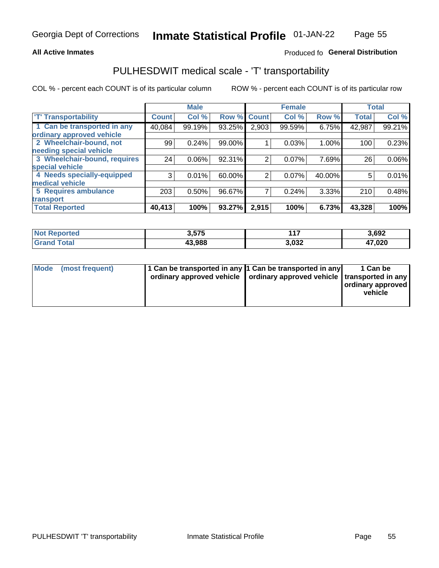## **All Active Inmates**

## Produced fo General Distribution

# PULHESDWIT medical scale - 'T' transportability

COL % - percent each COUNT is of its particular column

|                              |              | <b>Male</b> |        |              | <b>Female</b> |        |              | <b>Total</b> |
|------------------------------|--------------|-------------|--------|--------------|---------------|--------|--------------|--------------|
| <b>T' Transportability</b>   | <b>Count</b> | Col %       | Row %  | <b>Count</b> | Col %         | Row %  | <b>Total</b> | Col %        |
| 1 Can be transported in any  | 40,084       | 99.19%      | 93.25% | 2,903        | 99.59%        | 6.75%  | 42,987       | 99.21%       |
| ordinary approved vehicle    |              |             |        |              |               |        |              |              |
| 2 Wheelchair-bound, not      | 99           | 0.24%       | 99.00% |              | 0.03%         | 1.00%  | 100          | 0.23%        |
| needing special vehicle      |              |             |        |              |               |        |              |              |
| 3 Wheelchair-bound, requires | 24           | 0.06%       | 92.31% | 2            | 0.07%         | 7.69%  | 26           | $0.06\%$     |
| special vehicle              |              |             |        |              |               |        |              |              |
| 4 Needs specially-equipped   | 3            | 0.01%       | 60.00% | 2            | 0.07%         | 40.00% | 5            | 0.01%        |
| medical vehicle              |              |             |        |              |               |        |              |              |
| <b>5 Requires ambulance</b>  | 203          | 0.50%       | 96.67% | 7            | 0.24%         | 3.33%  | 210          | 0.48%        |
| transport                    |              |             |        |              |               |        |              |              |
| <b>Total Reported</b>        | 40,413       | 100%        | 93.27% | 2,915        | 100%          | 6.73%  | 43,328       | 100%         |

| <b>Not</b><br>Reported | 3,575  | <b>A 7</b> | 3,692        |
|------------------------|--------|------------|--------------|
| Total                  | 43.988 | 3,032      | 47,020<br>4, |

|  | Mode (most frequent) | 1 Can be transported in any 1 Can be transported in any<br>ordinary approved vehicle   ordinary approved vehicle   transported in any |  | 1 Can be<br>  ordinary approved  <br>vehicle |
|--|----------------------|---------------------------------------------------------------------------------------------------------------------------------------|--|----------------------------------------------|
|--|----------------------|---------------------------------------------------------------------------------------------------------------------------------------|--|----------------------------------------------|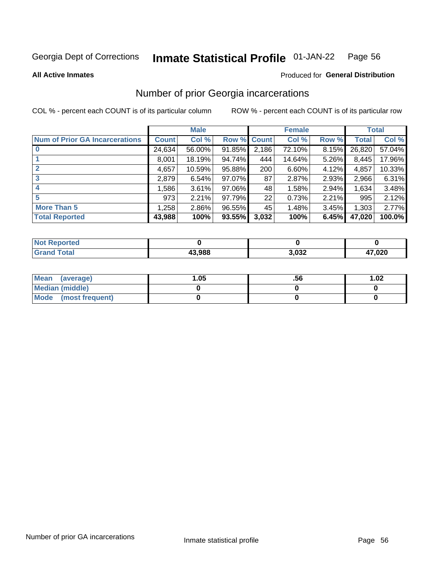#### Inmate Statistical Profile 01-JAN-22 Page 56

**All Active Inmates** 

## **Produced for General Distribution**

# Number of prior Georgia incarcerations

COL % - percent each COUNT is of its particular column

|                                       |              | <b>Male</b> |                    |       | <b>Female</b> |       |        | <b>Total</b> |
|---------------------------------------|--------------|-------------|--------------------|-------|---------------|-------|--------|--------------|
| <b>Num of Prior GA Incarcerations</b> | <b>Count</b> | Col %       | <b>Row % Count</b> |       | Col %         | Row % | Total  | Col %        |
| $\bf{0}$                              | 24,634       | 56.00%      | 91.85%             | 2,186 | 72.10%        | 8.15% | 26,820 | 57.04%       |
|                                       | 8.001        | 18.19%      | 94.74%             | 444   | 14.64%        | 5.26% | 8,445  | 17.96%       |
| $\mathbf{2}$                          | 4,657        | 10.59%      | 95.88%             | 200   | 6.60%         | 4.12% | 4,857  | 10.33%       |
| 3                                     | 2,879        | 6.54%       | 97.07%             | 87    | 2.87%         | 2.93% | 2,966  | 6.31%        |
|                                       | 1,586        | 3.61%       | 97.06%             | 48    | 1.58%         | 2.94% | 1,634  | 3.48%        |
| 5                                     | 973          | 2.21%       | 97.79%             | 22    | 0.73%         | 2.21% | 995    | 2.12%        |
| <b>More Than 5</b>                    | 1,258        | 2.86%       | 96.55%             | 45    | 1.48%         | 3.45% | 1,303  | 2.77%        |
| <b>Total Reported</b>                 | 43,988       | 100%        | 93.55%             | 3,032 | 100%          | 6.45% | 47,020 | 100.0%       |

| <b>orted</b><br>NO: |        |       |                |
|---------------------|--------|-------|----------------|
| <b>otal</b><br>Gr   | 13.988 | 3,032 | המה דו<br>,vzu |

| Mean (average)       | .05 | .56 | 1.02 |
|----------------------|-----|-----|------|
| Median (middle)      |     |     |      |
| Mode (most frequent) |     |     |      |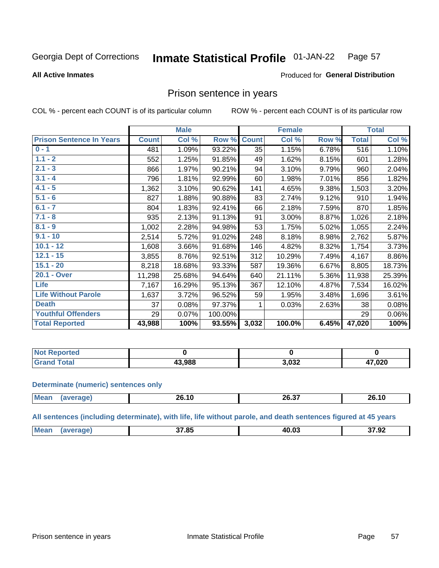#### **Inmate Statistical Profile 01-JAN-22** Page 57

**All Active Inmates** 

## Produced for General Distribution

## Prison sentence in years

COL % - percent each COUNT is of its particular column

ROW % - percent each COUNT is of its particular row

|                                 |              | <b>Male</b> |         |                 | <b>Female</b> |       |              | <b>Total</b> |
|---------------------------------|--------------|-------------|---------|-----------------|---------------|-------|--------------|--------------|
| <b>Prison Sentence In Years</b> | <b>Count</b> | Col %       | Row %   | <b>Count</b>    | Col %         | Row % | <b>Total</b> | Col %        |
| $0 - 1$                         | 481          | 1.09%       | 93.22%  | $\overline{35}$ | 1.15%         | 6.78% | 516          | 1.10%        |
| $1.1 - 2$                       | 552          | 1.25%       | 91.85%  | 49              | 1.62%         | 8.15% | 601          | 1.28%        |
| $2.1 - 3$                       | 866          | 1.97%       | 90.21%  | 94              | 3.10%         | 9.79% | 960          | 2.04%        |
| $3.1 - 4$                       | 796          | 1.81%       | 92.99%  | 60              | 1.98%         | 7.01% | 856          | 1.82%        |
| $4.1 - 5$                       | 1,362        | 3.10%       | 90.62%  | 141             | 4.65%         | 9.38% | 1,503        | 3.20%        |
| $5.1 - 6$                       | 827          | 1.88%       | 90.88%  | 83              | 2.74%         | 9.12% | 910          | 1.94%        |
| $6.1 - 7$                       | 804          | 1.83%       | 92.41%  | 66              | 2.18%         | 7.59% | 870          | 1.85%        |
| $7.1 - 8$                       | 935          | 2.13%       | 91.13%  | 91              | 3.00%         | 8.87% | 1,026        | 2.18%        |
| $8.1 - 9$                       | 1,002        | 2.28%       | 94.98%  | 53              | 1.75%         | 5.02% | 1,055        | 2.24%        |
| $9.1 - 10$                      | 2,514        | 5.72%       | 91.02%  | 248             | 8.18%         | 8.98% | 2,762        | 5.87%        |
| $10.1 - 12$                     | 1,608        | 3.66%       | 91.68%  | 146             | 4.82%         | 8.32% | 1,754        | 3.73%        |
| $12.1 - 15$                     | 3,855        | 8.76%       | 92.51%  | 312             | 10.29%        | 7.49% | 4,167        | 8.86%        |
| $15.1 - 20$                     | 8,218        | 18.68%      | 93.33%  | 587             | 19.36%        | 6.67% | 8,805        | 18.73%       |
| 20.1 - Over                     | 11,298       | 25.68%      | 94.64%  | 640             | 21.11%        | 5.36% | 11,938       | 25.39%       |
| <b>Life</b>                     | 7,167        | 16.29%      | 95.13%  | 367             | 12.10%        | 4.87% | 7,534        | 16.02%       |
| <b>Life Without Parole</b>      | 1,637        | 3.72%       | 96.52%  | 59              | 1.95%         | 3.48% | 1,696        | 3.61%        |
| <b>Death</b>                    | 37           | 0.08%       | 97.37%  |                 | 0.03%         | 2.63% | 38           | 0.08%        |
| <b>Youthful Offenders</b>       | 29           | 0.07%       | 100.00% |                 |               |       | 29           | 0.06%        |
| <b>Total Reported</b>           | 43,988       | 100%        | 93.55%  | 3,032           | 100.0%        | 6.45% | 47,020       | 100%         |

| <b>Not Reported</b> |       |       |                        |
|---------------------|-------|-------|------------------------|
| $n+n$<br>. Care     | 3.988 | 3,032 | 17,020<br>$\mathbf{r}$ |

### **Determinate (numeric) sentences only**

| <b>Mean</b> | . .<br>20.TU | <b>20.31</b> | 26.10 |
|-------------|--------------|--------------|-------|
|             |              |              |       |

All sentences (including determinate), with life, life without parole, and death sentences figured at 45 years

| <b>Me</b> | 27.9F<br> | <b>MO 01</b> | 37.92<br>____ |
|-----------|-----------|--------------|---------------|
|           |           |              |               |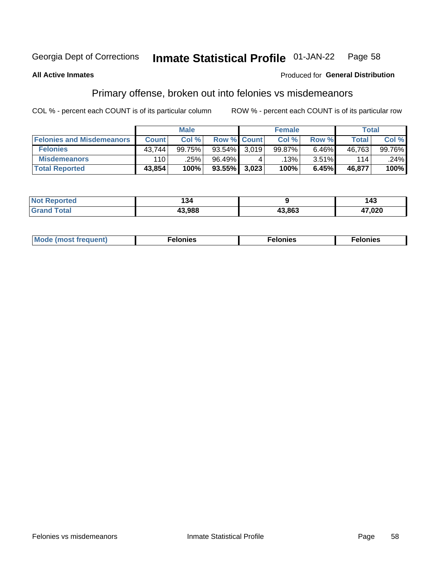#### **Inmate Statistical Profile 01-JAN-22** Page 58

## **All Active Inmates**

## Produced for General Distribution

# Primary offense, broken out into felonies vs misdemeanors

COL % - percent each COUNT is of its particular column

|                                  | <b>Male</b>  |        |           | <b>Female</b>      |         |       | Total  |        |
|----------------------------------|--------------|--------|-----------|--------------------|---------|-------|--------|--------|
| <b>Felonies and Misdemeanors</b> | <b>Count</b> | Col%   |           | <b>Row % Count</b> | Col%    | Row % | Total, | Col %  |
| <b>Felonies</b>                  | 43,744       | 99.75% | $93.54\%$ | 3.019              | 99.87%  | 6.46% | 46,763 | 99.76% |
| <b>Misdemeanors</b>              | 110          | .25%   | 96.49%    |                    | $.13\%$ | 3.51% | 114    | .24%   |
| <b>Total Reported</b>            | 43,854       | 100%   | $93.55\%$ | 3,023              | 100%    | 6.45% | 46,877 | 100%   |

| Not<br>'ted | 94 ،   |        | $\sqrt{2}$<br>4٥ |
|-------------|--------|--------|------------------|
| ⊺otar       | 13.988 | 43,863 | 47,020           |

| Mo | ___ | 11 C.S<br>. | onies<br>. |
|----|-----|-------------|------------|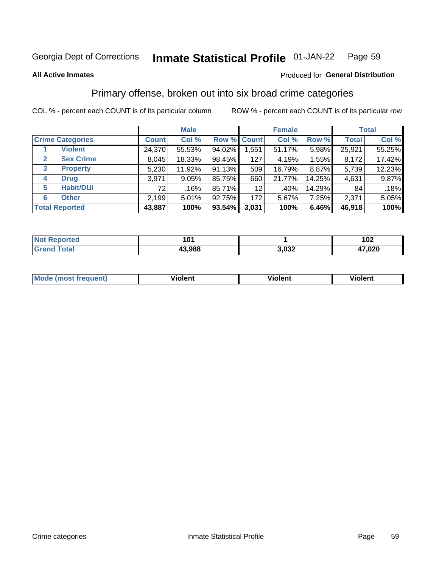#### Inmate Statistical Profile 01-JAN-22 Page 59

### **All Active Inmates**

## Produced for General Distribution

# Primary offense, broken out into six broad crime categories

COL % - percent each COUNT is of its particular column

|                                  | <b>Male</b>  |        |           | <b>Female</b>      |         |        | <b>Total</b> |        |
|----------------------------------|--------------|--------|-----------|--------------------|---------|--------|--------------|--------|
| <b>Crime Categories</b>          | <b>Count</b> | Col %  |           | <b>Row % Count</b> | Col %   | Row %  | <b>Total</b> | Col %  |
| <b>Violent</b>                   | 24,370       | 55.53% | 94.02%    | 1,551              | 51.17%  | 5.98%  | 25,921       | 55.25% |
| <b>Sex Crime</b><br>$\mathbf{2}$ | 8,045        | 18.33% | 98.45%    | 127                | 4.19%   | 1.55%  | 8,172        | 17.42% |
| 3<br><b>Property</b>             | 5,230        | 11.92% | 91.13%    | 509                | 16.79%  | 8.87%  | 5,739        | 12.23% |
| <b>Drug</b><br>4                 | 3,971        | 9.05%  | 85.75%    | 660                | 21.77%  | 14.25% | 4,631        | 9.87%  |
| <b>Habit/DUI</b><br>5            | 72           | .16%   | 85.71%    | 12                 | $.40\%$ | 14.29% | 84           | .18%   |
| <b>Other</b><br>6                | 2,199        | 5.01%  | 92.75%    | 172                | 5.67%   | 7.25%  | 2,371        | 5.05%  |
| <b>Total Reported</b>            | 43,887       | 100%   | $93.54\%$ | 3,031              | 100%    | 6.46%  | 46,918       | 100%   |

| <b>orteg</b><br>NO | n.     |                | 102    |
|--------------------|--------|----------------|--------|
| $T \sim$ follows:  | 43.988 | רכה י<br>→,UJ∠ | 47,020 |

| Mc | .<br>$\cdots$ | VIOIEM |
|----|---------------|--------|
|    |               |        |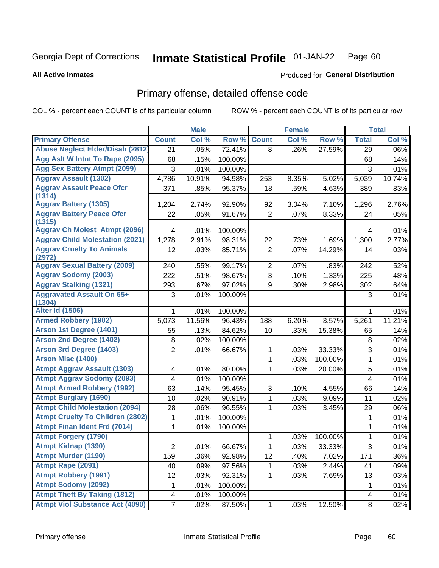#### Inmate Statistical Profile 01-JAN-22 Page 60

### **All Active Inmates**

## Produced for General Distribution

# Primary offense, detailed offense code

COL % - percent each COUNT is of its particular column

|                                            |                         | <b>Male</b> |         |                | <b>Female</b> |         |                | <b>Total</b> |
|--------------------------------------------|-------------------------|-------------|---------|----------------|---------------|---------|----------------|--------------|
| <b>Primary Offense</b>                     | <b>Count</b>            | Col %       | Row %   | <b>Count</b>   | Col %         | Row %   | <b>Total</b>   | Col %        |
| <b>Abuse Neglect Elder/Disab (2812)</b>    | 21                      | .05%        | 72.41%  | 8              | .26%          | 27.59%  | 29             | .06%         |
| Agg Aslt W Intnt To Rape (2095)            | 68                      | .15%        | 100.00% |                |               |         | 68             | .14%         |
| <b>Agg Sex Battery Atmpt (2099)</b>        | 3                       | .01%        | 100.00% |                |               |         | 3              | .01%         |
| <b>Aggrav Assault (1302)</b>               | 4,786                   | 10.91%      | 94.98%  | 253            | 8.35%         | 5.02%   | 5,039          | 10.74%       |
| <b>Aggrav Assault Peace Ofcr</b>           | 371                     | .85%        | 95.37%  | 18             | .59%          | 4.63%   | 389            | .83%         |
| (1314)                                     |                         |             |         |                |               |         |                |              |
| <b>Aggrav Battery (1305)</b>               | 1,204                   | 2.74%       | 92.90%  | 92             | 3.04%         | 7.10%   | 1,296          | 2.76%        |
| <b>Aggrav Battery Peace Ofcr</b><br>(1315) | 22                      | .05%        | 91.67%  | $\overline{2}$ | .07%          | 8.33%   | 24             | .05%         |
| <b>Aggrav Ch Molest Atmpt (2096)</b>       | 4                       | .01%        | 100.00% |                |               |         | 4              | .01%         |
| <b>Aggrav Child Molestation (2021)</b>     | 1,278                   | 2.91%       | 98.31%  | 22             | .73%          | 1.69%   | 1,300          | 2.77%        |
| <b>Aggrav Cruelty To Animals</b>           | 12                      | .03%        | 85.71%  | $\overline{2}$ | .07%          | 14.29%  | 14             | .03%         |
| (2972)                                     |                         |             |         |                |               |         |                |              |
| <b>Aggrav Sexual Battery (2009)</b>        | 240                     | .55%        | 99.17%  | $\overline{2}$ | .07%          | .83%    | 242            | .52%         |
| <b>Aggrav Sodomy (2003)</b>                | 222                     | .51%        | 98.67%  | 3              | .10%          | 1.33%   | 225            | .48%         |
| <b>Aggrav Stalking (1321)</b>              | 293                     | .67%        | 97.02%  | 9              | .30%          | 2.98%   | 302            | .64%         |
| <b>Aggravated Assault On 65+</b><br>(1304) | 3                       | .01%        | 100.00% |                |               |         | 3              | .01%         |
| <b>Alter Id (1506)</b>                     | 1                       | .01%        | 100.00% |                |               |         | 1              | .01%         |
| <b>Armed Robbery (1902)</b>                | 5,073                   | 11.56%      | 96.43%  | 188            | 6.20%         | 3.57%   | 5,261          | 11.21%       |
| Arson 1st Degree (1401)                    | 55                      | .13%        | 84.62%  | 10             | .33%          | 15.38%  | 65             | .14%         |
| <b>Arson 2nd Degree (1402)</b>             | 8                       | .02%        | 100.00% |                |               |         | 8              | .02%         |
| <b>Arson 3rd Degree (1403)</b>             | 2                       | .01%        | 66.67%  | 1              | .03%          | 33.33%  | 3              | .01%         |
| <b>Arson Misc (1400)</b>                   |                         |             |         | 1              | .03%          | 100.00% | 1              | .01%         |
| <b>Atmpt Aggrav Assault (1303)</b>         | 4                       | .01%        | 80.00%  | 1              | .03%          | 20.00%  | 5              | .01%         |
| <b>Atmpt Aggrav Sodomy (2093)</b>          | 4                       | .01%        | 100.00% |                |               |         | 4              | .01%         |
| <b>Atmpt Armed Robbery (1992)</b>          | 63                      | .14%        | 95.45%  | 3              | .10%          | 4.55%   | 66             | .14%         |
| <b>Atmpt Burglary (1690)</b>               | 10                      | .02%        | 90.91%  | 1              | .03%          | 9.09%   | 11             | .02%         |
| <b>Atmpt Child Molestation (2094)</b>      | 28                      | .06%        | 96.55%  | 1              | .03%          | 3.45%   | 29             | .06%         |
| <b>Atmpt Cruelty To Children (2802)</b>    | 1                       | .01%        | 100.00% |                |               |         | 1              | .01%         |
| <b>Atmpt Finan Ident Frd (7014)</b>        | 1                       | .01%        | 100.00% |                |               |         | $\mathbf{1}$   | .01%         |
| <b>Atmpt Forgery (1790)</b>                |                         |             |         | 1              | .03%          | 100.00% | 1              | .01%         |
| <b>Atmpt Kidnap (1390)</b>                 | $\overline{2}$          | .01%        | 66.67%  | 1              | .03%          | 33.33%  | $\overline{3}$ | .01%         |
| <b>Atmpt Murder (1190)</b>                 | 159                     | .36%        | 92.98%  | 12             | .40%          | 7.02%   | 171            | $.36\%$      |
| Atmpt Rape (2091)                          | 40                      | .09%        | 97.56%  | 1              | .03%          | 2.44%   | 41             | .09%         |
| <b>Atmpt Robbery (1991)</b>                | 12                      | .03%        | 92.31%  | 1              | .03%          | 7.69%   | 13             | .03%         |
| <b>Atmpt Sodomy (2092)</b>                 | 1                       | .01%        | 100.00% |                |               |         | $\mathbf{1}$   | .01%         |
| <b>Atmpt Theft By Taking (1812)</b>        | $\overline{\mathbf{4}}$ | .01%        | 100.00% |                |               |         | $\overline{4}$ | .01%         |
| <b>Atmpt Viol Substance Act (4090)</b>     | 7                       | .02%        | 87.50%  | 1              | .03%          | 12.50%  | 8              | .02%         |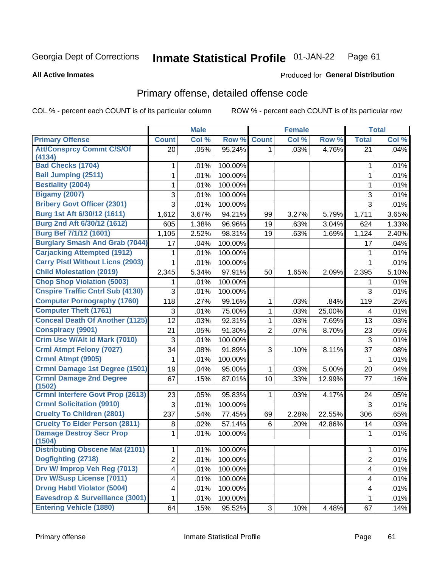#### **Inmate Statistical Profile 01-JAN-22** Page 61

**Produced for General Distribution** 

### **All Active Inmates**

# Primary offense, detailed offense code

COL % - percent each COUNT is of its particular column

|                                          | <b>Male</b>    |       | <b>Female</b> |                |       | <b>Total</b> |                |       |
|------------------------------------------|----------------|-------|---------------|----------------|-------|--------------|----------------|-------|
| <b>Primary Offense</b>                   | <b>Count</b>   | Col % | Row %         | <b>Count</b>   | Col % | Row %        | <b>Total</b>   | Col % |
| <b>Att/Consprcy Commt C/S/Of</b>         | 20             | .05%  | 95.24%        | 1              | .03%  | 4.76%        | 21             | .04%  |
| (4134)<br><b>Bad Checks (1704)</b>       |                |       |               |                |       |              |                |       |
| <b>Bail Jumping (2511)</b>               | 1              | .01%  | 100.00%       |                |       |              | 1              | .01%  |
|                                          | 1              | .01%  | 100.00%       |                |       |              | 1              | .01%  |
| <b>Bestiality (2004)</b>                 | 1              | .01%  | 100.00%       |                |       |              | 1              | .01%  |
| <b>Bigamy (2007)</b>                     | 3              | .01%  | 100.00%       |                |       |              | 3              | .01%  |
| <b>Bribery Govt Officer (2301)</b>       | 3              | .01%  | 100.00%       |                |       |              | $\overline{3}$ | .01%  |
| Burg 1st Aft 6/30/12 (1611)              | 1,612          | 3.67% | 94.21%        | 99             | 3.27% | 5.79%        | 1,711          | 3.65% |
| Burg 2nd Aft 6/30/12 (1612)              | 605            | 1.38% | 96.96%        | 19             | .63%  | 3.04%        | 624            | 1.33% |
| <b>Burg Bef 7/1/12 (1601)</b>            | 1,105          | 2.52% | 98.31%        | 19             | .63%  | 1.69%        | 1,124          | 2.40% |
| <b>Burglary Smash And Grab (7044)</b>    | 17             | .04%  | 100.00%       |                |       |              | 17             | .04%  |
| <b>Carjacking Attempted (1912)</b>       | 1              | .01%  | 100.00%       |                |       |              | 1              | .01%  |
| <b>Carry Pistl Without Licns (2903)</b>  | 1              | .01%  | 100.00%       |                |       |              | 1              | .01%  |
| <b>Child Molestation (2019)</b>          | 2,345          | 5.34% | 97.91%        | 50             | 1.65% | 2.09%        | 2,395          | 5.10% |
| <b>Chop Shop Violation (5003)</b>        | 1              | .01%  | 100.00%       |                |       |              | 1              | .01%  |
| <b>Cnspire Traffic Cntrl Sub (4130)</b>  | 3              | .01%  | 100.00%       |                |       |              | 3              | .01%  |
| <b>Computer Pornography (1760)</b>       | 118            | .27%  | 99.16%        | 1              | .03%  | .84%         | 119            | .25%  |
| <b>Computer Theft (1761)</b>             | 3              | .01%  | 75.00%        | 1              | .03%  | 25.00%       | 4              | .01%  |
| <b>Conceal Death Of Another (1125)</b>   | 12             | .03%  | 92.31%        | 1              | .03%  | 7.69%        | 13             | .03%  |
| <b>Conspiracy (9901)</b>                 | 21             | .05%  | 91.30%        | $\overline{2}$ | .07%  | 8.70%        | 23             | .05%  |
| Crim Use W/Alt Id Mark (7010)            | 3              | .01%  | 100.00%       |                |       |              | $\mathfrak{S}$ | .01%  |
| <b>Crml Atmpt Felony (7027)</b>          | 34             | .08%  | 91.89%        | 3              | .10%  | 8.11%        | 37             | .08%  |
| Crmnl Atmpt (9905)                       | 1              | .01%  | 100.00%       |                |       |              | 1              | .01%  |
| <b>Crmnl Damage 1st Degree (1501)</b>    | 19             | .04%  | 95.00%        | 1              | .03%  | 5.00%        | 20             | .04%  |
| <b>Crmnl Damage 2nd Degree</b><br>(1502) | 67             | .15%  | 87.01%        | 10             | .33%  | 12.99%       | 77             | .16%  |
| <b>Crmnl Interfere Govt Prop (2613)</b>  | 23             | .05%  | 95.83%        | 1              | .03%  | 4.17%        | 24             | .05%  |
| <b>Crmnl Solicitation (9910)</b>         | 3              | .01%  | 100.00%       |                |       |              | 3              | .01%  |
| <b>Cruelty To Children (2801)</b>        | 237            | .54%  | 77.45%        | 69             | 2.28% | 22.55%       | 306            | .65%  |
| <b>Cruelty To Elder Person (2811)</b>    | 8              | .02%  | 57.14%        | 6              | .20%  | 42.86%       | 14             | .03%  |
| <b>Damage Destroy Secr Prop</b>          | 1              | .01%  | 100.00%       |                |       |              | 1              | .01%  |
| (1504)                                   |                |       |               |                |       |              |                |       |
| <b>Distributing Obscene Mat (2101)</b>   | 1              | .01%  | 100.00%       |                |       |              | 1              | .01%  |
| Dogfighting (2718)                       | $\overline{2}$ | .01%  | 100.00%       |                |       |              | $\overline{2}$ | .01%  |
| Drv W/ Improp Veh Reg (7013)             | 4              | .01%  | 100.00%       |                |       |              | 4              | .01%  |
| <b>Drv W/Susp License (7011)</b>         | 4              | .01%  | 100.00%       |                |       |              | 4              | .01%  |
| <b>Drvng Habtl Violator (5004)</b>       | 4              | .01%  | 100.00%       |                |       |              | 4              | .01%  |
| Eavesdrop & Surveillance (3001)          | 1              | .01%  | 100.00%       |                |       |              | 1              | .01%  |
| <b>Entering Vehicle (1880)</b>           | 64             | .15%  | 95.52%        | 3              | .10%  | 4.48%        | 67             | .14%  |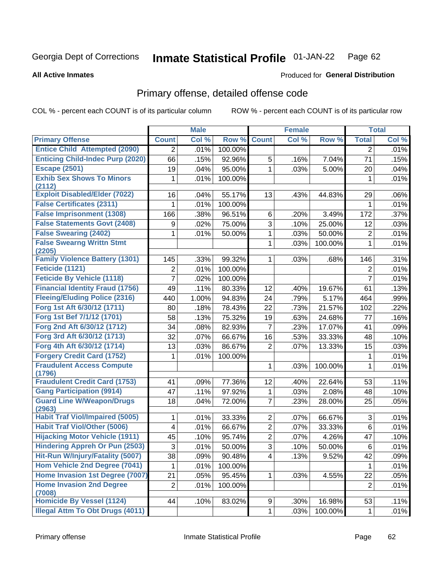#### **Inmate Statistical Profile 01-JAN-22** Page 62

**All Active Inmates** 

## **Produced for General Distribution**

# Primary offense, detailed offense code

COL % - percent each COUNT is of its particular column

|                                            |                | <b>Male</b> |         |                | <b>Female</b> |         |                | <b>Total</b> |
|--------------------------------------------|----------------|-------------|---------|----------------|---------------|---------|----------------|--------------|
| <b>Primary Offense</b>                     | <b>Count</b>   | Col %       | Row %   | <b>Count</b>   | Col %         | Row %   | <b>Total</b>   | Col %        |
| <b>Entice Child Attempted (2090)</b>       | $\overline{2}$ | .01%        | 100.00% |                |               |         | 2              | .01%         |
| <b>Enticing Child-Indec Purp (2020)</b>    | 66             | .15%        | 92.96%  | 5              | .16%          | 7.04%   | 71             | .15%         |
| <b>Escape (2501)</b>                       | 19             | .04%        | 95.00%  | 1              | .03%          | 5.00%   | 20             | .04%         |
| <b>Exhib Sex Shows To Minors</b>           | 1              | .01%        | 100.00% |                |               |         | 1              | .01%         |
| (2112)                                     |                |             |         |                |               |         |                |              |
| <b>Exploit Disabled/Elder (7022)</b>       | 16             | .04%        | 55.17%  | 13             | .43%          | 44.83%  | 29             | .06%         |
| <b>False Certificates (2311)</b>           | 1              | .01%        | 100.00% |                |               |         | 1              | .01%         |
| <b>False Imprisonment (1308)</b>           | 166            | .38%        | 96.51%  | 6              | .20%          | 3.49%   | 172            | .37%         |
| <b>False Statements Govt (2408)</b>        | 9              | .02%        | 75.00%  | $\overline{3}$ | .10%          | 25.00%  | 12             | .03%         |
| <b>False Swearing (2402)</b>               | 1              | .01%        | 50.00%  | 1              | .03%          | 50.00%  | $\overline{2}$ | .01%         |
| <b>False Swearng Writtn Stmt</b><br>(2205) |                |             |         | 1              | .03%          | 100.00% | 1              | .01%         |
| <b>Family Violence Battery (1301)</b>      | 145            | .33%        | 99.32%  | 1              | .03%          | .68%    | 146            | .31%         |
| Feticide (1121)                            | $\overline{2}$ | .01%        | 100.00% |                |               |         | 2              | .01%         |
| <b>Feticide By Vehicle (1118)</b>          | 7              | .02%        | 100.00% |                |               |         | $\overline{7}$ | .01%         |
| <b>Financial Identity Fraud (1756)</b>     | 49             | .11%        | 80.33%  | 12             | .40%          | 19.67%  | 61             | .13%         |
| <b>Fleeing/Eluding Police (2316)</b>       | 440            | 1.00%       | 94.83%  | 24             | .79%          | 5.17%   | 464            | .99%         |
| Forg 1st Aft 6/30/12 (1711)                | 80             | .18%        | 78.43%  | 22             | .73%          | 21.57%  | 102            | .22%         |
| Forg 1st Bef 7/1/12 (1701)                 | 58             | .13%        | 75.32%  | 19             | .63%          | 24.68%  | 77             | .16%         |
| Forg 2nd Aft 6/30/12 (1712)                | 34             | .08%        | 82.93%  | $\overline{7}$ | .23%          | 17.07%  | 41             | .09%         |
| Forg 3rd Aft 6/30/12 (1713)                | 32             | .07%        | 66.67%  | 16             | .53%          | 33.33%  | 48             | .10%         |
| Forg 4th Aft 6/30/12 (1714)                | 13             | .03%        | 86.67%  | $\overline{2}$ | .07%          | 13.33%  | 15             | .03%         |
| <b>Forgery Credit Card (1752)</b>          | 1              | .01%        | 100.00% |                |               |         | 1              | .01%         |
| <b>Fraudulent Access Compute</b><br>(1796) |                |             |         | 1              | .03%          | 100.00% | 1              | .01%         |
| <b>Fraudulent Credit Card (1753)</b>       | 41             | .09%        | 77.36%  | 12             | .40%          | 22.64%  | 53             | .11%         |
| <b>Gang Participation (9914)</b>           | 47             | .11%        | 97.92%  | 1              | .03%          | 2.08%   | 48             | .10%         |
| <b>Guard Line W/Weapon/Drugs</b>           | 18             | .04%        | 72.00%  | $\overline{7}$ | .23%          | 28.00%  | 25             | .05%         |
| (2963)                                     |                |             |         |                |               |         |                |              |
| <b>Habit Traf Viol/Impaired (5005)</b>     | 1              | .01%        | 33.33%  | $\overline{2}$ | .07%          | 66.67%  | 3              | .01%         |
| <b>Habit Traf Viol/Other (5006)</b>        | 4              | .01%        | 66.67%  | $\overline{2}$ | .07%          | 33.33%  | 6              | .01%         |
| <b>Hijacking Motor Vehicle (1911)</b>      | 45             | .10%        | 95.74%  | $\overline{2}$ | .07%          | 4.26%   | 47             | .10%         |
| <b>Hindering Appreh Or Pun (2503)</b>      | 3              | .01%        | 50.00%  | $\overline{3}$ | .10%          | 50.00%  | $\,6$          | .01%         |
| Hit-Run W/Injury/Fatality (5007)           | 38             | .09%        | 90.48%  | $\overline{4}$ | .13%          | 9.52%   | 42             | .09%         |
| Hom Vehicle 2nd Degree (7041)              | 1              | .01%        | 100.00% |                |               |         | 1              | .01%         |
| Home Invasion 1st Degree (7007)            | 21             | .05%        | 95.45%  | $\mathbf{1}$   | .03%          | 4.55%   | 22             | .05%         |
| <b>Home Invasion 2nd Degree</b>            | $\overline{2}$ | .01%        | 100.00% |                |               |         | $\overline{2}$ | .01%         |
| (7008)                                     |                |             |         |                |               |         |                |              |
| <b>Homicide By Vessel (1124)</b>           | 44             | .10%        | 83.02%  | 9              | .30%          | 16.98%  | 53             | .11%         |
| <b>Illegal Attm To Obt Drugs (4011)</b>    |                |             |         | $\mathbf{1}$   | .03%          | 100.00% | $\mathbf{1}$   | .01%         |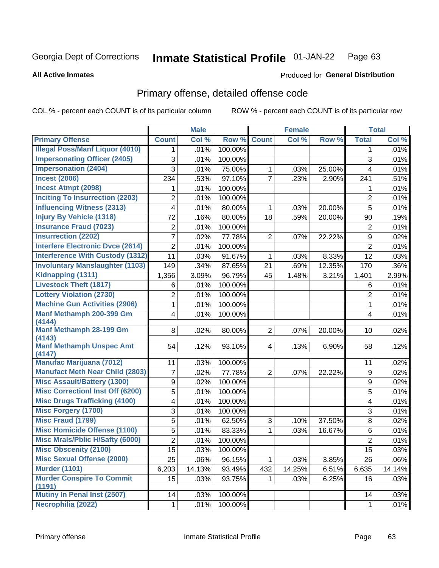#### Inmate Statistical Profile 01-JAN-22 Page 63

### **All Active Inmates**

## Produced for General Distribution

# Primary offense, detailed offense code

COL % - percent each COUNT is of its particular column

|                                           |                | <b>Male</b> |         |                | <b>Female</b> |        |                | <b>Total</b> |
|-------------------------------------------|----------------|-------------|---------|----------------|---------------|--------|----------------|--------------|
| <b>Primary Offense</b>                    | <b>Count</b>   | Col %       | Row %   | <b>Count</b>   | Col %         | Row %  | <b>Total</b>   | Col %        |
| <b>Illegal Poss/Manf Liquor (4010)</b>    | 1              | .01%        | 100.00% |                |               |        | $\mathbf 1$    | .01%         |
| <b>Impersonating Officer (2405)</b>       | 3              | .01%        | 100.00% |                |               |        | 3              | .01%         |
| <b>Impersonation (2404)</b>               | 3              | .01%        | 75.00%  | 1              | .03%          | 25.00% | 4              | .01%         |
| <b>Incest (2006)</b>                      | 234            | .53%        | 97.10%  | $\overline{7}$ | .23%          | 2.90%  | 241            | .51%         |
| <b>Incest Atmpt (2098)</b>                | 1              | .01%        | 100.00% |                |               |        | 1              | .01%         |
| <b>Inciting To Insurrection (2203)</b>    | $\overline{2}$ | .01%        | 100.00% |                |               |        | $\overline{2}$ | .01%         |
| <b>Influencing Witness (2313)</b>         | 4              | .01%        | 80.00%  | 1              | .03%          | 20.00% | 5              | .01%         |
| <b>Injury By Vehicle (1318)</b>           | 72             | .16%        | 80.00%  | 18             | .59%          | 20.00% | 90             | .19%         |
| <b>Insurance Fraud (7023)</b>             | 2              | .01%        | 100.00% |                |               |        | $\overline{2}$ | .01%         |
| <b>Insurrection (2202)</b>                | $\overline{7}$ | .02%        | 77.78%  | $\overline{2}$ | .07%          | 22.22% | 9              | .02%         |
| <b>Interfere Electronic Dvce (2614)</b>   | 2              | .01%        | 100.00% |                |               |        | $\overline{2}$ | .01%         |
| <b>Interference With Custody (1312)</b>   | 11             | .03%        | 91.67%  | 1              | .03%          | 8.33%  | 12             | .03%         |
| <b>Involuntary Manslaughter (1103)</b>    | 149            | .34%        | 87.65%  | 21             | .69%          | 12.35% | 170            | .36%         |
| Kidnapping (1311)                         | 1,356          | 3.09%       | 96.79%  | 45             | 1.48%         | 3.21%  | 1,401          | 2.99%        |
| <b>Livestock Theft (1817)</b>             | 6              | .01%        | 100.00% |                |               |        | 6              | .01%         |
| <b>Lottery Violation (2730)</b>           | $\overline{2}$ | .01%        | 100.00% |                |               |        | $\overline{2}$ | .01%         |
| <b>Machine Gun Activities (2906)</b>      | 1              | .01%        | 100.00% |                |               |        | 1              | .01%         |
| Manf Methamph 200-399 Gm                  | 4              | .01%        | 100.00% |                |               |        | 4              | .01%         |
| (4144)                                    |                |             |         |                |               |        |                |              |
| Manf Methamph 28-199 Gm                   | 8              | .02%        | 80.00%  | $\overline{2}$ | .07%          | 20.00% | 10             | .02%         |
| (4143)<br><b>Manf Methamph Unspec Amt</b> | 54             |             | 93.10%  | $\overline{4}$ | .13%          | 6.90%  | 58             | .12%         |
| (4147)                                    |                | .12%        |         |                |               |        |                |              |
| <b>Manufac Marijuana (7012)</b>           | 11             | .03%        | 100.00% |                |               |        | 11             | .02%         |
| <b>Manufact Meth Near Child (2803)</b>    | 7              | .02%        | 77.78%  | $\overline{2}$ | .07%          | 22.22% | 9              | .02%         |
| <b>Misc Assault/Battery (1300)</b>        | 9              | .02%        | 100.00% |                |               |        | 9              | .02%         |
| <b>Misc Correctionl Inst Off (6200)</b>   | 5              | .01%        | 100.00% |                |               |        | 5              | .01%         |
| <b>Misc Drugs Trafficking (4100)</b>      | 4              | .01%        | 100.00% |                |               |        | 4              | .01%         |
| <b>Misc Forgery (1700)</b>                | 3              | .01%        | 100.00% |                |               |        | 3              | .01%         |
| <b>Misc Fraud (1799)</b>                  | 5              | .01%        | 62.50%  | 3              | .10%          | 37.50% | 8              | .02%         |
| <b>Misc Homicide Offense (1100)</b>       | 5              | .01%        | 83.33%  | $\mathbf{1}$   | .03%          | 16.67% | 6              | .01%         |
| <b>Misc Mrals/Pblic H/Safty (6000)</b>    | $\overline{2}$ | .01%        | 100.00% |                |               |        | $\overline{2}$ | .01%         |
| <b>Misc Obscenity (2100)</b>              | 15             | .03%        | 100.00% |                |               |        | 15             | .03%         |
| <b>Misc Sexual Offense (2000)</b>         | 25             | .06%        | 96.15%  | $\mathbf{1}$   | .03%          | 3.85%  | 26             | .06%         |
| <b>Murder (1101)</b>                      | 6,203          | 14.13%      | 93.49%  | 432            | 14.25%        | 6.51%  | 6,635          | 14.14%       |
| <b>Murder Conspire To Commit</b>          | 15             | .03%        | 93.75%  | 1.             | .03%          | 6.25%  | 16             | .03%         |
| (1191)                                    |                |             |         |                |               |        |                |              |
| Mutiny In Penal Inst (2507)               | 14             | .03%        | 100.00% |                |               |        | 14             | .03%         |
| Necrophilia (2022)                        | 1              | .01%        | 100.00% |                |               |        | $\mathbf{1}$   | .01%         |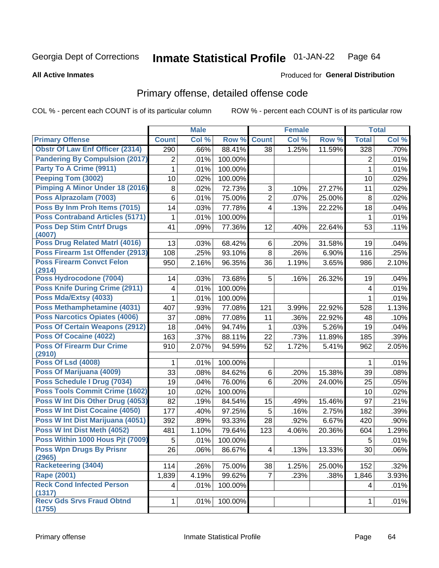#### **Inmate Statistical Profile 01-JAN-22** Page 64

### **All Active Inmates**

# **Produced for General Distribution**

# Primary offense, detailed offense code

COL % - percent each COUNT is of its particular column

|                                            |              | <b>Male</b> |         |                | <b>Female</b> |        |                | <b>Total</b> |
|--------------------------------------------|--------------|-------------|---------|----------------|---------------|--------|----------------|--------------|
| <b>Primary Offense</b>                     | <b>Count</b> | Col %       | Row %   | <b>Count</b>   | Col %         | Row %  | <b>Total</b>   | Col %        |
| <b>Obstr Of Law Enf Officer (2314)</b>     | 290          | .66%        | 88.41%  | 38             | 1.25%         | 11.59% | 328            | .70%         |
| <b>Pandering By Compulsion (2017)</b>      | 2            | .01%        | 100.00% |                |               |        | $\overline{2}$ | .01%         |
| Party To A Crime (9911)                    | 1            | .01%        | 100.00% |                |               |        | 1              | .01%         |
| <b>Peeping Tom (3002)</b>                  | 10           | .02%        | 100.00% |                |               |        | 10             | .02%         |
| Pimping A Minor Under 18 (2016)            | 8            | .02%        | 72.73%  | 3              | .10%          | 27.27% | 11             | .02%         |
| Poss Alprazolam (7003)                     | 6            | .01%        | 75.00%  | $\overline{2}$ | .07%          | 25.00% | 8              | .02%         |
| Poss By Inm Proh Items (7015)              | 14           | .03%        | 77.78%  | 4              | .13%          | 22.22% | 18             | .04%         |
| <b>Poss Contraband Articles (5171)</b>     | 1            | .01%        | 100.00% |                |               |        | $\mathbf{1}$   | .01%         |
| <b>Poss Dep Stim Cntrf Drugs</b><br>(4007) | 41           | .09%        | 77.36%  | 12             | .40%          | 22.64% | 53             | .11%         |
| <b>Poss Drug Related Matri (4016)</b>      | 13           | .03%        | 68.42%  | 6              | .20%          | 31.58% | 19             | .04%         |
| Poss Firearm 1st Offender (2913)           | 108          | .25%        | 93.10%  | 8              | .26%          | 6.90%  | 116            | .25%         |
| <b>Poss Firearm Convct Felon</b><br>(2914) | 950          | 2.16%       | 96.35%  | 36             | 1.19%         | 3.65%  | 986            | 2.10%        |
| Poss Hydrocodone (7004)                    | 14           | .03%        | 73.68%  | 5              | .16%          | 26.32% | 19             | .04%         |
| <b>Poss Knife During Crime (2911)</b>      | 4            | .01%        | 100.00% |                |               |        | 4              | .01%         |
| Poss Mda/Extsy (4033)                      | 1            | .01%        | 100.00% |                |               |        | 1              | .01%         |
| <b>Poss Methamphetamine (4031)</b>         | 407          | .93%        | 77.08%  | 121            | 3.99%         | 22.92% | 528            | 1.13%        |
| <b>Poss Narcotics Opiates (4006)</b>       | 37           | .08%        | 77.08%  | 11             | .36%          | 22.92% | 48             | .10%         |
| <b>Poss Of Certain Weapons (2912)</b>      | 18           | .04%        | 94.74%  | 1              | .03%          | 5.26%  | 19             | .04%         |
| <b>Poss Of Cocaine (4022)</b>              | 163          | .37%        | 88.11%  | 22             | .73%          | 11.89% | 185            | .39%         |
| <b>Poss Of Firearm Dur Crime</b><br>(2910) | 910          | 2.07%       | 94.59%  | 52             | 1.72%         | 5.41%  | 962            | 2.05%        |
| <b>Poss Of Lsd (4008)</b>                  | 1            | .01%        | 100.00% |                |               |        | 1              | .01%         |
| Poss Of Marijuana (4009)                   | 33           | .08%        | 84.62%  | 6              | .20%          | 15.38% | 39             | .08%         |
| Poss Schedule I Drug (7034)                | 19           | .04%        | 76.00%  | 6              | .20%          | 24.00% | 25             | .05%         |
| <b>Poss Tools Commit Crime (1602)</b>      | 10           | .02%        | 100.00% |                |               |        | 10             | .02%         |
| Poss W Int Dis Other Drug (4053)           | 82           | .19%        | 84.54%  | 15             | .49%          | 15.46% | 97             | .21%         |
| <b>Poss W Int Dist Cocaine (4050)</b>      | 177          | .40%        | 97.25%  | 5              | .16%          | 2.75%  | 182            | .39%         |
| Poss W Int Dist Marijuana (4051)           | 392          | .89%        | 93.33%  | 28             | .92%          | 6.67%  | 420            | .90%         |
| Poss W Int Dist Meth (4052)                | 481          | 1.10%       | 79.64%  | 123            | 4.06%         | 20.36% | 604            | 1.29%        |
| Poss Within 1000 Hous Pjt (7009)           | 5            | .01%        | 100.00% |                |               |        | 5              | .01%         |
| <b>Poss Wpn Drugs By Prisnr</b><br>(2965)  | 26           | .06%        | 86.67%  | 4              | .13%          | 13.33% | 30             | .06%         |
| Racketeering (3404)                        | 114          | .26%        | 75.00%  | 38             | 1.25%         | 25.00% | 152            | .32%         |
| <b>Rape (2001)</b>                         | 1,839        | 4.19%       | 99.62%  | $\overline{7}$ | .23%          | .38%   | 1,846          | 3.93%        |
| <b>Reck Cond Infected Person</b><br>(1317) | 4            | .01%        | 100.00% |                |               |        | $\overline{4}$ | .01%         |
| <b>Recv Gds Srvs Fraud Obtnd</b><br>(1755) | 1.           | .01%        | 100.00% |                |               |        | $\mathbf{1}$   | .01%         |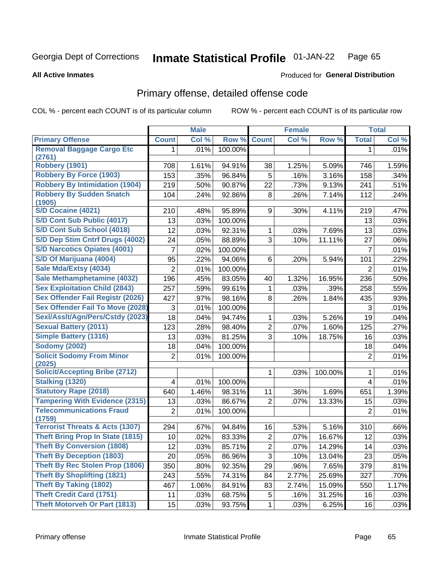#### Inmate Statistical Profile 01-JAN-22 Page 65

### **All Active Inmates**

## Produced for General Distribution

# Primary offense, detailed offense code

COL % - percent each COUNT is of its particular column

|                                            |                | <b>Male</b> |         |                  | <b>Female</b> |         |                | <b>Total</b> |
|--------------------------------------------|----------------|-------------|---------|------------------|---------------|---------|----------------|--------------|
| <b>Primary Offense</b>                     | <b>Count</b>   | Col %       | Row %   | <b>Count</b>     | Col %         | Row %   | <b>Total</b>   | Col %        |
| <b>Removal Baggage Cargo Etc</b>           | 1.             | .01%        | 100.00% |                  |               |         | 1              | $.01\%$      |
| (2761)                                     |                |             |         |                  |               |         |                |              |
| <b>Robbery (1901)</b>                      | 708            | 1.61%       | 94.91%  | 38               | 1.25%         | 5.09%   | 746            | 1.59%        |
| <b>Robbery By Force (1903)</b>             | 153            | .35%        | 96.84%  | 5                | .16%          | 3.16%   | 158            | .34%         |
| <b>Robbery By Intimidation (1904)</b>      | 219            | .50%        | 90.87%  | 22               | .73%          | 9.13%   | 241            | .51%         |
| <b>Robbery By Sudden Snatch</b><br>(1905)  | 104            | .24%        | 92.86%  | 8                | .26%          | 7.14%   | 112            | .24%         |
| S/D Cocaine (4021)                         | 210            | .48%        | 95.89%  | 9                | .30%          | 4.11%   | 219            | .47%         |
| S/D Cont Sub Public (4017)                 | 13             | .03%        | 100.00% |                  |               |         | 13             | .03%         |
| S/D Cont Sub School (4018)                 | 12             | .03%        | 92.31%  | 1                | .03%          | 7.69%   | 13             | .03%         |
| S/D Dep Stim Cntrf Drugs (4002)            | 24             | .05%        | 88.89%  | $\overline{3}$   | .10%          | 11.11%  | 27             | .06%         |
| <b>S/D Narcotics Opiates (4001)</b>        | $\overline{7}$ | .02%        | 100.00% |                  |               |         | $\overline{7}$ | .01%         |
| S/D Of Marijuana (4004)                    | 95             | .22%        | 94.06%  | 6                | .20%          | 5.94%   | 101            | .22%         |
| Sale Mda/Extsy (4034)                      | $\overline{2}$ | .01%        | 100.00% |                  |               |         | 2              | .01%         |
| Sale Methamphetamine (4032)                | 196            | .45%        | 83.05%  | 40               | 1.32%         | 16.95%  | 236            | .50%         |
| <b>Sex Exploitation Child (2843)</b>       | 257            | .59%        | 99.61%  | 1                | .03%          | .39%    | 258            | .55%         |
| <b>Sex Offender Fail Registr (2026)</b>    | 427            | .97%        | 98.16%  | 8                | .26%          | 1.84%   | 435            | .93%         |
| <b>Sex Offender Fail To Move (2028)</b>    | 3              | .01%        | 100.00% |                  |               |         | 3              | .01%         |
| Sexl/Asslt/Agn/Pers/Cstdy (2023)           | 18             | .04%        | 94.74%  | 1                | .03%          | 5.26%   | 19             | .04%         |
| <b>Sexual Battery (2011)</b>               | 123            | .28%        | 98.40%  | $\overline{2}$   | .07%          | 1.60%   | 125            | .27%         |
| <b>Simple Battery (1316)</b>               | 13             | .03%        | 81.25%  | $\overline{3}$   | .10%          | 18.75%  | 16             | .03%         |
| <b>Sodomy (2002)</b>                       | 18             | .04%        | 100.00% |                  |               |         | 18             | .04%         |
| <b>Solicit Sodomy From Minor</b><br>(2025) | $\overline{2}$ | .01%        | 100.00% |                  |               |         | $\overline{2}$ | .01%         |
| <b>Solicit/Accepting Bribe (2712)</b>      |                |             |         |                  | .03%          | 100.00% | 1              | .01%         |
| Stalking (1320)                            | 4              | .01%        | 100.00% |                  |               |         | 4              | .01%         |
| <b>Statutory Rape (2018)</b>               | 640            | 1.46%       | 98.31%  | 11               | .36%          | 1.69%   | 651            | 1.39%        |
| <b>Tampering With Evidence (2315)</b>      | 13             | .03%        | 86.67%  | $\overline{2}$   | .07%          | 13.33%  | 15             | .03%         |
| <b>Telecommunications Fraud</b><br>(1759)  | $\overline{2}$ | .01%        | 100.00% |                  |               |         | $\overline{2}$ | .01%         |
| <b>Terrorist Threats &amp; Acts (1307)</b> | 294            | .67%        | 94.84%  | 16               | .53%          | 5.16%   | 310            | .66%         |
| <b>Theft Bring Prop In State (1815)</b>    | 10             | .02%        | 83.33%  | $\boldsymbol{2}$ | .07%          | 16.67%  | 12             | .03%         |
| <b>Theft By Conversion (1808)</b>          | 12             | .03%        | 85.71%  | $\overline{2}$   | .07%          | 14.29%  | 14             | .03%         |
| <b>Theft By Deception (1803)</b>           | 20             | .05%        | 86.96%  | 3                | .10%          | 13.04%  | 23             | .05%         |
| Theft By Rec Stolen Prop (1806)            | 350            | .80%        | 92.35%  | 29               | .96%          | 7.65%   | 379            | .81%         |
| <b>Theft By Shoplifting (1821)</b>         | 243            | .55%        | 74.31%  | 84               | 2.77%         | 25.69%  | 327            | .70%         |
| <b>Theft By Taking (1802)</b>              | 467            | 1.06%       | 84.91%  | 83               | 2.74%         | 15.09%  | 550            | 1.17%        |
| <b>Theft Credit Card (1751)</b>            | 11             | .03%        | 68.75%  | 5                | .16%          | 31.25%  | 16             | .03%         |
| <b>Theft Motorveh Or Part (1813)</b>       | 15             | .03%        | 93.75%  | 1                | .03%          | 6.25%   | 16             | .03%         |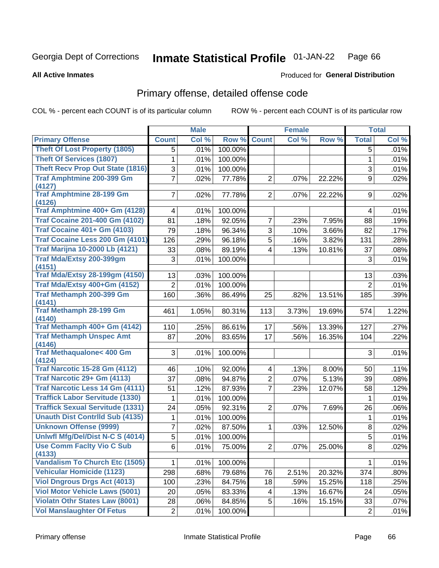#### **Inmate Statistical Profile 01-JAN-22** Page 66

### **All Active Inmates**

## **Produced for General Distribution**

# Primary offense, detailed offense code

COL % - percent each COUNT is of its particular column

|                                            |                | <b>Male</b> |         |                | <b>Female</b> |        |                | <b>Total</b> |
|--------------------------------------------|----------------|-------------|---------|----------------|---------------|--------|----------------|--------------|
| <b>Primary Offense</b>                     | <b>Count</b>   | Col %       | Row %   | <b>Count</b>   | Col %         | Row %  | <b>Total</b>   | Col %        |
| <b>Theft Of Lost Property (1805)</b>       | 5              | .01%        | 100.00% |                |               |        | 5              | .01%         |
| <b>Theft Of Services (1807)</b>            | 1              | .01%        | 100.00% |                |               |        | 1              | .01%         |
| <b>Theft Recv Prop Out State (1816)</b>    | 3              | .01%        | 100.00% |                |               |        | 3              | .01%         |
| <b>Traf Amphtmine 200-399 Gm</b>           | $\overline{7}$ | .02%        | 77.78%  | $\overline{2}$ | .07%          | 22.22% | 9              | .02%         |
| (4127)                                     |                |             |         |                |               |        |                |              |
| <b>Traf Amphtmine 28-199 Gm</b><br>(4126)  | $\overline{7}$ | .02%        | 77.78%  | $\overline{2}$ | .07%          | 22.22% | 9              | .02%         |
| Traf Amphtmine 400+ Gm (4128)              | 4              | .01%        | 100.00% |                |               |        | 4              | .01%         |
| <b>Traf Cocaine 201-400 Gm (4102)</b>      | 81             | .18%        | 92.05%  | $\overline{7}$ | .23%          | 7.95%  | 88             | .19%         |
| <b>Traf Cocaine 401+ Gm (4103)</b>         | 79             | .18%        | 96.34%  | 3              | .10%          | 3.66%  | 82             | .17%         |
| Traf Cocaine Less 200 Gm (4101)            | 126            | .29%        | 96.18%  | $\overline{5}$ | .16%          | 3.82%  | 131            | .28%         |
| <b>Traf Marijna 10-2000 Lb (4121)</b>      | 33             | .08%        | 89.19%  | $\overline{4}$ | .13%          | 10.81% | 37             | .08%         |
| Traf Mda/Extsy 200-399gm<br>(4151)         | 3              | .01%        | 100.00% |                |               |        | 3              | .01%         |
| <b>Traf Mda/Extsy 28-199gm (4150)</b>      | 13             | .03%        | 100.00% |                |               |        | 13             | .03%         |
| Traf Mda/Extsy 400+Gm (4152)               | $\overline{2}$ | .01%        | 100.00% |                |               |        | $\overline{2}$ | .01%         |
| Traf Methamph 200-399 Gm<br>(4141)         | 160            | .36%        | 86.49%  | 25             | .82%          | 13.51% | 185            | .39%         |
| <b>Traf Methamph 28-199 Gm</b><br>(4140)   | 461            | 1.05%       | 80.31%  | 113            | 3.73%         | 19.69% | 574            | 1.22%        |
| Traf Methamph 400+ Gm (4142)               | 110            | .25%        | 86.61%  | 17             | .56%          | 13.39% | 127            | .27%         |
| <b>Traf Methamph Unspec Amt</b>            | 87             | .20%        | 83.65%  | 17             | .56%          | 16.35% | 104            | .22%         |
| (4146)                                     |                |             |         |                |               |        |                |              |
| <b>Traf Methaqualone&lt; 400 Gm</b>        | 3              | .01%        | 100.00% |                |               |        | 3              | .01%         |
| (4124)                                     |                |             |         |                |               |        |                |              |
| <b>Traf Narcotic 15-28 Gm (4112)</b>       | 46             | .10%        | 92.00%  | $\overline{4}$ | .13%          | 8.00%  | 50             | .11%         |
| Traf Narcotic 29+ Gm (4113)                | 37             | .08%        | 94.87%  | $\overline{2}$ | .07%          | 5.13%  | 39             | .08%         |
| <b>Traf Narcotic Less 14 Gm (4111)</b>     | 51             | .12%        | 87.93%  | $\overline{7}$ | .23%          | 12.07% | 58             | .12%         |
| <b>Traffick Labor Servitude (1330)</b>     | 1              | .01%        | 100.00% |                |               |        | 1              | .01%         |
| <b>Traffick Sexual Servitude (1331)</b>    | 24             | .05%        | 92.31%  | $\overline{2}$ | .07%          | 7.69%  | 26             | .06%         |
| <b>Unauth Dist Contrild Sub (4135)</b>     | 1              | .01%        | 100.00% |                |               |        | 1              | .01%         |
| <b>Unknown Offense (9999)</b>              | 7              | .02%        | 87.50%  | 1              | .03%          | 12.50% | 8              | .02%         |
| Uniwfl Mfg/Del/Dist N-C S (4014)           | 5              | .01%        | 100.00% |                |               |        | 5              | .01%         |
| <b>Use Comm Facity Vio C Sub</b><br>(4133) | 6              | .01%        | 75.00%  | $\overline{c}$ | .07%          | 25.00% | 8              | .02%         |
| <b>Vandalism To Church Etc (1505)</b>      | 1.             | .01%        | 100.00% |                |               |        | 1              | .01%         |
| <b>Vehicular Homicide (1123)</b>           | 298            | .68%        | 79.68%  | 76             | 2.51%         | 20.32% | 374            | .80%         |
| <b>Viol Dngrous Drgs Act (4013)</b>        | 100            | .23%        | 84.75%  | 18             | .59%          | 15.25% | 118            | .25%         |
| <b>Viol Motor Vehicle Laws (5001)</b>      | 20             | .05%        | 83.33%  | 4              | .13%          | 16.67% | 24             | .05%         |
| <b>Violatn Othr States Law (8001)</b>      | 28             | .06%        | 84.85%  | 5              | .16%          | 15.15% | 33             | .07%         |
| <b>Vol Manslaughter Of Fetus</b>           | $\overline{2}$ | .01%        | 100.00% |                |               |        | $\overline{2}$ | .01%         |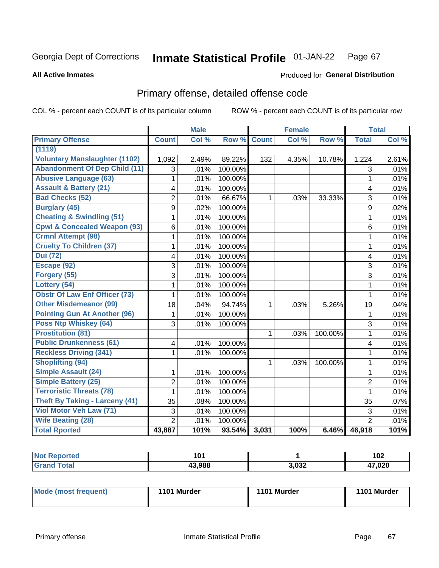#### **Inmate Statistical Profile 01-JAN-22** Page 67

### **All Active Inmates**

# **Produced for General Distribution**

# Primary offense, detailed offense code

COL % - percent each COUNT is of its particular column

|                                         |                | <b>Male</b> |         |              | <b>Female</b> |         |                | <b>Total</b> |
|-----------------------------------------|----------------|-------------|---------|--------------|---------------|---------|----------------|--------------|
| <b>Primary Offense</b>                  | <b>Count</b>   | Col %       | Row %   | <b>Count</b> | Col %         | Row %   | <b>Total</b>   | Col %        |
| (1119)                                  |                |             |         |              |               |         |                |              |
| <b>Voluntary Manslaughter (1102)</b>    | 1,092          | 2.49%       | 89.22%  | 132          | 4.35%         | 10.78%  | 1,224          | 2.61%        |
| <b>Abandonment Of Dep Child (11)</b>    | 3              | .01%        | 100.00% |              |               |         | 3              | .01%         |
| <b>Abusive Language (63)</b>            | 1              | .01%        | 100.00% |              |               |         | $\mathbf{1}$   | .01%         |
| <b>Assault &amp; Battery (21)</b>       | 4              | .01%        | 100.00% |              |               |         | 4              | .01%         |
| <b>Bad Checks (52)</b>                  | $\overline{2}$ | .01%        | 66.67%  | 1            | .03%          | 33.33%  | 3              | .01%         |
| <b>Burglary (45)</b>                    | 9              | .02%        | 100.00% |              |               |         | 9              | .02%         |
| <b>Cheating &amp; Swindling (51)</b>    | 1              | .01%        | 100.00% |              |               |         | $\mathbf{1}$   | .01%         |
| <b>Cpwl &amp; Concealed Weapon (93)</b> | $6\phantom{a}$ | .01%        | 100.00% |              |               |         | 6              | .01%         |
| <b>Crmnl Attempt (98)</b>               | 1              | .01%        | 100.00% |              |               |         | $\mathbf{1}$   | .01%         |
| <b>Cruelty To Children (37)</b>         | 1              | .01%        | 100.00% |              |               |         | $\mathbf{1}$   | .01%         |
| <b>Dui (72)</b>                         | 4              | .01%        | 100.00% |              |               |         | 4              | .01%         |
| Escape (92)                             | 3              | .01%        | 100.00% |              |               |         | 3              | .01%         |
| Forgery (55)                            | 3              | .01%        | 100.00% |              |               |         | 3              | .01%         |
| Lottery (54)                            | 1              | .01%        | 100.00% |              |               |         | $\mathbf{1}$   | .01%         |
| <b>Obstr Of Law Enf Officer (73)</b>    | $\mathbf{1}$   | .01%        | 100.00% |              |               |         | $\mathbf{1}$   | .01%         |
| <b>Other Misdemeanor (99)</b>           | 18             | .04%        | 94.74%  | 1            | .03%          | 5.26%   | 19             | .04%         |
| <b>Pointing Gun At Another (96)</b>     | 1              | .01%        | 100.00% |              |               |         | 1              | .01%         |
| <b>Poss Ntp Whiskey (64)</b>            | 3              | .01%        | 100.00% |              |               |         | 3              | .01%         |
| <b>Prostitution (81)</b>                |                |             |         | 1            | .03%          | 100.00% | $\mathbf{1}$   | .01%         |
| <b>Public Drunkenness (61)</b>          | 4              | .01%        | 100.00% |              |               |         | 4              | .01%         |
| <b>Reckless Driving (341)</b>           | 1              | .01%        | 100.00% |              |               |         | $\mathbf{1}$   | .01%         |
| <b>Shoplifting (94)</b>                 |                |             |         | 1            | .03%          | 100.00% | $\mathbf{1}$   | .01%         |
| <b>Simple Assault (24)</b>              | 1              | .01%        | 100.00% |              |               |         | $\mathbf{1}$   | .01%         |
| <b>Simple Battery (25)</b>              | $\overline{2}$ | .01%        | 100.00% |              |               |         | $\overline{2}$ | .01%         |
| <b>Terroristic Threats (78)</b>         | $\mathbf{1}$   | .01%        | 100.00% |              |               |         | $\mathbf{1}$   | .01%         |
| <b>Theft By Taking - Larceny (41)</b>   | 35             | .08%        | 100.00% |              |               |         | 35             | .07%         |
| Viol Motor Veh Law (71)                 | 3              | .01%        | 100.00% |              |               |         | 3              | .01%         |
| <b>Wife Beating (28)</b>                | $\overline{2}$ | $.01\%$     | 100.00% |              |               |         | $\overline{2}$ | .01%         |
| <b>Total Rported</b>                    | 43,887         | 101%        | 93.54%  | 3,031        | 100%          | 6.46%   | 46,918         | 101%         |

| orted | ίΛ۰<br>ו שו |       | 102    |
|-------|-------------|-------|--------|
| ™ota. | 43.988      | 3,032 | 47,020 |

| <b>Mode (most frequent)</b> | 1101 Murder | 1101 Murder | 1101 Murder |
|-----------------------------|-------------|-------------|-------------|
|                             |             |             |             |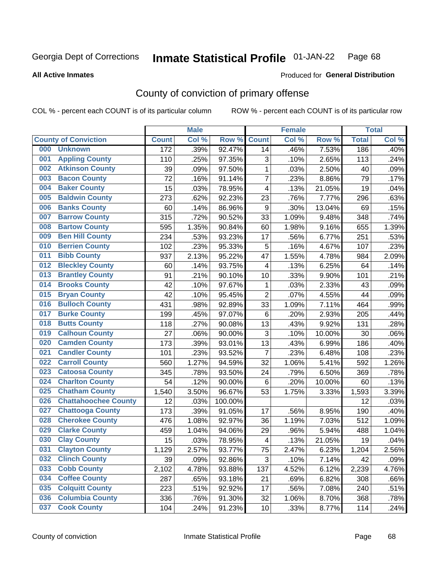#### **Inmate Statistical Profile 01-JAN-22** Page 68

### **All Active Inmates**

# Produced for General Distribution

# County of conviction of primary offense

COL % - percent each COUNT is of its particular column

|                                    |                  | <b>Male</b> |         |                         | <b>Female</b> |        |              | <b>Total</b> |
|------------------------------------|------------------|-------------|---------|-------------------------|---------------|--------|--------------|--------------|
| <b>County of Conviction</b>        | <b>Count</b>     | Col %       | Row %   | <b>Count</b>            | Col %         | Row %  | <b>Total</b> | Col %        |
| <b>Unknown</b><br>000              | $\overline{172}$ | .39%        | 92.47%  | 14                      | .46%          | 7.53%  | 186          | .40%         |
| <b>Appling County</b><br>001       | 110              | .25%        | 97.35%  | 3                       | .10%          | 2.65%  | 113          | .24%         |
| <b>Atkinson County</b><br>002      | 39               | .09%        | 97.50%  | 1                       | .03%          | 2.50%  | 40           | .09%         |
| <b>Bacon County</b><br>003         | 72               | .16%        | 91.14%  | $\overline{7}$          | .23%          | 8.86%  | 79           | .17%         |
| <b>Baker County</b><br>004         | 15               | .03%        | 78.95%  | 4                       | .13%          | 21.05% | 19           | .04%         |
| <b>Baldwin County</b><br>005       | 273              | .62%        | 92.23%  | 23                      | .76%          | 7.77%  | 296          | .63%         |
| <b>Banks County</b><br>006         | 60               | .14%        | 86.96%  | 9                       | .30%          | 13.04% | 69           | .15%         |
| <b>Barrow County</b><br>007        | 315              | .72%        | 90.52%  | 33                      | 1.09%         | 9.48%  | 348          | .74%         |
| <b>Bartow County</b><br>008        | 595              | 1.35%       | 90.84%  | 60                      | 1.98%         | 9.16%  | 655          | 1.39%        |
| <b>Ben Hill County</b><br>009      | 234              | .53%        | 93.23%  | 17                      | .56%          | 6.77%  | 251          | .53%         |
| <b>Berrien County</b><br>010       | 102              | .23%        | 95.33%  | 5                       | .16%          | 4.67%  | 107          | .23%         |
| <b>Bibb County</b><br>011          | 937              | 2.13%       | 95.22%  | 47                      | 1.55%         | 4.78%  | 984          | 2.09%        |
| <b>Bleckley County</b><br>012      | 60               | .14%        | 93.75%  | $\overline{4}$          | .13%          | 6.25%  | 64           | .14%         |
| <b>Brantley County</b><br>013      | 91               | .21%        | 90.10%  | 10                      | .33%          | 9.90%  | 101          | .21%         |
| <b>Brooks County</b><br>014        | 42               | .10%        | 97.67%  | 1                       | .03%          | 2.33%  | 43           | .09%         |
| 015<br><b>Bryan County</b>         | 42               | .10%        | 95.45%  | $\overline{2}$          | .07%          | 4.55%  | 44           | .09%         |
| <b>Bulloch County</b><br>016       | 431              | .98%        | 92.89%  | 33                      | 1.09%         | 7.11%  | 464          | .99%         |
| <b>Burke County</b><br>017         | 199              | .45%        | 97.07%  | 6                       | .20%          | 2.93%  | 205          | .44%         |
| <b>Butts County</b><br>018         | 118              | .27%        | 90.08%  | 13                      | .43%          | 9.92%  | 131          | .28%         |
| <b>Calhoun County</b><br>019       | 27               | .06%        | 90.00%  | 3                       | .10%          | 10.00% | 30           | .06%         |
| <b>Camden County</b><br>020        | 173              | .39%        | 93.01%  | 13                      | .43%          | 6.99%  | 186          | .40%         |
| <b>Candler County</b><br>021       | 101              | .23%        | 93.52%  | $\overline{7}$          | .23%          | 6.48%  | 108          | .23%         |
| <b>Carroll County</b><br>022       | 560              | 1.27%       | 94.59%  | 32                      | 1.06%         | 5.41%  | 592          | 1.26%        |
| <b>Catoosa County</b><br>023       | 345              | .78%        | 93.50%  | 24                      | .79%          | 6.50%  | 369          | .78%         |
| <b>Charlton County</b><br>024      | 54               | .12%        | 90.00%  | 6                       | .20%          | 10.00% | 60           | .13%         |
| 025<br><b>Chatham County</b>       | 1,540            | 3.50%       | 96.67%  | 53                      | 1.75%         | 3.33%  | 1,593        | 3.39%        |
| <b>Chattahoochee County</b><br>026 | 12               | .03%        | 100.00% |                         |               |        | 12           | .03%         |
| <b>Chattooga County</b><br>027     | 173              | .39%        | 91.05%  | 17                      | .56%          | 8.95%  | 190          | .40%         |
| <b>Cherokee County</b><br>028      | 476              | 1.08%       | 92.97%  | 36                      | 1.19%         | 7.03%  | 512          | 1.09%        |
| <b>Clarke County</b><br>029        | 459              | 1.04%       | 94.06%  | 29                      | .96%          | 5.94%  | 488          | 1.04%        |
| <b>Clay County</b><br>030          | 15               | .03%        | 78.95%  | $\overline{\mathbf{4}}$ | .13%          | 21.05% | 19           | .04%         |
| 031<br><b>Clayton County</b>       | 1,129            | 2.57%       | 93.77%  | 75                      | 2.47%         | 6.23%  | 1,204        | 2.56%        |
| <b>Clinch County</b><br>032        | 39               | .09%        | 92.86%  | 3                       | .10%          | 7.14%  | 42           | .09%         |
| <b>Cobb County</b><br>033          | 2,102            | 4.78%       | 93.88%  | 137                     | 4.52%         | 6.12%  | 2,239        | 4.76%        |
| <b>Coffee County</b><br>034        | 287              | .65%        | 93.18%  | 21                      | .69%          | 6.82%  | 308          | .66%         |
| <b>Colquitt County</b><br>035      | 223              | .51%        | 92.92%  | 17                      | .56%          | 7.08%  | 240          | .51%         |
| <b>Columbia County</b><br>036      | 336              | .76%        | 91.30%  | 32                      | 1.06%         | 8.70%  | 368          | .78%         |
| <b>Cook County</b><br>037          | 104              | .24%        | 91.23%  | 10                      | .33%          | 8.77%  | 114          | .24%         |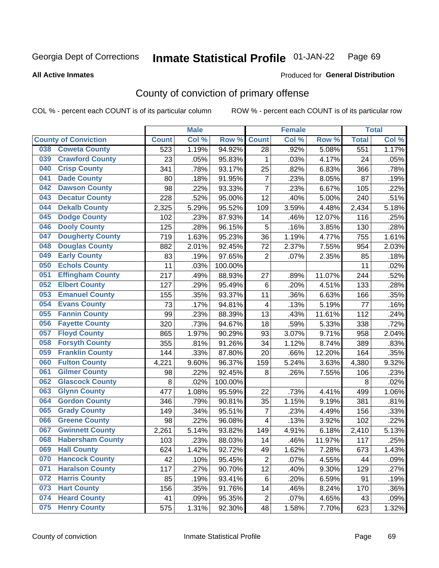#### **Inmate Statistical Profile 01-JAN-22** Page 69

### **All Active Inmates**

# Produced for General Distribution

# County of conviction of primary offense

COL % - percent each COUNT is of its particular column

|     |                             |              | <b>Male</b> |         |                         | <b>Female</b> |          |                  | <b>Total</b> |
|-----|-----------------------------|--------------|-------------|---------|-------------------------|---------------|----------|------------------|--------------|
|     | <b>County of Conviction</b> | <b>Count</b> | Col %       | Row %   | <b>Count</b>            | Col%          | Row %    | <b>Total</b>     | Col %        |
| 038 | <b>Coweta County</b>        | 523          | 1.19%       | 94.92%  | 28                      | .92%          | 5.08%    | $\overline{551}$ | 1.17%        |
| 039 | <b>Crawford County</b>      | 23           | .05%        | 95.83%  | $\mathbf 1$             | .03%          | 4.17%    | 24               | .05%         |
| 040 | <b>Crisp County</b>         | 341          | .78%        | 93.17%  | 25                      | .82%          | 6.83%    | 366              | .78%         |
| 041 | <b>Dade County</b>          | 80           | .18%        | 91.95%  | $\overline{7}$          | .23%          | 8.05%    | 87               | .19%         |
| 042 | <b>Dawson County</b>        | 98           | .22%        | 93.33%  | $\overline{7}$          | .23%          | 6.67%    | 105              | .22%         |
| 043 | <b>Decatur County</b>       | 228          | .52%        | 95.00%  | 12                      | .40%          | 5.00%    | 240              | .51%         |
| 044 | <b>Dekalb County</b>        | 2,325        | 5.29%       | 95.52%  | 109                     | 3.59%         | 4.48%    | 2,434            | 5.18%        |
| 045 | <b>Dodge County</b>         | 102          | .23%        | 87.93%  | 14                      | .46%          | 12.07%   | 116              | .25%         |
| 046 | <b>Dooly County</b>         | 125          | .28%        | 96.15%  | 5                       | .16%          | 3.85%    | 130              | .28%         |
| 047 | <b>Dougherty County</b>     | 719          | 1.63%       | 95.23%  | 36                      | 1.19%         | 4.77%    | 755              | 1.61%        |
| 048 | <b>Douglas County</b>       | 882          | 2.01%       | 92.45%  | 72                      | 2.37%         | 7.55%    | 954              | 2.03%        |
| 049 | <b>Early County</b>         | 83           | .19%        | 97.65%  | $\overline{2}$          | .07%          | 2.35%    | 85               | .18%         |
| 050 | <b>Echols County</b>        | 11           | .03%        | 100.00% |                         |               |          | 11               | .02%         |
| 051 | <b>Effingham County</b>     | 217          | .49%        | 88.93%  | 27                      | .89%          | 11.07%   | 244              | .52%         |
| 052 | <b>Elbert County</b>        | 127          | .29%        | 95.49%  | 6                       | .20%          | 4.51%    | 133              | .28%         |
| 053 | <b>Emanuel County</b>       | 155          | .35%        | 93.37%  | 11                      | .36%          | 6.63%    | 166              | .35%         |
| 054 | <b>Evans County</b>         | 73           | .17%        | 94.81%  | $\overline{\mathbf{4}}$ | .13%          | 5.19%    | 77               | .16%         |
| 055 | <b>Fannin County</b>        | 99           | .23%        | 88.39%  | 13                      | .43%          | 11.61%   | 112              | .24%         |
| 056 | <b>Fayette County</b>       | 320          | .73%        | 94.67%  | 18                      | .59%          | 5.33%    | 338              | .72%         |
| 057 | <b>Floyd County</b>         | 865          | 1.97%       | 90.29%  | 93                      | 3.07%         | 9.71%    | 958              | 2.04%        |
| 058 | <b>Forsyth County</b>       | 355          | .81%        | 91.26%  | 34                      | 1.12%         | 8.74%    | 389              | .83%         |
| 059 | <b>Franklin County</b>      | 144          | .33%        | 87.80%  | 20                      | .66%          | 12.20%   | 164              | .35%         |
| 060 | <b>Fulton County</b>        | 4,221        | 9.60%       | 96.37%  | 159                     | 5.24%         | 3.63%    | 4,380            | 9.32%        |
| 061 | <b>Gilmer County</b>        | 98           | .22%        | 92.45%  | 8                       | .26%          | 7.55%    | 106              | .23%         |
| 062 | <b>Glascock County</b>      | 8            | .02%        | 100.00% |                         |               |          | 8                | .02%         |
| 063 | <b>Glynn County</b>         | 477          | 1.08%       | 95.59%  | 22                      | .73%          | 4.41%    | 499              | 1.06%        |
| 064 | <b>Gordon County</b>        | 346          | .79%        | 90.81%  | 35                      | 1.15%         | 9.19%    | 381              | .81%         |
| 065 | <b>Grady County</b>         | 149          | .34%        | 95.51%  | $\overline{7}$          | .23%          | 4.49%    | 156              | .33%         |
| 066 | <b>Greene County</b>        | 98           | .22%        | 96.08%  | 4                       | .13%          | 3.92%    | 102              | .22%         |
| 067 | <b>Gwinnett County</b>      | 2,261        | 5.14%       | 93.82%  | 149                     | 4.91%         | 6.18%    | 2,410            | 5.13%        |
| 068 | <b>Habersham County</b>     | 103          | .23%        | 88.03%  | 14                      | .46%          | 11.97%   | 117              | .25%         |
| 069 | <b>Hall County</b>          | 624          | 1.42%       | 92.72%  | 49                      | 1.62%         | 7.28%    | 673              | 1.43%        |
| 070 | <b>Hancock County</b>       | 42           | .10%        | 95.45%  | $\overline{2}$          | .07%          | 4.55%    | 44               | .09%         |
| 071 | <b>Haralson County</b>      | 117          | .27%        | 90.70%  | 12                      | .40%          | $9.30\%$ | 129              | .27%         |
| 072 | <b>Harris County</b>        | 85           | .19%        | 93.41%  | 6                       | .20%          | 6.59%    | 91               | .19%         |
| 073 | <b>Hart County</b>          | 156          | .35%        | 91.76%  | 14                      | .46%          | 8.24%    | 170              | .36%         |
| 074 | <b>Heard County</b>         | 41           | .09%        | 95.35%  | $\overline{c}$          | .07%          | 4.65%    | 43               | .09%         |
| 075 | <b>Henry County</b>         | 575          | 1.31%       | 92.30%  | 48                      | 1.58%         | 7.70%    | 623              | 1.32%        |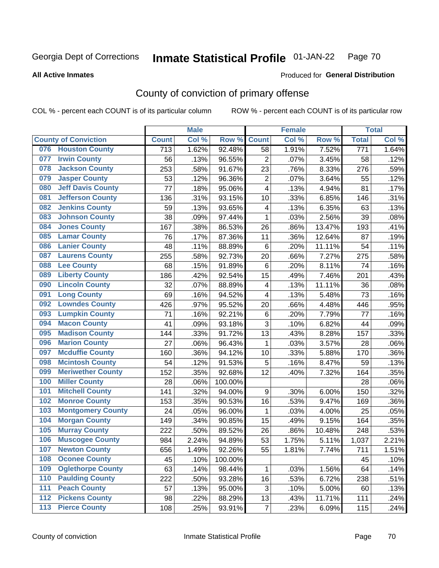#### **Inmate Statistical Profile 01-JAN-22** Page 70

### **All Active Inmates**

# Produced for General Distribution

# County of conviction of primary offense

COL % - percent each COUNT is of its particular column

|                                 |                  | <b>Male</b> |         |                         | <b>Female</b> |        |                  | <b>Total</b> |
|---------------------------------|------------------|-------------|---------|-------------------------|---------------|--------|------------------|--------------|
| <b>County of Conviction</b>     | <b>Count</b>     | Col %       | Row %   | <b>Count</b>            | Col %         | Row %  | <b>Total</b>     | Col %        |
| <b>Houston County</b><br>076    | $\overline{713}$ | 1.62%       | 92.48%  | 58                      | 1.91%         | 7.52%  | $\overline{771}$ | 1.64%        |
| <b>Irwin County</b><br>077      | 56               | .13%        | 96.55%  | $\overline{2}$          | .07%          | 3.45%  | 58               | .12%         |
| <b>Jackson County</b><br>078    | 253              | .58%        | 91.67%  | 23                      | .76%          | 8.33%  | 276              | .59%         |
| <b>Jasper County</b><br>079     | 53               | .12%        | 96.36%  | $\overline{2}$          | .07%          | 3.64%  | 55               | .12%         |
| <b>Jeff Davis County</b><br>080 | 77               | .18%        | 95.06%  | 4                       | .13%          | 4.94%  | 81               | .17%         |
| 081<br><b>Jefferson County</b>  | 136              | .31%        | 93.15%  | 10                      | .33%          | 6.85%  | 146              | .31%         |
| <b>Jenkins County</b><br>082    | 59               | .13%        | 93.65%  | $\overline{\mathbf{4}}$ | .13%          | 6.35%  | 63               | .13%         |
| <b>Johnson County</b><br>083    | 38               | .09%        | 97.44%  | $\mathbf 1$             | .03%          | 2.56%  | 39               | .08%         |
| <b>Jones County</b><br>084      | 167              | .38%        | 86.53%  | 26                      | .86%          | 13.47% | 193              | .41%         |
| <b>Lamar County</b><br>085      | 76               | .17%        | 87.36%  | 11                      | .36%          | 12.64% | 87               | .19%         |
| <b>Lanier County</b><br>086     | 48               | .11%        | 88.89%  | 6                       | .20%          | 11.11% | 54               | .11%         |
| <b>Laurens County</b><br>087    | 255              | .58%        | 92.73%  | 20                      | .66%          | 7.27%  | 275              | .58%         |
| <b>Lee County</b><br>088        | 68               | .15%        | 91.89%  | 6                       | .20%          | 8.11%  | 74               | .16%         |
| <b>Liberty County</b><br>089    | 186              | .42%        | 92.54%  | 15                      | .49%          | 7.46%  | 201              | .43%         |
| <b>Lincoln County</b><br>090    | 32               | .07%        | 88.89%  | $\overline{\mathbf{4}}$ | .13%          | 11.11% | 36               | .08%         |
| <b>Long County</b><br>091       | 69               | .16%        | 94.52%  | 4                       | .13%          | 5.48%  | 73               | .16%         |
| <b>Lowndes County</b><br>092    | 426              | .97%        | 95.52%  | 20                      | .66%          | 4.48%  | 446              | .95%         |
| <b>Lumpkin County</b><br>093    | 71               | .16%        | 92.21%  | 6                       | .20%          | 7.79%  | 77               | .16%         |
| <b>Macon County</b><br>094      | 41               | .09%        | 93.18%  | 3                       | .10%          | 6.82%  | 44               | .09%         |
| <b>Madison County</b><br>095    | 144              | .33%        | 91.72%  | 13                      | .43%          | 8.28%  | 157              | .33%         |
| <b>Marion County</b><br>096     | 27               | .06%        | 96.43%  | $\mathbf 1$             | .03%          | 3.57%  | 28               | .06%         |
| <b>Mcduffie County</b><br>097   | 160              | .36%        | 94.12%  | 10                      | .33%          | 5.88%  | 170              | .36%         |
| <b>Mcintosh County</b><br>098   | 54               | .12%        | 91.53%  | 5                       | .16%          | 8.47%  | 59               | .13%         |
| <b>Meriwether County</b><br>099 | 152              | .35%        | 92.68%  | 12                      | .40%          | 7.32%  | 164              | .35%         |
| <b>Miller County</b><br>100     | 28               | .06%        | 100.00% |                         |               |        | 28               | .06%         |
| <b>Mitchell County</b><br>101   | 141              | .32%        | 94.00%  | 9                       | .30%          | 6.00%  | 150              | .32%         |
| <b>Monroe County</b><br>102     | 153              | .35%        | 90.53%  | 16                      | .53%          | 9.47%  | 169              | .36%         |
| <b>Montgomery County</b><br>103 | 24               | .05%        | 96.00%  | 1                       | .03%          | 4.00%  | 25               | .05%         |
| <b>Morgan County</b><br>104     | 149              | .34%        | 90.85%  | 15                      | .49%          | 9.15%  | 164              | .35%         |
| <b>Murray County</b><br>105     | 222              | .50%        | 89.52%  | 26                      | .86%          | 10.48% | 248              | .53%         |
| <b>Muscogee County</b><br>106   | 984              | 2.24%       | 94.89%  | 53                      | 1.75%         | 5.11%  | 1,037            | 2.21%        |
| 107<br><b>Newton County</b>     | 656              | 1.49%       | 92.26%  | 55                      | 1.81%         | 7.74%  | 711              | 1.51%        |
| <b>Oconee County</b><br>108     | 45               | .10%        | 100.00% |                         |               |        | 45               | .10%         |
| 109<br><b>Oglethorpe County</b> | 63               | .14%        | 98.44%  | 1                       | .03%          | 1.56%  | 64               | .14%         |
| <b>Paulding County</b><br>110   | 222              | .50%        | 93.28%  | 16                      | .53%          | 6.72%  | 238              | .51%         |
| <b>Peach County</b><br>111      | 57               | .13%        | 95.00%  | 3                       | .10%          | 5.00%  | 60               | .13%         |
| <b>Pickens County</b><br>112    | 98               | .22%        | 88.29%  | 13                      | .43%          | 11.71% | 111              | .24%         |
| <b>Pierce County</b><br>113     | 108              | .25%        | 93.91%  | $\overline{7}$          | .23%          | 6.09%  | 115              | .24%         |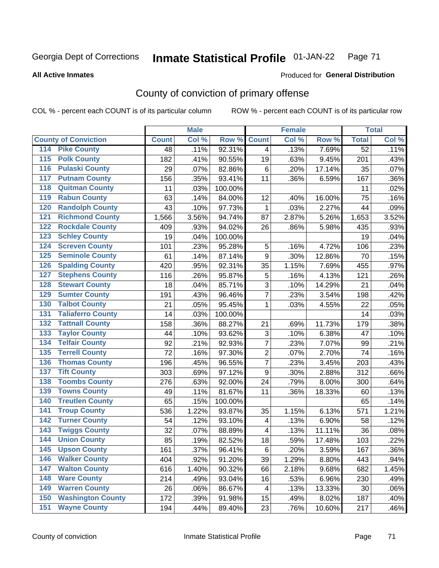#### **Inmate Statistical Profile 01-JAN-22** Page 71

**All Active Inmates** 

## Produced for General Distribution

# County of conviction of primary offense

COL % - percent each COUNT is of its particular column

|                                          |              | <b>Male</b> |         |                           | <b>Female</b> |        |                 | <b>Total</b> |
|------------------------------------------|--------------|-------------|---------|---------------------------|---------------|--------|-----------------|--------------|
| <b>County of Conviction</b>              | <b>Count</b> | Col %       | Row %   | <b>Count</b>              | Col %         | Row %  | <b>Total</b>    | Col %        |
| 114 Pike County                          | 48           | .11%        | 92.31%  | $\overline{4}$            | .13%          | 7.69%  | $\overline{52}$ | .11%         |
| <b>Polk County</b><br>$\overline{115}$   | 182          | .41%        | 90.55%  | 19                        | .63%          | 9.45%  | 201             | .43%         |
| <b>Pulaski County</b><br>116             | 29           | .07%        | 82.86%  | $\,6$                     | .20%          | 17.14% | 35              | .07%         |
| 117<br><b>Putnam County</b>              | 156          | .35%        | 93.41%  | 11                        | .36%          | 6.59%  | 167             | .36%         |
| <b>Quitman County</b><br>118             | 11           | .03%        | 100.00% |                           |               |        | 11              | .02%         |
| <b>Rabun County</b><br>119               | 63           | .14%        | 84.00%  | 12                        | .40%          | 16.00% | 75              | .16%         |
| <b>Randolph County</b><br>120            | 43           | .10%        | 97.73%  | $\mathbf{1}$              | .03%          | 2.27%  | 44              | .09%         |
| <b>Richmond County</b><br>121            | 1,566        | 3.56%       | 94.74%  | 87                        | 2.87%         | 5.26%  | 1,653           | 3.52%        |
| <b>Rockdale County</b><br>122            | 409          | .93%        | 94.02%  | 26                        | .86%          | 5.98%  | 435             | .93%         |
| <b>Schley County</b><br>123              | 19           | .04%        | 100.00% |                           |               |        | 19              | .04%         |
| <b>Screven County</b><br>124             | 101          | .23%        | 95.28%  | 5                         | .16%          | 4.72%  | 106             | .23%         |
| <b>Seminole County</b><br>125            | 61           | .14%        | 87.14%  | 9                         | .30%          | 12.86% | 70              | .15%         |
| <b>Spalding County</b><br>126            | 420          | .95%        | 92.31%  | 35                        | 1.15%         | 7.69%  | 455             | .97%         |
| <b>Stephens County</b><br>127            | 116          | .26%        | 95.87%  | 5                         | .16%          | 4.13%  | 121             | .26%         |
| <b>Stewart County</b><br>128             | 18           | .04%        | 85.71%  | 3                         | .10%          | 14.29% | 21              | .04%         |
| <b>Sumter County</b><br>129              | 191          | .43%        | 96.46%  | $\overline{7}$            | .23%          | 3.54%  | 198             | .42%         |
| <b>Talbot County</b><br>130              | 21           | .05%        | 95.45%  | 1                         | .03%          | 4.55%  | 22              | .05%         |
| <b>Taliaferro County</b><br>131          | 14           | .03%        | 100.00% |                           |               |        | 14              | .03%         |
| <b>Tattnall County</b><br>132            | 158          | .36%        | 88.27%  | 21                        | .69%          | 11.73% | 179             | .38%         |
| <b>Taylor County</b><br>133              | 44           | .10%        | 93.62%  | $\ensuremath{\mathsf{3}}$ | .10%          | 6.38%  | 47              | .10%         |
| <b>Telfair County</b><br>134             | 92           | .21%        | 92.93%  | $\overline{7}$            | .23%          | 7.07%  | 99              | .21%         |
| <b>Terrell County</b><br>135             | 72           | .16%        | 97.30%  | $\overline{2}$            | .07%          | 2.70%  | 74              | .16%         |
| <b>Thomas County</b><br>136              | 196          | .45%        | 96.55%  | $\overline{7}$            | .23%          | 3.45%  | 203             | .43%         |
| <b>Tift County</b><br>137                | 303          | .69%        | 97.12%  | 9                         | .30%          | 2.88%  | 312             | .66%         |
| <b>Toombs County</b><br>138              | 276          | .63%        | 92.00%  | 24                        | .79%          | 8.00%  | 300             | .64%         |
| <b>Towns County</b><br>139               | 49           | .11%        | 81.67%  | 11                        | .36%          | 18.33% | 60              | .13%         |
| <b>Treutlen County</b><br>140            | 65           | .15%        | 100.00% |                           |               |        | 65              | .14%         |
| <b>Troup County</b><br>141               | 536          | 1.22%       | 93.87%  | 35                        | 1.15%         | 6.13%  | 571             | 1.21%        |
| <b>Turner County</b><br>142              | 54           | .12%        | 93.10%  | $\overline{\mathbf{4}}$   | .13%          | 6.90%  | 58              | .12%         |
| <b>Twiggs County</b><br>$\overline{143}$ | 32           | .07%        | 88.89%  | $\overline{\mathbf{4}}$   | .13%          | 11.11% | 36              | .08%         |
| <b>Union County</b><br>144               | 85           | .19%        | 82.52%  | 18                        | .59%          | 17.48% | 103             | .22%         |
| 145<br><b>Upson County</b>               | 161          | .37%        | 96.41%  | 6                         | .20%          | 3.59%  | 167             | $.36\%$      |
| <b>Walker County</b><br>146              | 404          | .92%        | 91.20%  | 39                        | 1.29%         | 8.80%  | 443             | .94%         |
| <b>Walton County</b><br>147              | 616          | 1.40%       | 90.32%  | 66                        | 2.18%         | 9.68%  | 682             | 1.45%        |
| <b>Ware County</b><br>148                | 214          | .49%        | 93.04%  | 16                        | .53%          | 6.96%  | 230             | .49%         |
| <b>Warren County</b><br>149              | 26           | .06%        | 86.67%  | 4                         | .13%          | 13.33% | 30              | .06%         |
| <b>Washington County</b><br>150          | 172          | .39%        | 91.98%  | 15                        | .49%          | 8.02%  | 187             | .40%         |
| <b>Wayne County</b><br>151               | 194          | .44%        | 89.40%  | 23                        | .76%          | 10.60% | 217             | .46%         |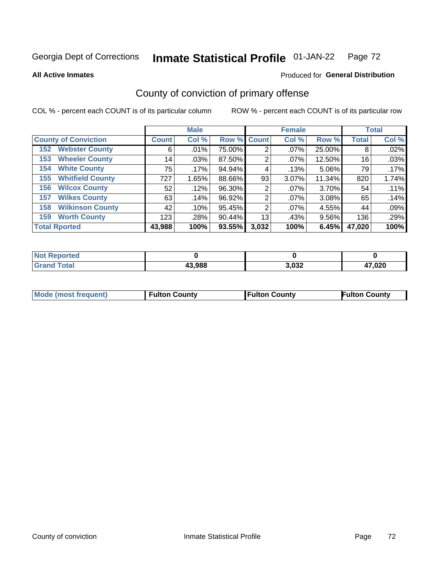#### **Inmate Statistical Profile 01-JAN-22** Page 72

**All Active Inmates** 

## Produced for General Distribution

# County of conviction of primary offense

COL % - percent each COUNT is of its particular column

|                                |              | <b>Male</b> |             |                | <b>Female</b> |          |              | <b>Total</b> |
|--------------------------------|--------------|-------------|-------------|----------------|---------------|----------|--------------|--------------|
| <b>County of Conviction</b>    | <b>Count</b> | Col %       | Row % Count |                | Col %         | Row %    | <b>Total</b> | Col %        |
| <b>Webster County</b><br>152   | 6            | .01%        | 75.00%      | 2              | $.07\%$       | 25.00%   | 8            | .02%         |
| <b>Wheeler County</b><br>153   | 14           | .03%        | 87.50%      | 2              | $.07\%$       | 12.50%   | 16           | .03%         |
| <b>White County</b><br>154     | 75           | .17%        | 94.94%      | 4              | .13%          | 5.06%    | 79           | $.17\%$      |
| <b>Whitfield County</b><br>155 | 727          | 1.65%       | 88.66%      | 93             | 3.07%         | 11.34%   | 820          | 1.74%        |
| <b>Wilcox County</b><br>156    | 52           | .12%        | 96.30%      | 2              | $.07\%$       | 3.70%    | 54           | .11%         |
| <b>Wilkes County</b><br>157    | 63           | .14%        | 96.92%      | 2              | $.07\%$       | 3.08%    | 65           | .14%         |
| <b>Wilkinson County</b><br>158 | 42           | .10%        | 95.45%      | $\overline{2}$ | $.07\%$       | 4.55%    | 44           | .09%         |
| <b>Worth County</b><br>159     | 123          | .28%        | 90.44%      | 13             | .43%          | $9.56\%$ | 136          | .29%         |
| <b>Total Rported</b>           | 43,988       | 100%        | 93.55%      | 3,032          | 100%          | 6.45%    | 47,020       | 100%         |

| <b>Not Reported</b> |        |       |        |
|---------------------|--------|-------|--------|
| ™ota⊩               | 43,988 | 3,032 | 47,020 |

| <b>Mode (most frequent)</b> | <b>Fulton County</b> | <b>Fulton County</b> | <b>Fulton County</b> |
|-----------------------------|----------------------|----------------------|----------------------|
|                             |                      |                      |                      |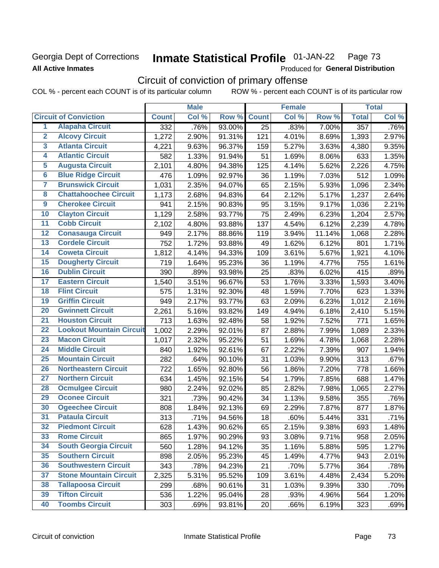# Georgia Dept of Corrections **All Active Inmates**

### **Inmate Statistical Profile 01-JAN-22** Page 73

Produced for General Distribution

# Circuit of conviction of primary offense

COL % - percent each COUNT is of its particular column ROW % - percent each COUNT is of its particular row

|                         |                                 | <b>Male</b>      |       |        | <b>Female</b> |       |        | <b>Total</b> |       |
|-------------------------|---------------------------------|------------------|-------|--------|---------------|-------|--------|--------------|-------|
|                         | <b>Circuit of Conviction</b>    | <b>Count</b>     | Col % | Row %  | <b>Count</b>  | Col % | Row %  | <b>Total</b> | Col % |
| 1                       | <b>Alapaha Circuit</b>          | $\overline{332}$ | .76%  | 93.00% | 25            | .83%  | 7.00%  | 357          | .76%  |
| $\overline{2}$          | <b>Alcovy Circuit</b>           | 1,272            | 2.90% | 91.31% | 121           | 4.01% | 8.69%  | 1,393        | 2.97% |
| $\overline{\mathbf{3}}$ | <b>Atlanta Circuit</b>          | 4,221            | 9.63% | 96.37% | 159           | 5.27% | 3.63%  | 4,380        | 9.35% |
| 4                       | <b>Atlantic Circuit</b>         | 582              | 1.33% | 91.94% | 51            | 1.69% | 8.06%  | 633          | 1.35% |
| 5                       | <b>Augusta Circuit</b>          | 2,101            | 4.80% | 94.38% | 125           | 4.14% | 5.62%  | 2,226        | 4.75% |
| $\overline{6}$          | <b>Blue Ridge Circuit</b>       | 476              | 1.09% | 92.97% | 36            | 1.19% | 7.03%  | 512          | 1.09% |
| $\overline{\mathbf{7}}$ | <b>Brunswick Circuit</b>        | 1,031            | 2.35% | 94.07% | 65            | 2.15% | 5.93%  | 1,096        | 2.34% |
| $\overline{\mathbf{8}}$ | <b>Chattahoochee Circuit</b>    | 1,173            | 2.68% | 94.83% | 64            | 2.12% | 5.17%  | 1,237        | 2.64% |
| $\overline{9}$          | <b>Cherokee Circuit</b>         | 941              | 2.15% | 90.83% | 95            | 3.15% | 9.17%  | 1,036        | 2.21% |
| 10                      | <b>Clayton Circuit</b>          | 1,129            | 2.58% | 93.77% | 75            | 2.49% | 6.23%  | 1,204        | 2.57% |
| $\overline{11}$         | <b>Cobb Circuit</b>             | 2,102            | 4.80% | 93.88% | 137           | 4.54% | 6.12%  | 2,239        | 4.78% |
| $\overline{12}$         | <b>Conasauga Circuit</b>        | 949              | 2.17% | 88.86% | 119           | 3.94% | 11.14% | 1,068        | 2.28% |
| 13                      | <b>Cordele Circuit</b>          | 752              | 1.72% | 93.88% | 49            | 1.62% | 6.12%  | 801          | 1.71% |
| $\overline{14}$         | <b>Coweta Circuit</b>           | 1,812            | 4.14% | 94.33% | 109           | 3.61% | 5.67%  | 1,921        | 4.10% |
| 15                      | <b>Dougherty Circuit</b>        | 719              | 1.64% | 95.23% | 36            | 1.19% | 4.77%  | 755          | 1.61% |
| 16                      | <b>Dublin Circuit</b>           | 390              | .89%  | 93.98% | 25            | .83%  | 6.02%  | 415          | .89%  |
| 17                      | <b>Eastern Circuit</b>          | 1,540            | 3.51% | 96.67% | 53            | 1.76% | 3.33%  | 1,593        | 3.40% |
| 18                      | <b>Flint Circuit</b>            | 575              | 1.31% | 92.30% | 48            | 1.59% | 7.70%  | 623          | 1.33% |
| 19                      | <b>Griffin Circuit</b>          | 949              | 2.17% | 93.77% | 63            | 2.09% | 6.23%  | 1,012        | 2.16% |
| $\overline{20}$         | <b>Gwinnett Circuit</b>         | 2,261            | 5.16% | 93.82% | 149           | 4.94% | 6.18%  | 2,410        | 5.15% |
| $\overline{21}$         | <b>Houston Circuit</b>          | 713              | 1.63% | 92.48% | 58            | 1.92% | 7.52%  | 771          | 1.65% |
| $\overline{22}$         | <b>Lookout Mountain Circuit</b> | 1,002            | 2.29% | 92.01% | 87            | 2.88% | 7.99%  | 1,089        | 2.33% |
| 23                      | <b>Macon Circuit</b>            | 1,017            | 2.32% | 95.22% | 51            | 1.69% | 4.78%  | 1,068        | 2.28% |
| $\overline{24}$         | <b>Middle Circuit</b>           | 840              | 1.92% | 92.61% | 67            | 2.22% | 7.39%  | 907          | 1.94% |
| 25                      | <b>Mountain Circuit</b>         | 282              | .64%  | 90.10% | 31            | 1.03% | 9.90%  | 313          | .67%  |
| 26                      | <b>Northeastern Circuit</b>     | 722              | 1.65% | 92.80% | 56            | 1.86% | 7.20%  | 778          | 1.66% |
| $\overline{27}$         | <b>Northern Circuit</b>         | 634              | 1.45% | 92.15% | 54            | 1.79% | 7.85%  | 688          | 1.47% |
| 28                      | <b>Ocmulgee Circuit</b>         | 980              | 2.24% | 92.02% | 85            | 2.82% | 7.98%  | 1,065        | 2.27% |
| 29                      | <b>Oconee Circuit</b>           | 321              | .73%  | 90.42% | 34            | 1.13% | 9.58%  | 355          | .76%  |
| 30                      | <b>Ogeechee Circuit</b>         | 808              | 1.84% | 92.13% | 69            | 2.29% | 7.87%  | 877          | 1.87% |
| $\overline{31}$         | <b>Pataula Circuit</b>          | 313              | .71%  | 94.56% | 18            | .60%  | 5.44%  | 331          | .71%  |
| 32                      | <b>Piedmont Circuit</b>         | 628              | 1.43% | 90.62% | 65            | 2.15% | 9.38%  | 693          | 1.48% |
| 33                      | <b>Rome Circuit</b>             | 865              | 1.97% | 90.29% | 93            | 3.08% | 9.71%  | 958          | 2.05% |
| 34                      | <b>South Georgia Circuit</b>    | 560              | 1.28% | 94.12% | 35            | 1.16% | 5.88%  | 595          | 1.27% |
| 35                      | <b>Southern Circuit</b>         | 898              | 2.05% | 95.23% | 45            | 1.49% | 4.77%  | 943          | 2.01% |
| 36                      | <b>Southwestern Circuit</b>     | 343              | .78%  | 94.23% | 21            | .70%  | 5.77%  | 364          | .78%  |
| 37                      | <b>Stone Mountain Circuit</b>   | 2,325            | 5.31% | 95.52% | 109           | 3.61% | 4.48%  | 2,434        | 5.20% |
| 38                      | <b>Tallapoosa Circuit</b>       | 299              | .68%  | 90.61% | 31            | 1.03% | 9.39%  | 330          | .70%  |
| 39                      | <b>Tifton Circuit</b>           | 536              | 1.22% | 95.04% | 28            | .93%  | 4.96%  | 564          | 1.20% |
| 40                      | <b>Toombs Circuit</b>           | 303              | .69%  | 93.81% | 20            | .66%  | 6.19%  | 323          | .69%  |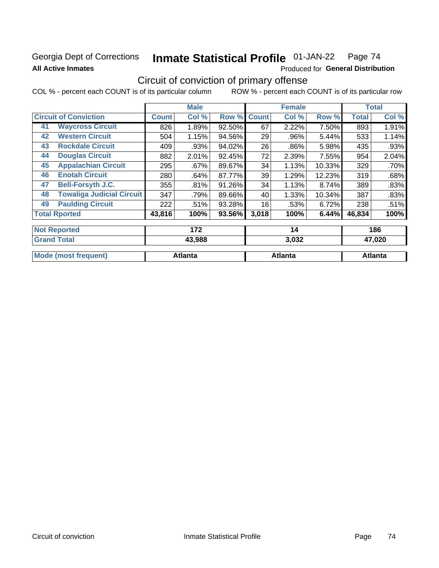### Georgia Dept of Corrections **All Active Inmates**

#### Inmate Statistical Profile 01-JAN-22 Page 74

Produced for General Distribution

## Circuit of conviction of primary offense

|                      |                                  |              | <b>Male</b> |        |              | <b>Female</b> |        |              | <b>Total</b> |
|----------------------|----------------------------------|--------------|-------------|--------|--------------|---------------|--------|--------------|--------------|
|                      | <b>Circuit of Conviction</b>     | <b>Count</b> | Col %       | Row %  | <b>Count</b> | Col %         | Row %  | <b>Total</b> | Col %        |
| 41                   | <b>Waycross Circuit</b>          | 826          | 1.89%       | 92.50% | 67           | 2.22%         | 7.50%  | 893          | 1.91%        |
| 42                   | <b>Western Circuit</b>           | 504          | 1.15%       | 94.56% | 29           | .96%          | 5.44%  | 533          | 1.14%        |
| 43                   | <b>Rockdale Circuit</b>          | 409          | .93%        | 94.02% | 26           | .86%          | 5.98%  | 435          | .93%         |
| 44                   | <b>Douglas Circuit</b>           | 882          | 2.01%       | 92.45% | 72           | 2.39%         | 7.55%  | 954          | 2.04%        |
| 45                   | <b>Appalachian Circuit</b>       | 295          | .67%        | 89.67% | 34           | 1.13%         | 10.33% | 329          | .70%         |
| 46                   | <b>Enotah Circuit</b>            | 280          | .64%        | 87.77% | 39           | 1.29%         | 12.23% | 319          | .68%         |
| 47                   | <b>Bell-Forsyth J.C.</b>         | 355          | .81%        | 91.26% | 34           | 1.13%         | 8.74%  | 389          | .83%         |
| 48                   | <b>Towaliga Judicial Circuit</b> | 347          | .79%        | 89.66% | 40           | 1.33%         | 10.34% | 387          | .83%         |
| 49                   | <b>Paulding Circuit</b>          | 222          | .51%        | 93.28% | 16           | .53%          | 6.72%  | 238          | .51%         |
| <b>Total Rported</b> |                                  | 43,816       | 100%        | 93.56% | 3,018        | 100%          | 6.44%  | 46,834       | 100%         |
|                      | <b>Not Reported</b>              |              | 172         |        |              | 14            |        |              | 186          |
| <b>Grand Total</b>   |                                  |              | 43,988      |        |              | 3,032         |        |              | 47,020       |

| $\overline{\mathsf{r}}$ oranu Tutan | 49.900  | J.VJZ   | 91.VZV  |
|-------------------------------------|---------|---------|---------|
| <b>Mode</b><br>(most frequent)      | Atlanta | Atlanta | Atlanta |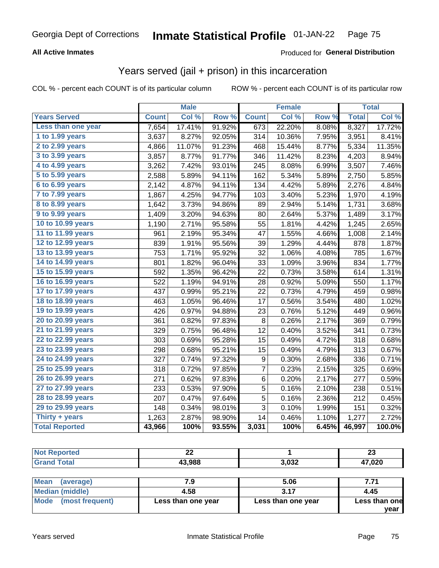### **All Active Inmates**

#### Produced for **General Distribution**

## Years served (jail + prison) in this incarceration

|                       |              | <b>Male</b> |        |                  | <b>Female</b> |       |              | <b>Total</b> |
|-----------------------|--------------|-------------|--------|------------------|---------------|-------|--------------|--------------|
| <b>Years Served</b>   | <b>Count</b> | Col %       | Row %  | <b>Count</b>     | Col %         | Row % | <b>Total</b> | Col %        |
| Less than one year    | 7,654        | 17.41%      | 91.92% | 673              | 22.20%        | 8.08% | 8,327        | 17.72%       |
| 1 to 1.99 years       | 3,637        | 8.27%       | 92.05% | 314              | 10.36%        | 7.95% | 3,951        | 8.41%        |
| 2 to 2.99 years       | 4,866        | 11.07%      | 91.23% | 468              | 15.44%        | 8.77% | 5,334        | 11.35%       |
| 3 to 3.99 years       | 3,857        | 8.77%       | 91.77% | 346              | 11.42%        | 8.23% | 4,203        | 8.94%        |
| 4 to 4.99 years       | 3,262        | 7.42%       | 93.01% | 245              | 8.08%         | 6.99% | 3,507        | 7.46%        |
| 5 to 5.99 years       | 2,588        | 5.89%       | 94.11% | 162              | 5.34%         | 5.89% | 2,750        | 5.85%        |
| 6 to 6.99 years       | 2,142        | 4.87%       | 94.11% | 134              | 4.42%         | 5.89% | 2,276        | 4.84%        |
| 7 to 7.99 years       | 1,867        | 4.25%       | 94.77% | 103              | 3.40%         | 5.23% | 1,970        | 4.19%        |
| 8 to 8.99 years       | 1,642        | 3.73%       | 94.86% | 89               | 2.94%         | 5.14% | 1,731        | 3.68%        |
| 9 to 9.99 years       | 1,409        | 3.20%       | 94.63% | 80               | 2.64%         | 5.37% | 1,489        | 3.17%        |
| 10 to 10.99 years     | 1,190        | 2.71%       | 95.58% | 55               | 1.81%         | 4.42% | 1,245        | 2.65%        |
| 11 to 11.99 years     | 961          | 2.19%       | 95.34% | 47               | 1.55%         | 4.66% | 1,008        | 2.14%        |
| 12 to 12.99 years     | 839          | 1.91%       | 95.56% | 39               | 1.29%         | 4.44% | 878          | 1.87%        |
| 13 to 13.99 years     | 753          | 1.71%       | 95.92% | 32               | 1.06%         | 4.08% | 785          | 1.67%        |
| 14 to 14.99 years     | 801          | 1.82%       | 96.04% | 33               | 1.09%         | 3.96% | 834          | 1.77%        |
| 15 to 15.99 years     | 592          | 1.35%       | 96.42% | 22               | 0.73%         | 3.58% | 614          | 1.31%        |
| 16 to 16.99 years     | 522          | 1.19%       | 94.91% | 28               | 0.92%         | 5.09% | 550          | 1.17%        |
| 17 to 17.99 years     | 437          | 0.99%       | 95.21% | 22               | 0.73%         | 4.79% | 459          | 0.98%        |
| 18 to 18.99 years     | 463          | 1.05%       | 96.46% | 17               | 0.56%         | 3.54% | 480          | 1.02%        |
| 19 to 19.99 years     | 426          | 0.97%       | 94.88% | 23               | 0.76%         | 5.12% | 449          | 0.96%        |
| 20 to 20.99 years     | 361          | 0.82%       | 97.83% | 8                | 0.26%         | 2.17% | 369          | 0.79%        |
| 21 to 21.99 years     | 329          | 0.75%       | 96.48% | 12               | 0.40%         | 3.52% | 341          | 0.73%        |
| 22 to 22.99 years     | 303          | 0.69%       | 95.28% | 15               | 0.49%         | 4.72% | 318          | 0.68%        |
| 23 to 23.99 years     | 298          | 0.68%       | 95.21% | 15               | 0.49%         | 4.79% | 313          | 0.67%        |
| 24 to 24.99 years     | 327          | 0.74%       | 97.32% | $\boldsymbol{9}$ | 0.30%         | 2.68% | 336          | 0.71%        |
| 25 to 25.99 years     | 318          | 0.72%       | 97.85% | $\overline{7}$   | 0.23%         | 2.15% | 325          | 0.69%        |
| 26 to 26.99 years     | 271          | 0.62%       | 97.83% | 6                | 0.20%         | 2.17% | 277          | 0.59%        |
| 27 to 27.99 years     | 233          | 0.53%       | 97.90% | 5                | 0.16%         | 2.10% | 238          | 0.51%        |
| 28 to 28.99 years     | 207          | 0.47%       | 97.64% | 5                | 0.16%         | 2.36% | 212          | 0.45%        |
| 29 to 29.99 years     | 148          | 0.34%       | 98.01% | 3                | 0.10%         | 1.99% | 151          | 0.32%        |
| Thirty + years        | 1,263        | 2.87%       | 98.90% | 14               | 0.46%         | 1.10% | 1,277        | 2.72%        |
| <b>Total Reported</b> | 43,966       | 100%        | 93.55% | 3,031            | 100%          | 6.45% | 46,997       | 100.0%       |

| neio<br>NO | $\sim$<br>▴▴ |               | $\sim$<br>∠J |
|------------|--------------|---------------|--------------|
|            | 43,988       | 2002<br>J,UJ⊥ | 17,020       |

| <b>Mean</b><br>(average) |                    | 5.06               | 7.71          |
|--------------------------|--------------------|--------------------|---------------|
| Median (middle)          | 4.58               | 3.17               | 4.45          |
| Mode (most frequent)     | Less than one year | Less than one year | Less than one |
|                          |                    |                    | vear          |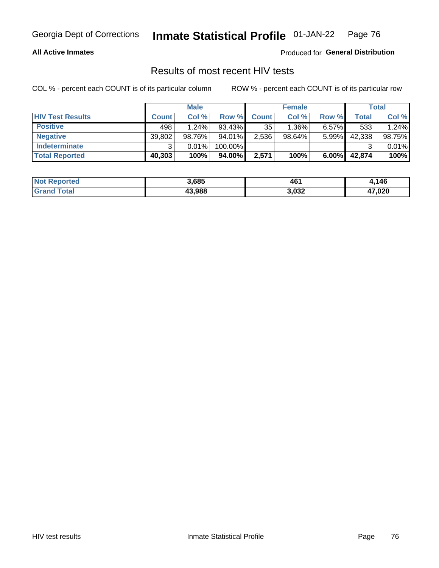#### **All Active Inmates**

Produced for **General Distribution**

### Results of most recent HIV tests

|                         | <b>Male</b>  |        | <b>Female</b> |              |           | Total    |        |        |
|-------------------------|--------------|--------|---------------|--------------|-----------|----------|--------|--------|
| <b>HIV Test Results</b> | <b>Count</b> | Col %  | Row %I        | <b>Count</b> | Col %     | Row %    | Total  | Col %  |
| <b>Positive</b>         | 498          | 1.24%  | $93.43\%$     | 35           | $1.36\%$  | $6.57\%$ | 533    | 1.24%  |
| <b>Negative</b>         | 39,802       | 98.76% | 94.01%        | 2,536        | $98.64\%$ | 5.99%    | 42,338 | 98.75% |
| Indeterminate           | ົ            | 0.01%  | 100.00%       |              |           |          |        | 0.01%  |
| <b>Total Reported</b>   | 40,303       | 100%   | 94.00%        | 2,571        | 100%      | $6.00\%$ | 42,874 | 100%   |

| <b>Not Reported</b> | 3,685  | 46    | 4,146        |
|---------------------|--------|-------|--------------|
| Total<br>Gran       | 43,988 | 3,032 | 47,020<br>л. |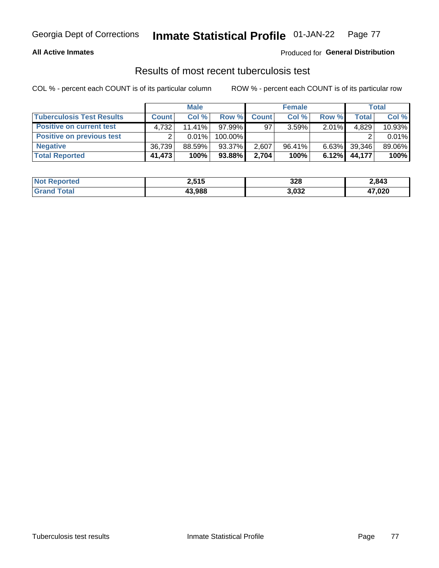#### **All Active Inmates**

#### Produced for **General Distribution**

### Results of most recent tuberculosis test

|                                  | <b>Male</b>  |           | <b>Female</b> |              |           | Total    |        |        |
|----------------------------------|--------------|-----------|---------------|--------------|-----------|----------|--------|--------|
| <b>Tuberculosis Test Results</b> | <b>Count</b> | Col%      | Row %         | <b>Count</b> | Col %     | Row %    | Total  | Col %  |
| <b>Positive on current test</b>  | 4.732        | $11.41\%$ | $97.99\%$     | 97           | 3.59%     | $2.01\%$ | 4,829  | 10.93% |
| <b>Positive on previous test</b> | ົ            | $0.01\%$  | 100.00%       |              |           |          |        | 0.01%  |
| <b>Negative</b>                  | 36.739       | 88.59%    | 93.37%        | 2.607        | $96.41\%$ | $6.63\%$ | 39,346 | 89.06% |
| <b>Total Reported</b>            | 41,473       | 100%      | $93.88\%$     | 2,704        | 100%      | $6.12\%$ | 44,177 | 100%   |

| <b>Not Reported</b>   | 2,515  | 328   | 2,843  |
|-----------------------|--------|-------|--------|
| Total<br><b>Grand</b> | 43,988 | 3,032 | 47,020 |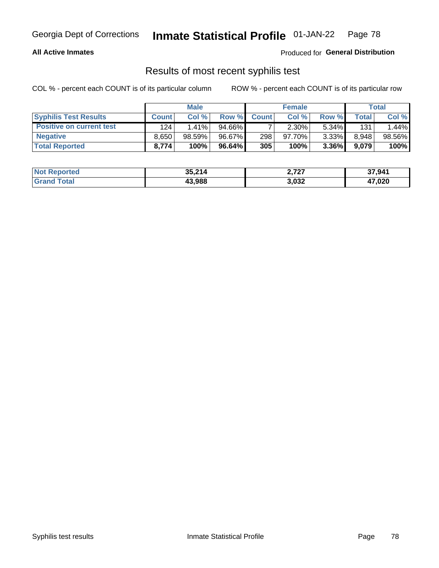#### **All Active Inmates**

Produced for **General Distribution**

### Results of most recent syphilis test

|                                 | <b>Male</b>  |           | <b>Female</b> |              |           | Total    |         |        |
|---------------------------------|--------------|-----------|---------------|--------------|-----------|----------|---------|--------|
| <b>Syphilis Test Results</b>    | <b>Count</b> | Col %     | Row %I        | <b>Count</b> | Col %     | Row %    | Total I | Col %  |
| <b>Positive on current test</b> | 124          | $1.41\%$  | 94.66%        |              | $2.30\%$  | $5.34\%$ | 131     | .44%   |
| <b>Negative</b>                 | 8.650        | $98.59\%$ | 96.67%        | 298          | $97.70\%$ | 3.33%    | 8,948   | 98.56% |
| <b>Total Reported</b>           | 8,774        | 100%      | 96.64%        | 305          | 100%      | $3.36\%$ | 9,079   | 100%   |

| <b>Not Reported</b> | 35,214 | 2,727 | 37,941       |
|---------------------|--------|-------|--------------|
| <b>Grand Total</b>  | 43.988 | 3,032 | 17,020<br>47 |